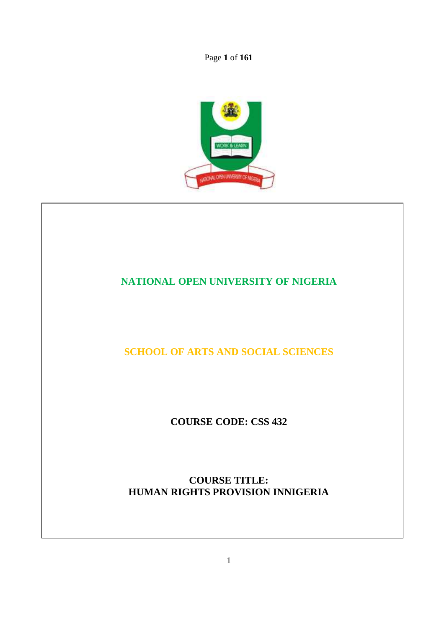Page **1** of **161**



# **NATIONAL OPEN UNIVERSITY OF NIGERIA SCHOOL OF ARTS AND SOCIAL SCIENCES COURSE CODE: CSS 432 COURSE TITLE: HUMAN RIGHTS PROVISION INNIGERIA**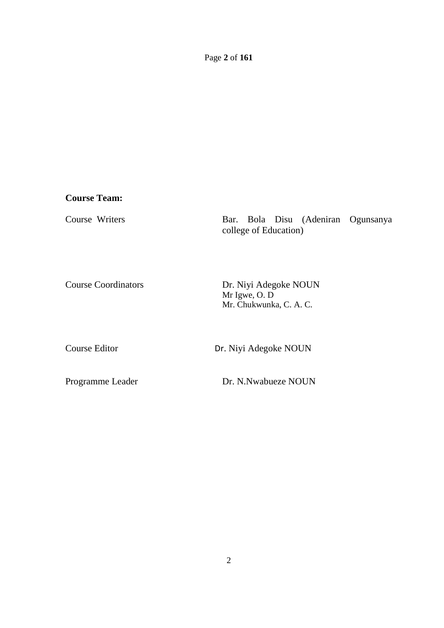# Page **2** of **161**

## **Course Team:**

Course Writers Bar. Bola Disu (Adeniran Ogunsanya college of Education)

Course Coordinators Dr. Niyi Adegoke NOUN Mr Igwe, O. D Mr. Chukwunka, C. A. C.

Course Editor **Dr. Niyi Adegoke NOUN** 

Programme Leader Dr. N.Nwabueze NOUN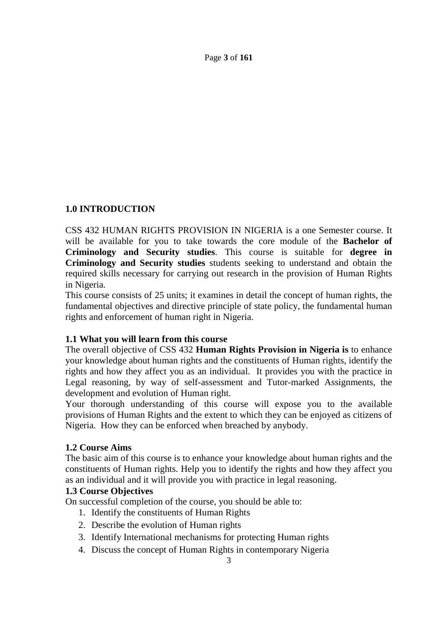Page **3** of **161**

# **1.0 INTRODUCTION**

CSS 432 HUMAN RIGHTS PROVISION IN NIGERIA is a one Semester course. It will be available for you to take towards the core module of the **Bachelor of Criminology and Security studies**. This course is suitable for **degree in Criminology and Security studies** students seeking to understand and obtain the required skills necessary for carrying out research in the provision of Human Rights in Nigeria.

This course consists of 25 units; it examines in detail the concept of human rights, the fundamental objectives and directive principle of state policy, the fundamental human rights and enforcement of human right in Nigeria.

## **1.1 What you will learn from this course**

The overall objective of CSS 432 **Human Rights Provision in Nigeria is** to enhance your knowledge about human rights and the constituents of Human rights, identify the rights and how they affect you as an individual. It provides you with the practice in Legal reasoning, by way of self-assessment and Tutor-marked Assignments, the development and evolution of Human right.

Your thorough understanding of this course will expose you to the available provisions of Human Rights and the extent to which they can be enjoyed as citizens of Nigeria. How they can be enforced when breached by anybody.

## **1.2 Course Aims**

The basic aim of this course is to enhance your knowledge about human rights and the constituents of Human rights. Help you to identify the rights and how they affect you as an individual and it will provide you with practice in legal reasoning.

## **1.3 Course Objectives**

On successful completion of the course, you should be able to:

- 1. Identify the constituents of Human Rights
- 2. Describe the evolution of Human rights
- 3. Identify International mechanisms for protecting Human rights
- 4. Discuss the concept of Human Rights in contemporary Nigeria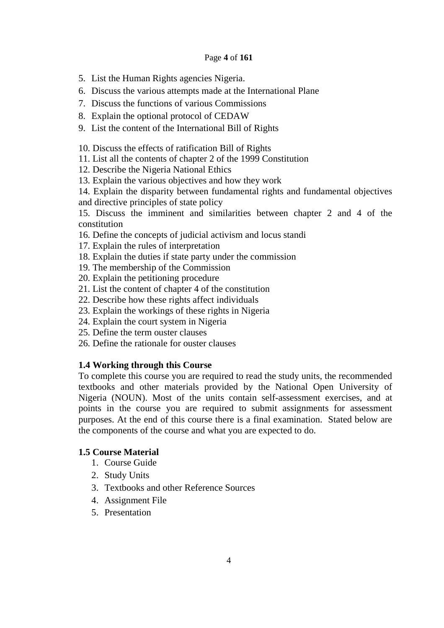## Page **4** of **161**

- 5. List the Human Rights agencies Nigeria.
- 6. Discuss the various attempts made at the International Plane
- 7. Discuss the functions of various Commissions
- 8. Explain the optional protocol of CEDAW
- 9. List the content of the International Bill of Rights

10. Discuss the effects of ratification Bill of Rights

- 11. List all the contents of chapter 2 of the 1999 Constitution
- 12. Describe the Nigeria National Ethics
- 13. Explain the various objectives and how they work

14. Explain the disparity between fundamental rights and fundamental objectives and directive principles of state policy

15. Discuss the imminent and similarities between chapter 2 and 4 of the constitution

- 16. Define the concepts of judicial activism and locus standi
- 17. Explain the rules of interpretation
- 18. Explain the duties if state party under the commission
- 19. The membership of the Commission
- 20. Explain the petitioning procedure
- 21. List the content of chapter 4 of the constitution
- 22. Describe how these rights affect individuals
- 23. Explain the workings of these rights in Nigeria
- 24. Explain the court system in Nigeria
- 25. Define the term ouster clauses
- 26. Define the rationale for ouster clauses

## **1.4 Working through this Course**

To complete this course you are required to read the study units, the recommended textbooks and other materials provided by the National Open University of Nigeria (NOUN). Most of the units contain self-assessment exercises, and at points in the course you are required to submit assignments for assessment purposes. At the end of this course there is a final examination. Stated below are the components of the course and what you are expected to do.

## **1.5 Course Material**

- 1. Course Guide
- 2. Study Units
- 3. Textbooks and other Reference Sources
- 4. Assignment File
- 5. Presentation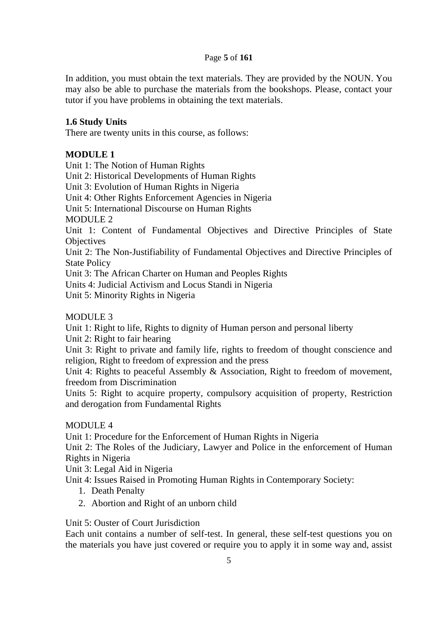## Page **5** of **161**

In addition, you must obtain the text materials. They are provided by the NOUN. You may also be able to purchase the materials from the bookshops. Please, contact your tutor if you have problems in obtaining the text materials.

# **1.6 Study Units**

There are twenty units in this course, as follows:

# **MODULE 1**

Unit 1: The Notion of Human Rights

Unit 2: Historical Developments of Human Rights

Unit 3: Evolution of Human Rights in Nigeria

Unit 4: Other Rights Enforcement Agencies in Nigeria

Unit 5: International Discourse on Human Rights

MODULE 2

Unit 1: Content of Fundamental Objectives and Directive Principles of State **Objectives** 

Unit 2: The Non-Justifiability of Fundamental Objectives and Directive Principles of State Policy

Unit 3: The African Charter on Human and Peoples Rights

Units 4: Judicial Activism and Locus Standi in Nigeria

Unit 5: Minority Rights in Nigeria

# MODULE 3

Unit 1: Right to life, Rights to dignity of Human person and personal liberty

Unit 2: Right to fair hearing

Unit 3: Right to private and family life, rights to freedom of thought conscience and religion, Right to freedom of expression and the press

Unit 4: Rights to peaceful Assembly & Association, Right to freedom of movement, freedom from Discrimination

Units 5: Right to acquire property, compulsory acquisition of property, Restriction and derogation from Fundamental Rights

MODULE 4

Unit 1: Procedure for the Enforcement of Human Rights in Nigeria

Unit 2: The Roles of the Judiciary, Lawyer and Police in the enforcement of Human Rights in Nigeria

Unit 3: Legal Aid in Nigeria

Unit 4: Issues Raised in Promoting Human Rights in Contemporary Society:

- 1. Death Penalty
- 2. Abortion and Right of an unborn child

Unit 5: Ouster of Court Jurisdiction

Each unit contains a number of self-test. In general, these self-test questions you on the materials you have just covered or require you to apply it in some way and, assist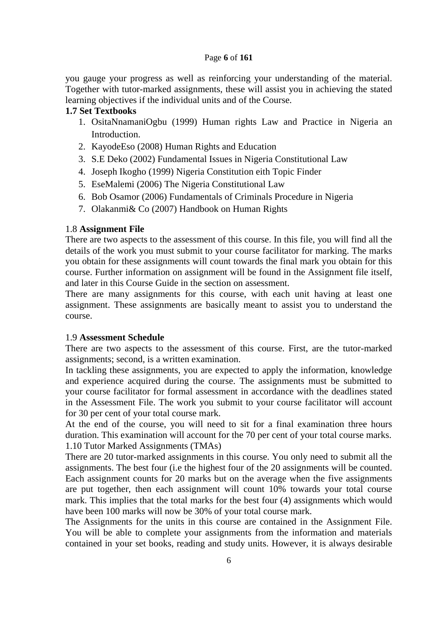## Page **6** of **161**

you gauge your progress as well as reinforcing your understanding of the material. Together with tutor-marked assignments, these will assist you in achieving the stated learning objectives if the individual units and of the Course.

## **1.7 Set Textbooks**

- 1. OsitaNnamaniOgbu (1999) Human rights Law and Practice in Nigeria an Introduction.
- 2. KayodeEso (2008) Human Rights and Education
- 3. S.E Deko (2002) Fundamental Issues in Nigeria Constitutional Law
- 4. Joseph Ikogho (1999) Nigeria Constitution eith Topic Finder
- 5. EseMalemi (2006) The Nigeria Constitutional Law
- 6. Bob Osamor (2006) Fundamentals of Criminals Procedure in Nigeria
- 7. Olakanmi& Co (2007) Handbook on Human Rights

## 1.8 **Assignment File**

There are two aspects to the assessment of this course. In this file, you will find all the details of the work you must submit to your course facilitator for marking. The marks you obtain for these assignments will count towards the final mark you obtain for this course. Further information on assignment will be found in the Assignment file itself, and later in this Course Guide in the section on assessment.

There are many assignments for this course, with each unit having at least one assignment. These assignments are basically meant to assist you to understand the course.

## 1.9 **Assessment Schedule**

There are two aspects to the assessment of this course. First, are the tutor-marked assignments; second, is a written examination.

In tackling these assignments, you are expected to apply the information, knowledge and experience acquired during the course. The assignments must be submitted to your course facilitator for formal assessment in accordance with the deadlines stated in the Assessment File. The work you submit to your course facilitator will account for 30 per cent of your total course mark.

At the end of the course, you will need to sit for a final examination three hours duration. This examination will account for the 70 per cent of your total course marks. 1.10 Tutor Marked Assignments (TMAs)

There are 20 tutor-marked assignments in this course. You only need to submit all the assignments. The best four (i.e the highest four of the 20 assignments will be counted. Each assignment counts for 20 marks but on the average when the five assignments are put together, then each assignment will count 10% towards your total course mark. This implies that the total marks for the best four (4) assignments which would have been 100 marks will now be 30% of your total course mark.

The Assignments for the units in this course are contained in the Assignment File. You will be able to complete your assignments from the information and materials contained in your set books, reading and study units. However, it is always desirable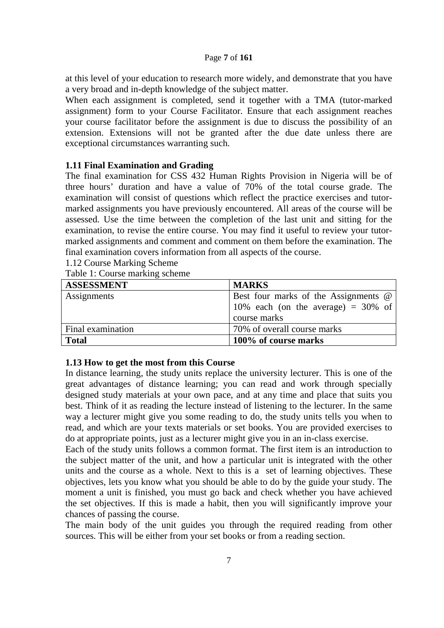## Page **7** of **161**

at this level of your education to research more widely, and demonstrate that you have a very broad and in-depth knowledge of the subject matter.

When each assignment is completed, send it together with a TMA (tutor-marked assignment) form to your Course Facilitator. Ensure that each assignment reaches your course facilitator before the assignment is due to discuss the possibility of an extension. Extensions will not be granted after the due date unless there are exceptional circumstances warranting such.

## **1.11 Final Examination and Grading**

The final examination for CSS 432 Human Rights Provision in Nigeria will be of three hours' duration and have a value of 70% of the total course grade. The examination will consist of questions which reflect the practice exercises and tutormarked assignments you have previously encountered. All areas of the course will be assessed. Use the time between the completion of the last unit and sitting for the examination, to revise the entire course. You may find it useful to review your tutormarked assignments and comment and comment on them before the examination. The final examination covers information from all aspects of the course.

1.12 Course Marking Scheme

Table 1: Course marking scheme

| <b>ASSESSMENT</b> | <b>MARKS</b>                          |
|-------------------|---------------------------------------|
| Assignments       | Best four marks of the Assignments @  |
|                   | 10% each (on the average) = $30\%$ of |
|                   | course marks                          |
| Final examination | 70% of overall course marks           |
| <b>Total</b>      | 100% of course marks                  |

## **1.13 How to get the most from this Course**

In distance learning, the study units replace the university lecturer. This is one of the great advantages of distance learning; you can read and work through specially designed study materials at your own pace, and at any time and place that suits you best. Think of it as reading the lecture instead of listening to the lecturer. In the same way a lecturer might give you some reading to do, the study units tells you when to read, and which are your texts materials or set books. You are provided exercises to do at appropriate points, just as a lecturer might give you in an in-class exercise.

Each of the study units follows a common format. The first item is an introduction to the subject matter of the unit, and how a particular unit is integrated with the other units and the course as a whole. Next to this is a set of learning objectives. These objectives, lets you know what you should be able to do by the guide your study. The moment a unit is finished, you must go back and check whether you have achieved the set objectives. If this is made a habit, then you will significantly improve your chances of passing the course.

The main body of the unit guides you through the required reading from other sources. This will be either from your set books or from a reading section.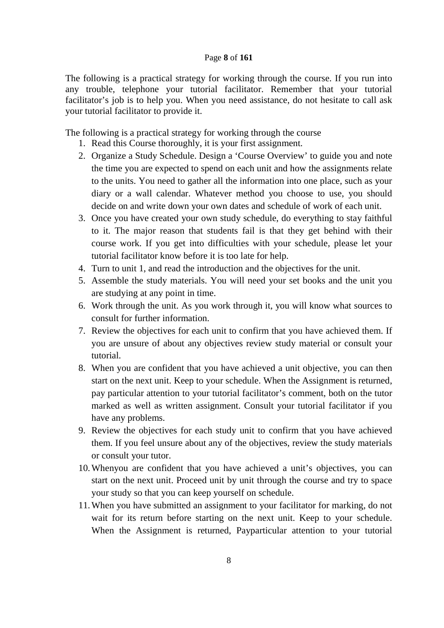## Page **8** of **161**

The following is a practical strategy for working through the course. If you run into any trouble, telephone your tutorial facilitator. Remember that your tutorial facilitator's job is to help you. When you need assistance, do not hesitate to call ask your tutorial facilitator to provide it.

The following is a practical strategy for working through the course

- 1. Read this Course thoroughly, it is your first assignment.
- 2. Organize a Study Schedule. Design a 'Course Overview' to guide you and note the time you are expected to spend on each unit and how the assignments relate to the units. You need to gather all the information into one place, such as your diary or a wall calendar. Whatever method you choose to use, you should decide on and write down your own dates and schedule of work of each unit.
- 3. Once you have created your own study schedule, do everything to stay faithful to it. The major reason that students fail is that they get behind with their course work. If you get into difficulties with your schedule, please let your tutorial facilitator know before it is too late for help.
- 4. Turn to unit 1, and read the introduction and the objectives for the unit.
- 5. Assemble the study materials. You will need your set books and the unit you are studying at any point in time.
- 6. Work through the unit. As you work through it, you will know what sources to consult for further information.
- 7. Review the objectives for each unit to confirm that you have achieved them. If you are unsure of about any objectives review study material or consult your tutorial.
- 8. When you are confident that you have achieved a unit objective, you can then start on the next unit. Keep to your schedule. When the Assignment is returned, pay particular attention to your tutorial facilitator's comment, both on the tutor marked as well as written assignment. Consult your tutorial facilitator if you have any problems.
- 9. Review the objectives for each study unit to confirm that you have achieved them. If you feel unsure about any of the objectives, review the study materials or consult your tutor.
- 10.Whenyou are confident that you have achieved a unit's objectives, you can start on the next unit. Proceed unit by unit through the course and try to space your study so that you can keep yourself on schedule.
- 11.When you have submitted an assignment to your facilitator for marking, do not wait for its return before starting on the next unit. Keep to your schedule. When the Assignment is returned, Payparticular attention to your tutorial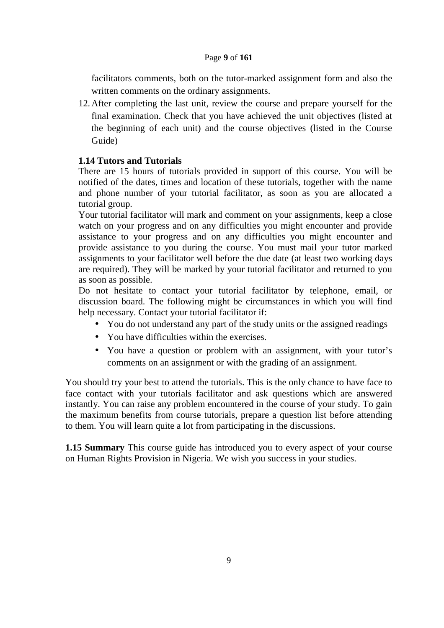## Page **9** of **161**

facilitators comments, both on the tutor-marked assignment form and also the written comments on the ordinary assignments.

12.After completing the last unit, review the course and prepare yourself for the final examination. Check that you have achieved the unit objectives (listed at the beginning of each unit) and the course objectives (listed in the Course Guide)

# **1.14 Tutors and Tutorials**

There are 15 hours of tutorials provided in support of this course. You will be notified of the dates, times and location of these tutorials, together with the name and phone number of your tutorial facilitator, as soon as you are allocated a tutorial group.

Your tutorial facilitator will mark and comment on your assignments, keep a close watch on your progress and on any difficulties you might encounter and provide assistance to your progress and on any difficulties you might encounter and provide assistance to you during the course. You must mail your tutor marked assignments to your facilitator well before the due date (at least two working days are required). They will be marked by your tutorial facilitator and returned to you as soon as possible.

Do not hesitate to contact your tutorial facilitator by telephone, email, or discussion board. The following might be circumstances in which you will find help necessary. Contact your tutorial facilitator if:

- You do not understand any part of the study units or the assigned readings
- You have difficulties within the exercises.
- You have a question or problem with an assignment, with your tutor's comments on an assignment or with the grading of an assignment.

You should try your best to attend the tutorials. This is the only chance to have face to face contact with your tutorials facilitator and ask questions which are answered instantly. You can raise any problem encountered in the course of your study. To gain the maximum benefits from course tutorials, prepare a question list before attending to them. You will learn quite a lot from participating in the discussions.

**1.15 Summary** This course guide has introduced you to every aspect of your course on Human Rights Provision in Nigeria. We wish you success in your studies.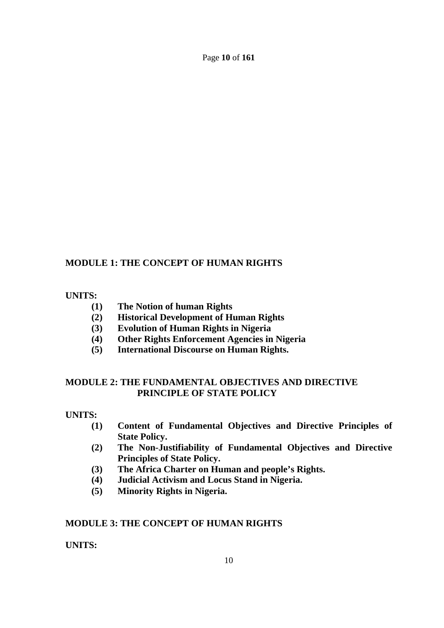Page **10** of **161**

# **MODULE 1: THE CONCEPT OF HUMAN RIGHTS**

## **UNITS:**

- **(1) The Notion of human Rights**
- **(2) Historical Development of Human Rights**
- **(3) Evolution of Human Rights in Nigeria**
- **(4) Other Rights Enforcement Agencies in Nigeria**
- **(5) International Discourse on Human Rights.**

# **MODULE 2: THE FUNDAMENTAL OBJECTIVES AND DIRECTIVE PRINCIPLE OF STATE POLICY**

## **UNITS:**

- **(1) Content of Fundamental Objectives and Directive Principles of State Policy.**
- **(2) The Non-Justifiability of Fundamental Objectives and Directive Principles of State Policy.**
- **(3) The Africa Charter on Human and people's Rights.**
- **(4) Judicial Activism and Locus Stand in Nigeria.**
- **(5) Minority Rights in Nigeria.**

## **MODULE 3: THE CONCEPT OF HUMAN RIGHTS**

## **UNITS:**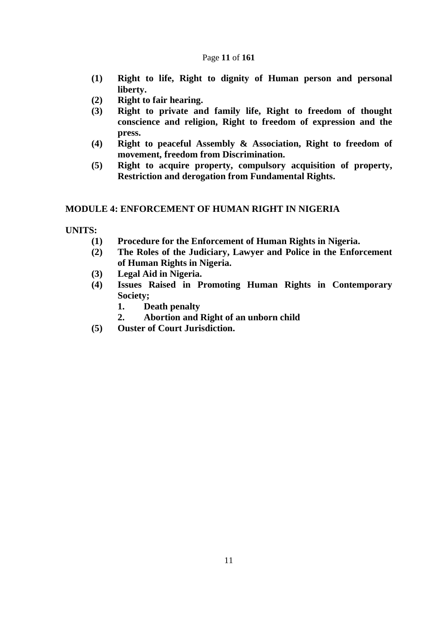## Page **11** of **161**

- **(1) Right to life, Right to dignity of Human person and personal liberty.**
- **(2) Right to fair hearing.**
- **(3) Right to private and family life, Right to freedom of thought conscience and religion, Right to freedom of expression and the press.**
- **(4) Right to peaceful Assembly & Association, Right to freedom of movement, freedom from Discrimination.**
- **(5) Right to acquire property, compulsory acquisition of property, Restriction and derogation from Fundamental Rights.**

## **MODULE 4: ENFORCEMENT OF HUMAN RIGHT IN NIGERIA**

**UNITS:** 

- **(1) Procedure for the Enforcement of Human Rights in Nigeria.**
- **(2) The Roles of the Judiciary, Lawyer and Police in the Enforcement of Human Rights in Nigeria.**
- **(3) Legal Aid in Nigeria.**
- **(4) Issues Raised in Promoting Human Rights in Contemporary Society;** 
	- **1. Death penalty**
	- **2. Abortion and Right of an unborn child**
- **(5) Ouster of Court Jurisdiction.**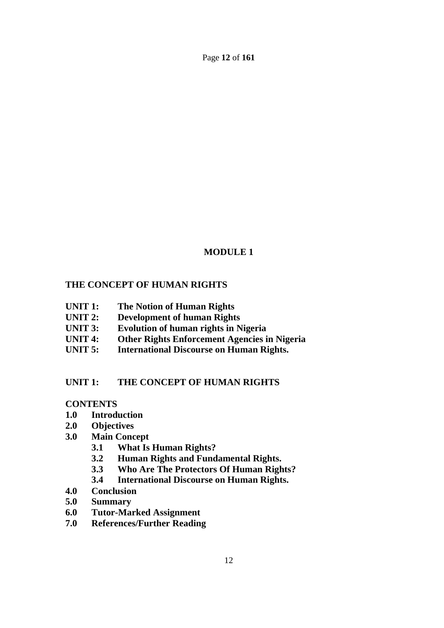Page **12** of **161**

# **MODULE 1**

# **THE CONCEPT OF HUMAN RIGHTS**

- **UNIT 1: The Notion of Human Rights**
- **UNIT 2: Development of human Rights**
- **UNIT 3: Evolution of human rights in Nigeria**
- **Other Rights Enforcement Agencies in Nigeria**
- **UNIT 5: International Discourse on Human Rights.**

# **UNIT 1: THE CONCEPT OF HUMAN RIGHTS**

## **CONTENTS**

- **1.0 Introduction**
- **2.0 Objectives**
- **3.0 Main Concept** 
	- **3.1 What Is Human Rights?**
	- **3.2 Human Rights and Fundamental Rights.**
	- **3.3 Who Are The Protectors Of Human Rights?**
	- **3.4 International Discourse on Human Rights.**
- **4.0 Conclusion**
- **5.0 Summary**
- **6.0 Tutor-Marked Assignment**
- **7.0 References/Further Reading**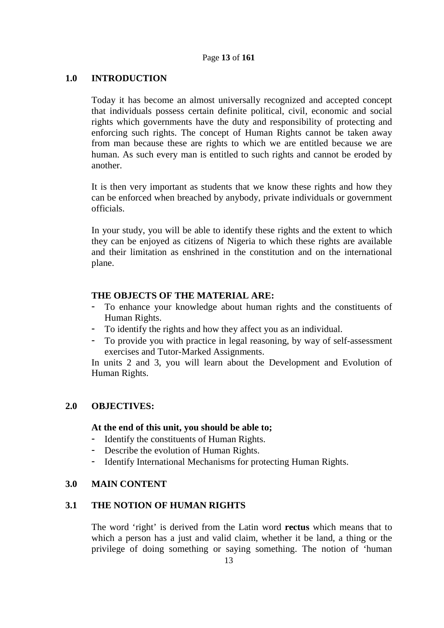## **1.0 INTRODUCTION**

Today it has become an almost universally recognized and accepted concept that individuals possess certain definite political, civil, economic and social rights which governments have the duty and responsibility of protecting and enforcing such rights. The concept of Human Rights cannot be taken away from man because these are rights to which we are entitled because we are human. As such every man is entitled to such rights and cannot be eroded by another.

It is then very important as students that we know these rights and how they can be enforced when breached by anybody, private individuals or government officials.

In your study, you will be able to identify these rights and the extent to which they can be enjoyed as citizens of Nigeria to which these rights are available and their limitation as enshrined in the constitution and on the international plane.

## **THE OBJECTS OF THE MATERIAL ARE:**

- To enhance your knowledge about human rights and the constituents of Human Rights.
- To identify the rights and how they affect you as an individual.
- To provide you with practice in legal reasoning, by way of self-assessment exercises and Tutor-Marked Assignments.

In units 2 and 3, you will learn about the Development and Evolution of Human Rights.

## **2.0 OBJECTIVES:**

## **At the end of this unit, you should be able to;**

- Identify the constituents of Human Rights.
- Describe the evolution of Human Rights.
- Identify International Mechanisms for protecting Human Rights.

## **3.0 MAIN CONTENT**

## **3.1 THE NOTION OF HUMAN RIGHTS**

The word 'right' is derived from the Latin word **rectus** which means that to which a person has a just and valid claim, whether it be land, a thing or the privilege of doing something or saying something. The notion of 'human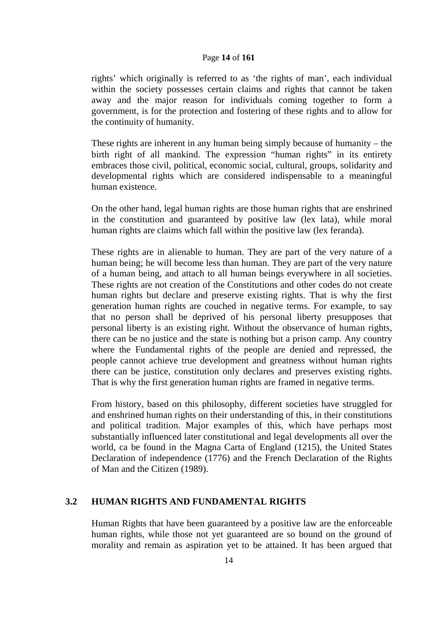#### Page **14** of **161**

rights' which originally is referred to as 'the rights of man', each individual within the society possesses certain claims and rights that cannot be taken away and the major reason for individuals coming together to form a government, is for the protection and fostering of these rights and to allow for the continuity of humanity.

These rights are inherent in any human being simply because of humanity – the birth right of all mankind. The expression "human rights" in its entirety embraces those civil, political, economic social, cultural, groups, solidarity and developmental rights which are considered indispensable to a meaningful human existence.

On the other hand, legal human rights are those human rights that are enshrined in the constitution and guaranteed by positive law (lex lata), while moral human rights are claims which fall within the positive law (lex feranda).

These rights are in alienable to human. They are part of the very nature of a human being; he will become less than human. They are part of the very nature of a human being, and attach to all human beings everywhere in all societies. These rights are not creation of the Constitutions and other codes do not create human rights but declare and preserve existing rights. That is why the first generation human rights are couched in negative terms. For example, to say that no person shall be deprived of his personal liberty presupposes that personal liberty is an existing right. Without the observance of human rights, there can be no justice and the state is nothing but a prison camp. Any country where the Fundamental rights of the people are denied and repressed, the people cannot achieve true development and greatness without human rights there can be justice, constitution only declares and preserves existing rights. That is why the first generation human rights are framed in negative terms.

From history, based on this philosophy, different societies have struggled for and enshrined human rights on their understanding of this, in their constitutions and political tradition. Major examples of this, which have perhaps most substantially influenced later constitutional and legal developments all over the world, ca be found in the Magna Carta of England (1215), the United States Declaration of independence (1776) and the French Declaration of the Rights of Man and the Citizen (1989).

## **3.2 HUMAN RIGHTS AND FUNDAMENTAL RIGHTS**

Human Rights that have been guaranteed by a positive law are the enforceable human rights, while those not yet guaranteed are so bound on the ground of morality and remain as aspiration yet to be attained. It has been argued that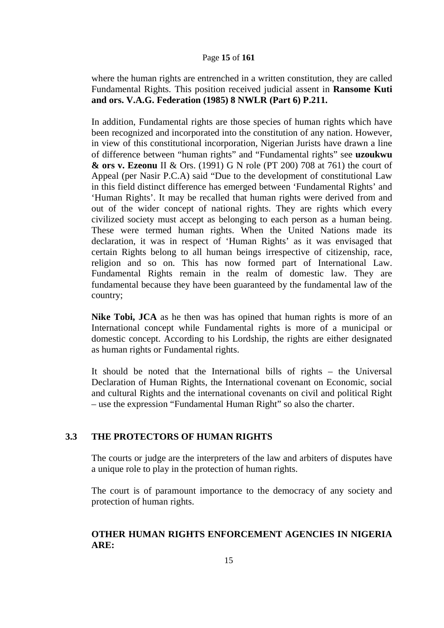## Page **15** of **161**

where the human rights are entrenched in a written constitution, they are called Fundamental Rights. This position received judicial assent in **Ransome Kuti and ors. V.A.G. Federation (1985) 8 NWLR (Part 6) P.211.**

In addition, Fundamental rights are those species of human rights which have been recognized and incorporated into the constitution of any nation. However, in view of this constitutional incorporation, Nigerian Jurists have drawn a line of difference between "human rights" and "Fundamental rights" see **uzoukwu & ors v. Ezeonu** II & Ors. (1991) G N role (PT 200) 708 at 761) the court of Appeal (per Nasir P.C.A) said "Due to the development of constitutional Law in this field distinct difference has emerged between 'Fundamental Rights' and 'Human Rights'. It may be recalled that human rights were derived from and out of the wider concept of national rights. They are rights which every civilized society must accept as belonging to each person as a human being. These were termed human rights. When the United Nations made its declaration, it was in respect of 'Human Rights' as it was envisaged that certain Rights belong to all human beings irrespective of citizenship, race, religion and so on. This has now formed part of International Law. Fundamental Rights remain in the realm of domestic law. They are fundamental because they have been guaranteed by the fundamental law of the country;

Nike Tobi, JCA as he then was has opined that human rights is more of an International concept while Fundamental rights is more of a municipal or domestic concept. According to his Lordship, the rights are either designated as human rights or Fundamental rights.

It should be noted that the International bills of rights – the Universal Declaration of Human Rights, the International covenant on Economic, social and cultural Rights and the international covenants on civil and political Right – use the expression "Fundamental Human Right" so also the charter.

# **3.3 THE PROTECTORS OF HUMAN RIGHTS**

The courts or judge are the interpreters of the law and arbiters of disputes have a unique role to play in the protection of human rights.

The court is of paramount importance to the democracy of any society and protection of human rights.

# **OTHER HUMAN RIGHTS ENFORCEMENT AGENCIES IN NIGERIA ARE:**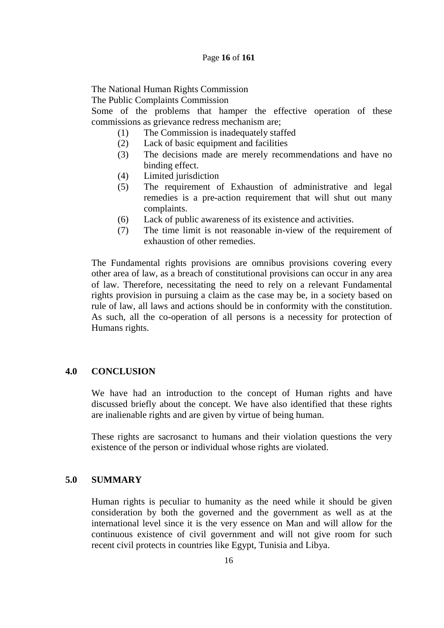The National Human Rights Commission

The Public Complaints Commission

Some of the problems that hamper the effective operation of these commissions as grievance redress mechanism are;

- (1) The Commission is inadequately staffed
- (2) Lack of basic equipment and facilities
- (3) The decisions made are merely recommendations and have no binding effect.
- (4) Limited jurisdiction
- (5) The requirement of Exhaustion of administrative and legal remedies is a pre-action requirement that will shut out many complaints.
- (6) Lack of public awareness of its existence and activities.
- (7) The time limit is not reasonable in-view of the requirement of exhaustion of other remedies.

The Fundamental rights provisions are omnibus provisions covering every other area of law, as a breach of constitutional provisions can occur in any area of law. Therefore, necessitating the need to rely on a relevant Fundamental rights provision in pursuing a claim as the case may be, in a society based on rule of law, all laws and actions should be in conformity with the constitution. As such, all the co-operation of all persons is a necessity for protection of Humans rights.

## **4.0 CONCLUSION**

We have had an introduction to the concept of Human rights and have discussed briefly about the concept. We have also identified that these rights are inalienable rights and are given by virtue of being human.

These rights are sacrosanct to humans and their violation questions the very existence of the person or individual whose rights are violated.

## **5.0 SUMMARY**

Human rights is peculiar to humanity as the need while it should be given consideration by both the governed and the government as well as at the international level since it is the very essence on Man and will allow for the continuous existence of civil government and will not give room for such recent civil protects in countries like Egypt, Tunisia and Libya.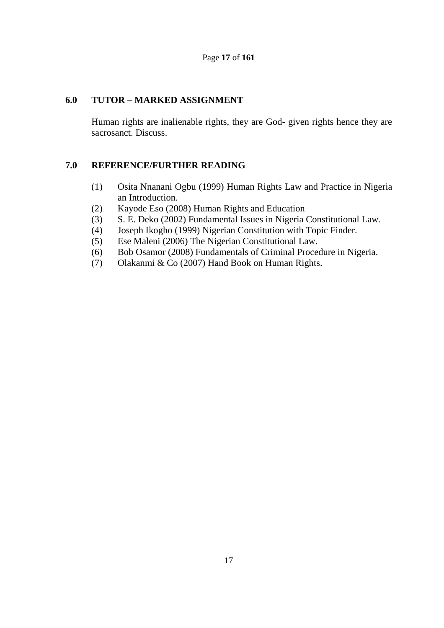# **6.0 TUTOR – MARKED ASSIGNMENT**

Human rights are inalienable rights, they are God- given rights hence they are sacrosanct. Discuss.

# **7.0 REFERENCE/FURTHER READING**

- (1) Osita Nnanani Ogbu (1999) Human Rights Law and Practice in Nigeria an Introduction.
- (2) Kayode Eso (2008) Human Rights and Education
- (3) S. E. Deko (2002) Fundamental Issues in Nigeria Constitutional Law.
- (4) Joseph Ikogho (1999) Nigerian Constitution with Topic Finder.
- (5) Ese Maleni (2006) The Nigerian Constitutional Law.
- (6) Bob Osamor (2008) Fundamentals of Criminal Procedure in Nigeria.
- (7) Olakanmi & Co (2007) Hand Book on Human Rights.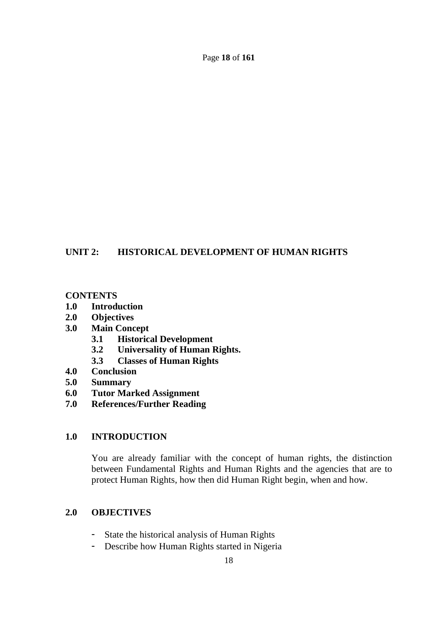Page **18** of **161**

# **UNIT 2: HISTORICAL DEVELOPMENT OF HUMAN RIGHTS**

## **CONTENTS**

- **1.0 Introduction**
- **2.0 Objectives**
- **3.0 Main Concept** 
	- **3.1 Historical Development**
	- **3.2 Universality of Human Rights.**
	- **3.3 Classes of Human Rights**
- **4.0 Conclusion**
- **5.0 Summary**
- **6.0 Tutor Marked Assignment**
- **7.0 References/Further Reading**

## **1.0 INTRODUCTION**

You are already familiar with the concept of human rights, the distinction between Fundamental Rights and Human Rights and the agencies that are to protect Human Rights, how then did Human Right begin, when and how.

# **2.0 OBJECTIVES**

- State the historical analysis of Human Rights
- Describe how Human Rights started in Nigeria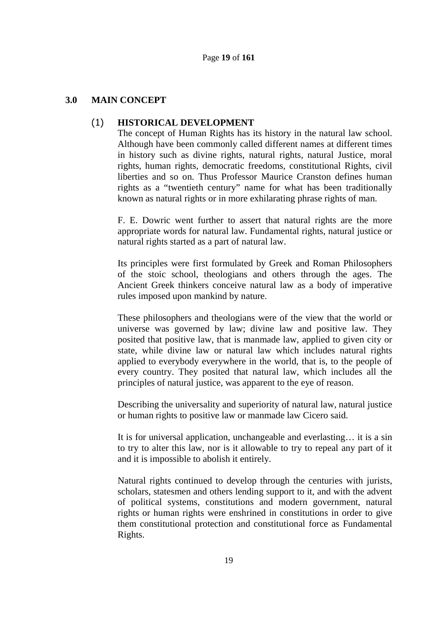## **3.0 MAIN CONCEPT**

## (1) **HISTORICAL DEVELOPMENT**

The concept of Human Rights has its history in the natural law school. Although have been commonly called different names at different times in history such as divine rights, natural rights, natural Justice, moral rights, human rights, democratic freedoms, constitutional Rights, civil liberties and so on. Thus Professor Maurice Cranston defines human rights as a "twentieth century" name for what has been traditionally known as natural rights or in more exhilarating phrase rights of man.

F. E. Dowric went further to assert that natural rights are the more appropriate words for natural law. Fundamental rights, natural justice or natural rights started as a part of natural law.

Its principles were first formulated by Greek and Roman Philosophers of the stoic school, theologians and others through the ages. The Ancient Greek thinkers conceive natural law as a body of imperative rules imposed upon mankind by nature.

These philosophers and theologians were of the view that the world or universe was governed by law; divine law and positive law. They posited that positive law, that is manmade law, applied to given city or state, while divine law or natural law which includes natural rights applied to everybody everywhere in the world, that is, to the people of every country. They posited that natural law, which includes all the principles of natural justice, was apparent to the eye of reason.

Describing the universality and superiority of natural law, natural justice or human rights to positive law or manmade law Cicero said.

It is for universal application, unchangeable and everlasting… it is a sin to try to alter this law, nor is it allowable to try to repeal any part of it and it is impossible to abolish it entirely.

Natural rights continued to develop through the centuries with jurists, scholars, statesmen and others lending support to it, and with the advent of political systems, constitutions and modern government, natural rights or human rights were enshrined in constitutions in order to give them constitutional protection and constitutional force as Fundamental Rights.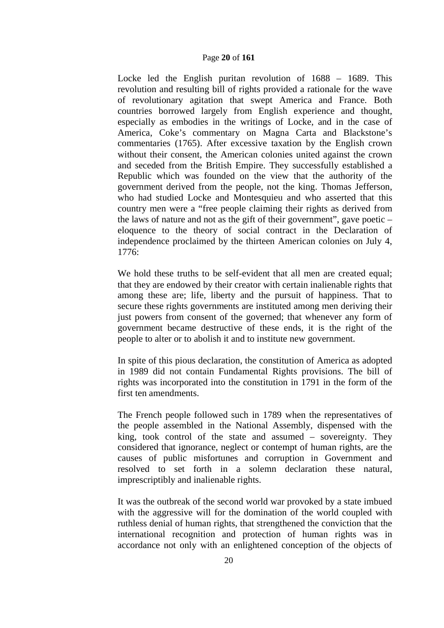#### Page **20** of **161**

Locke led the English puritan revolution of 1688 – 1689. This revolution and resulting bill of rights provided a rationale for the wave of revolutionary agitation that swept America and France. Both countries borrowed largely from English experience and thought, especially as embodies in the writings of Locke, and in the case of America, Coke's commentary on Magna Carta and Blackstone's commentaries (1765). After excessive taxation by the English crown without their consent, the American colonies united against the crown and seceded from the British Empire. They successfully established a Republic which was founded on the view that the authority of the government derived from the people, not the king. Thomas Jefferson, who had studied Locke and Montesquieu and who asserted that this country men were a "free people claiming their rights as derived from the laws of nature and not as the gift of their government", gave poetic – eloquence to the theory of social contract in the Declaration of independence proclaimed by the thirteen American colonies on July 4, 1776:

We hold these truths to be self-evident that all men are created equal; that they are endowed by their creator with certain inalienable rights that among these are; life, liberty and the pursuit of happiness. That to secure these rights governments are instituted among men deriving their just powers from consent of the governed; that whenever any form of government became destructive of these ends, it is the right of the people to alter or to abolish it and to institute new government.

In spite of this pious declaration, the constitution of America as adopted in 1989 did not contain Fundamental Rights provisions. The bill of rights was incorporated into the constitution in 1791 in the form of the first ten amendments.

The French people followed such in 1789 when the representatives of the people assembled in the National Assembly, dispensed with the king, took control of the state and assumed – sovereignty. They considered that ignorance, neglect or contempt of human rights, are the causes of public misfortunes and corruption in Government and resolved to set forth in a solemn declaration these natural, imprescriptibly and inalienable rights.

It was the outbreak of the second world war provoked by a state imbued with the aggressive will for the domination of the world coupled with ruthless denial of human rights, that strengthened the conviction that the international recognition and protection of human rights was in accordance not only with an enlightened conception of the objects of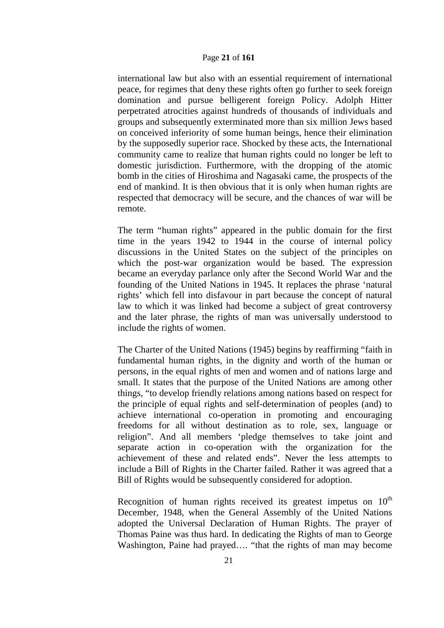#### Page **21** of **161**

international law but also with an essential requirement of international peace, for regimes that deny these rights often go further to seek foreign domination and pursue belligerent foreign Policy. Adolph Hitter perpetrated atrocities against hundreds of thousands of individuals and groups and subsequently exterminated more than six million Jews based on conceived inferiority of some human beings, hence their elimination by the supposedly superior race. Shocked by these acts, the International community came to realize that human rights could no longer be left to domestic jurisdiction. Furthermore, with the dropping of the atomic bomb in the cities of Hiroshima and Nagasaki came, the prospects of the end of mankind. It is then obvious that it is only when human rights are respected that democracy will be secure, and the chances of war will be remote.

The term "human rights" appeared in the public domain for the first time in the years 1942 to 1944 in the course of internal policy discussions in the United States on the subject of the principles on which the post-war organization would be based. The expression became an everyday parlance only after the Second World War and the founding of the United Nations in 1945. It replaces the phrase 'natural rights' which fell into disfavour in part because the concept of natural law to which it was linked had become a subject of great controversy and the later phrase, the rights of man was universally understood to include the rights of women.

The Charter of the United Nations (1945) begins by reaffirming "faith in fundamental human rights, in the dignity and worth of the human or persons, in the equal rights of men and women and of nations large and small. It states that the purpose of the United Nations are among other things, "to develop friendly relations among nations based on respect for the principle of equal rights and self-determination of peoples (and) to achieve international co-operation in promoting and encouraging freedoms for all without destination as to role, sex, language or religion". And all members 'pledge themselves to take joint and separate action in co-operation with the organization for the achievement of these and related ends". Never the less attempts to include a Bill of Rights in the Charter failed. Rather it was agreed that a Bill of Rights would be subsequently considered for adoption.

Recognition of human rights received its greatest impetus on  $10<sup>th</sup>$ December, 1948, when the General Assembly of the United Nations adopted the Universal Declaration of Human Rights. The prayer of Thomas Paine was thus hard. In dedicating the Rights of man to George Washington, Paine had prayed…. "that the rights of man may become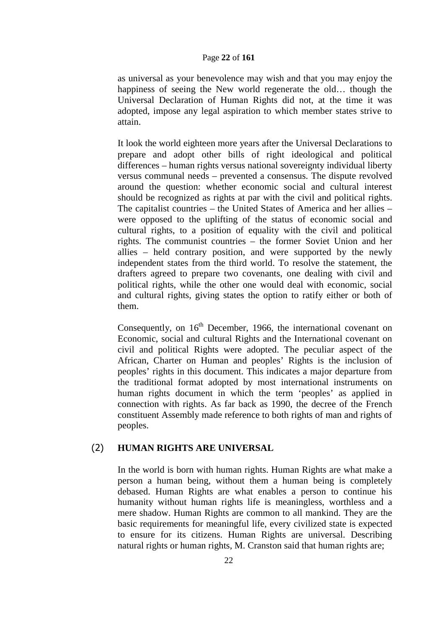#### Page **22** of **161**

as universal as your benevolence may wish and that you may enjoy the happiness of seeing the New world regenerate the old… though the Universal Declaration of Human Rights did not, at the time it was adopted, impose any legal aspiration to which member states strive to attain.

It look the world eighteen more years after the Universal Declarations to prepare and adopt other bills of right ideological and political differences – human rights versus national sovereignty individual liberty versus communal needs – prevented a consensus. The dispute revolved around the question: whether economic social and cultural interest should be recognized as rights at par with the civil and political rights. The capitalist countries – the United States of America and her allies – were opposed to the uplifting of the status of economic social and cultural rights, to a position of equality with the civil and political rights. The communist countries – the former Soviet Union and her allies – held contrary position, and were supported by the newly independent states from the third world. To resolve the statement, the drafters agreed to prepare two covenants, one dealing with civil and political rights, while the other one would deal with economic, social and cultural rights, giving states the option to ratify either or both of them.

Consequently, on  $16<sup>th</sup>$  December, 1966, the international covenant on Economic, social and cultural Rights and the International covenant on civil and political Rights were adopted. The peculiar aspect of the African, Charter on Human and peoples' Rights is the inclusion of peoples' rights in this document. This indicates a major departure from the traditional format adopted by most international instruments on human rights document in which the term 'peoples' as applied in connection with rights. As far back as 1990, the decree of the French constituent Assembly made reference to both rights of man and rights of peoples.

## (2) **HUMAN RIGHTS ARE UNIVERSAL**

In the world is born with human rights. Human Rights are what make a person a human being, without them a human being is completely debased. Human Rights are what enables a person to continue his humanity without human rights life is meaningless, worthless and a mere shadow. Human Rights are common to all mankind. They are the basic requirements for meaningful life, every civilized state is expected to ensure for its citizens. Human Rights are universal. Describing natural rights or human rights, M. Cranston said that human rights are;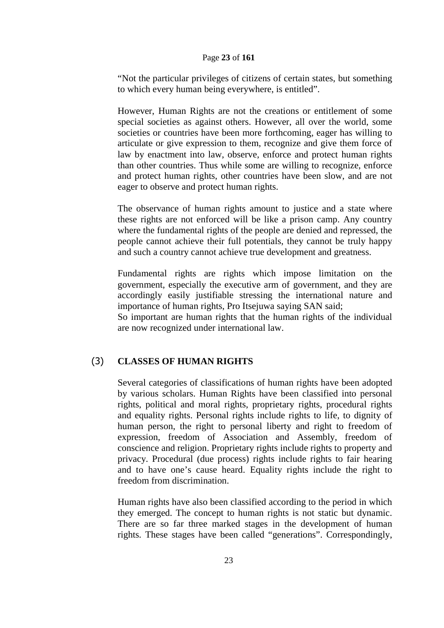#### Page **23** of **161**

"Not the particular privileges of citizens of certain states, but something to which every human being everywhere, is entitled".

However, Human Rights are not the creations or entitlement of some special societies as against others. However, all over the world, some societies or countries have been more forthcoming, eager has willing to articulate or give expression to them, recognize and give them force of law by enactment into law, observe, enforce and protect human rights than other countries. Thus while some are willing to recognize, enforce and protect human rights, other countries have been slow, and are not eager to observe and protect human rights.

The observance of human rights amount to justice and a state where these rights are not enforced will be like a prison camp. Any country where the fundamental rights of the people are denied and repressed, the people cannot achieve their full potentials, they cannot be truly happy and such a country cannot achieve true development and greatness.

Fundamental rights are rights which impose limitation on the government, especially the executive arm of government, and they are accordingly easily justifiable stressing the international nature and importance of human rights, Pro Itsejuwa saying SAN said;

So important are human rights that the human rights of the individual are now recognized under international law.

## (3) **CLASSES OF HUMAN RIGHTS**

Several categories of classifications of human rights have been adopted by various scholars. Human Rights have been classified into personal rights, political and moral rights, proprietary rights, procedural rights and equality rights. Personal rights include rights to life, to dignity of human person, the right to personal liberty and right to freedom of expression, freedom of Association and Assembly, freedom of conscience and religion. Proprietary rights include rights to property and privacy. Procedural (due process) rights include rights to fair hearing and to have one's cause heard. Equality rights include the right to freedom from discrimination.

Human rights have also been classified according to the period in which they emerged. The concept to human rights is not static but dynamic. There are so far three marked stages in the development of human rights. These stages have been called "generations". Correspondingly,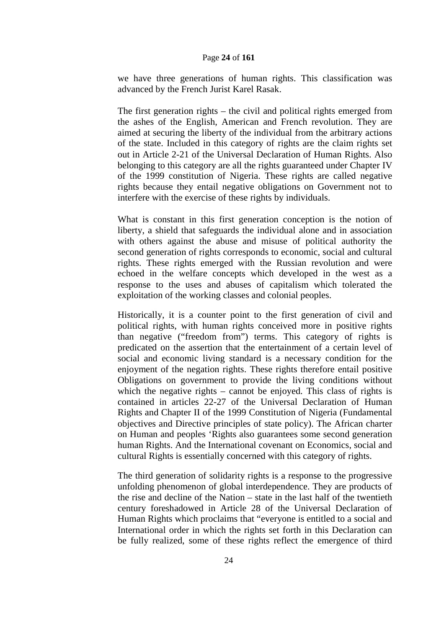#### Page **24** of **161**

we have three generations of human rights. This classification was advanced by the French Jurist Karel Rasak.

The first generation rights – the civil and political rights emerged from the ashes of the English, American and French revolution. They are aimed at securing the liberty of the individual from the arbitrary actions of the state. Included in this category of rights are the claim rights set out in Article 2-21 of the Universal Declaration of Human Rights. Also belonging to this category are all the rights guaranteed under Chapter IV of the 1999 constitution of Nigeria. These rights are called negative rights because they entail negative obligations on Government not to interfere with the exercise of these rights by individuals.

What is constant in this first generation conception is the notion of liberty, a shield that safeguards the individual alone and in association with others against the abuse and misuse of political authority the second generation of rights corresponds to economic, social and cultural rights. These rights emerged with the Russian revolution and were echoed in the welfare concepts which developed in the west as a response to the uses and abuses of capitalism which tolerated the exploitation of the working classes and colonial peoples.

Historically, it is a counter point to the first generation of civil and political rights, with human rights conceived more in positive rights than negative ("freedom from") terms. This category of rights is predicated on the assertion that the entertainment of a certain level of social and economic living standard is a necessary condition for the enjoyment of the negation rights. These rights therefore entail positive Obligations on government to provide the living conditions without which the negative rights – cannot be enjoyed. This class of rights is contained in articles 22-27 of the Universal Declaration of Human Rights and Chapter II of the 1999 Constitution of Nigeria (Fundamental objectives and Directive principles of state policy). The African charter on Human and peoples 'Rights also guarantees some second generation human Rights. And the International covenant on Economics, social and cultural Rights is essentially concerned with this category of rights.

The third generation of solidarity rights is a response to the progressive unfolding phenomenon of global interdependence. They are products of the rise and decline of the Nation – state in the last half of the twentieth century foreshadowed in Article 28 of the Universal Declaration of Human Rights which proclaims that "everyone is entitled to a social and International order in which the rights set forth in this Declaration can be fully realized, some of these rights reflect the emergence of third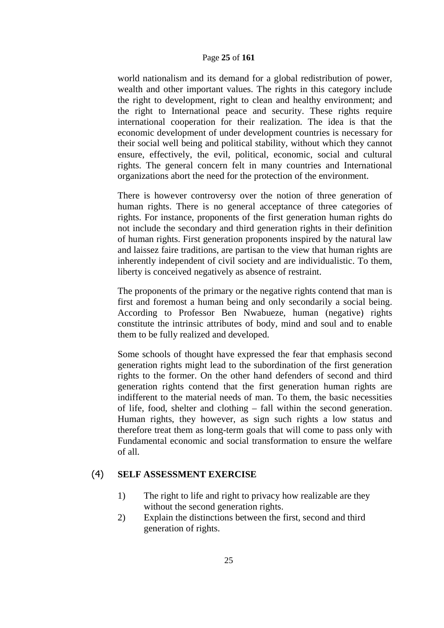#### Page **25** of **161**

world nationalism and its demand for a global redistribution of power, wealth and other important values. The rights in this category include the right to development, right to clean and healthy environment; and the right to International peace and security. These rights require international cooperation for their realization. The idea is that the economic development of under development countries is necessary for their social well being and political stability, without which they cannot ensure, effectively, the evil, political, economic, social and cultural rights. The general concern felt in many countries and International organizations abort the need for the protection of the environment.

There is however controversy over the notion of three generation of human rights. There is no general acceptance of three categories of rights. For instance, proponents of the first generation human rights do not include the secondary and third generation rights in their definition of human rights. First generation proponents inspired by the natural law and laissez faire traditions, are partisan to the view that human rights are inherently independent of civil society and are individualistic. To them, liberty is conceived negatively as absence of restraint.

The proponents of the primary or the negative rights contend that man is first and foremost a human being and only secondarily a social being. According to Professor Ben Nwabueze, human (negative) rights constitute the intrinsic attributes of body, mind and soul and to enable them to be fully realized and developed.

Some schools of thought have expressed the fear that emphasis second generation rights might lead to the subordination of the first generation rights to the former. On the other hand defenders of second and third generation rights contend that the first generation human rights are indifferent to the material needs of man. To them, the basic necessities of life, food, shelter and clothing – fall within the second generation. Human rights, they however, as sign such rights a low status and therefore treat them as long-term goals that will come to pass only with Fundamental economic and social transformation to ensure the welfare of all.

## (4) **SELF ASSESSMENT EXERCISE**

- 1) The right to life and right to privacy how realizable are they without the second generation rights.
- 2) Explain the distinctions between the first, second and third generation of rights.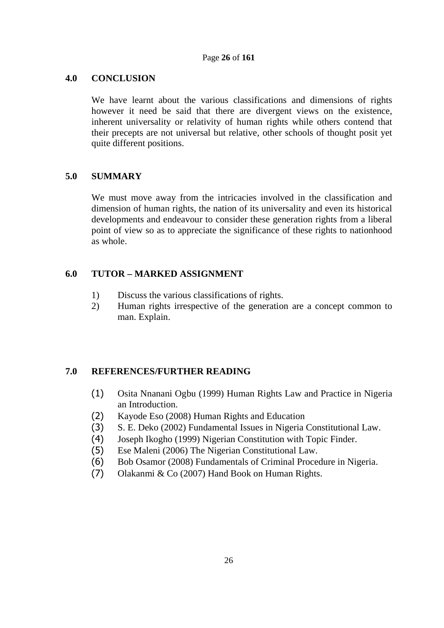# **4.0 CONCLUSION**

We have learnt about the various classifications and dimensions of rights however it need be said that there are divergent views on the existence, inherent universality or relativity of human rights while others contend that their precepts are not universal but relative, other schools of thought posit yet quite different positions.

# **5.0 SUMMARY**

We must move away from the intricacies involved in the classification and dimension of human rights, the nation of its universality and even its historical developments and endeavour to consider these generation rights from a liberal point of view so as to appreciate the significance of these rights to nationhood as whole.

# **6.0 TUTOR – MARKED ASSIGNMENT**

- 1) Discuss the various classifications of rights.
- 2) Human rights irrespective of the generation are a concept common to man. Explain.

## **7.0 REFERENCES/FURTHER READING**

- (1) Osita Nnanani Ogbu (1999) Human Rights Law and Practice in Nigeria an Introduction.
- (2) Kayode Eso (2008) Human Rights and Education
- (3) S. E. Deko (2002) Fundamental Issues in Nigeria Constitutional Law.
- (4) Joseph Ikogho (1999) Nigerian Constitution with Topic Finder.
- (5) Ese Maleni (2006) The Nigerian Constitutional Law.
- (6) Bob Osamor (2008) Fundamentals of Criminal Procedure in Nigeria.
- (7) Olakanmi & Co (2007) Hand Book on Human Rights.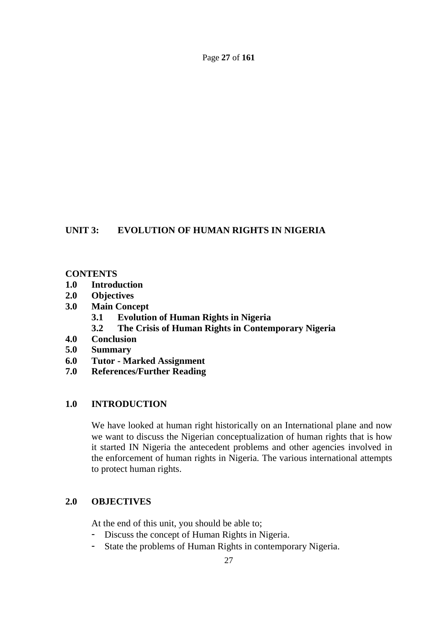Page **27** of **161**

# **UNIT 3: EVOLUTION OF HUMAN RIGHTS IN NIGERIA**

# **CONTENTS**

- **1.0 Introduction**
- **2.0 Objectives**
- **3.0 Main Concept** 
	- **3.1 Evolution of Human Rights in Nigeria**
	- **3.2 The Crisis of Human Rights in Contemporary Nigeria**
- **4.0 Conclusion**
- **5.0 Summary**
- **6.0 Tutor Marked Assignment**
- **7.0 References/Further Reading**

# **1.0 INTRODUCTION**

We have looked at human right historically on an International plane and now we want to discuss the Nigerian conceptualization of human rights that is how it started IN Nigeria the antecedent problems and other agencies involved in the enforcement of human rights in Nigeria. The various international attempts to protect human rights.

# **2.0 OBJECTIVES**

At the end of this unit, you should be able to;

- Discuss the concept of Human Rights in Nigeria.
- State the problems of Human Rights in contemporary Nigeria.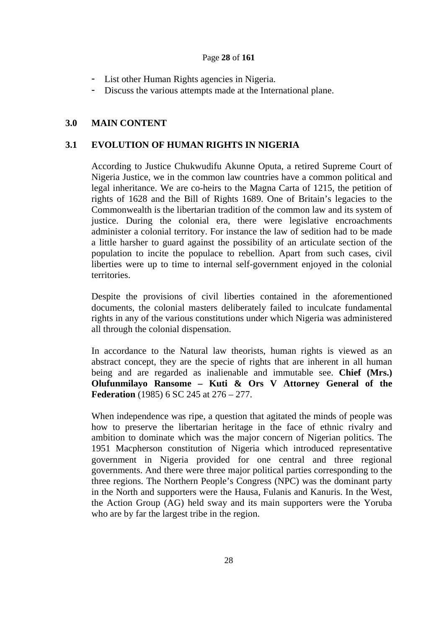## Page **28** of **161**

- List other Human Rights agencies in Nigeria.
- Discuss the various attempts made at the International plane.

## **3.0 MAIN CONTENT**

## **3.1 EVOLUTION OF HUMAN RIGHTS IN NIGERIA**

According to Justice Chukwudifu Akunne Oputa, a retired Supreme Court of Nigeria Justice, we in the common law countries have a common political and legal inheritance. We are co-heirs to the Magna Carta of 1215, the petition of rights of 1628 and the Bill of Rights 1689. One of Britain's legacies to the Commonwealth is the libertarian tradition of the common law and its system of justice. During the colonial era, there were legislative encroachments administer a colonial territory. For instance the law of sedition had to be made a little harsher to guard against the possibility of an articulate section of the population to incite the populace to rebellion. Apart from such cases, civil liberties were up to time to internal self-government enjoyed in the colonial territories.

Despite the provisions of civil liberties contained in the aforementioned documents, the colonial masters deliberately failed to inculcate fundamental rights in any of the various constitutions under which Nigeria was administered all through the colonial dispensation.

In accordance to the Natural law theorists, human rights is viewed as an abstract concept, they are the specie of rights that are inherent in all human being and are regarded as inalienable and immutable see. **Chief (Mrs.) Olufunmilayo Ransome – Kuti & Ors V Attorney General of the Federation** (1985) 6 SC 245 at 276 – 277.

When independence was ripe, a question that agitated the minds of people was how to preserve the libertarian heritage in the face of ethnic rivalry and ambition to dominate which was the major concern of Nigerian politics. The 1951 Macpherson constitution of Nigeria which introduced representative government in Nigeria provided for one central and three regional governments. And there were three major political parties corresponding to the three regions. The Northern People's Congress (NPC) was the dominant party in the North and supporters were the Hausa, Fulanis and Kanuris. In the West, the Action Group (AG) held sway and its main supporters were the Yoruba who are by far the largest tribe in the region.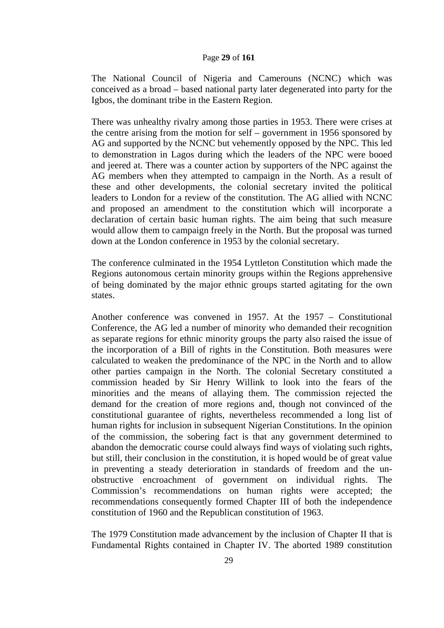#### Page **29** of **161**

The National Council of Nigeria and Camerouns (NCNC) which was conceived as a broad – based national party later degenerated into party for the Igbos, the dominant tribe in the Eastern Region.

There was unhealthy rivalry among those parties in 1953. There were crises at the centre arising from the motion for self – government in 1956 sponsored by AG and supported by the NCNC but vehemently opposed by the NPC. This led to demonstration in Lagos during which the leaders of the NPC were booed and jeered at. There was a counter action by supporters of the NPC against the AG members when they attempted to campaign in the North. As a result of these and other developments, the colonial secretary invited the political leaders to London for a review of the constitution. The AG allied with NCNC and proposed an amendment to the constitution which will incorporate a declaration of certain basic human rights. The aim being that such measure would allow them to campaign freely in the North. But the proposal was turned down at the London conference in 1953 by the colonial secretary.

The conference culminated in the 1954 Lyttleton Constitution which made the Regions autonomous certain minority groups within the Regions apprehensive of being dominated by the major ethnic groups started agitating for the own states.

Another conference was convened in 1957. At the 1957 – Constitutional Conference, the AG led a number of minority who demanded their recognition as separate regions for ethnic minority groups the party also raised the issue of the incorporation of a Bill of rights in the Constitution. Both measures were calculated to weaken the predominance of the NPC in the North and to allow other parties campaign in the North. The colonial Secretary constituted a commission headed by Sir Henry Willink to look into the fears of the minorities and the means of allaying them. The commission rejected the demand for the creation of more regions and, though not convinced of the constitutional guarantee of rights, nevertheless recommended a long list of human rights for inclusion in subsequent Nigerian Constitutions. In the opinion of the commission, the sobering fact is that any government determined to abandon the democratic course could always find ways of violating such rights, but still, their conclusion in the constitution, it is hoped would be of great value in preventing a steady deterioration in standards of freedom and the unobstructive encroachment of government on individual rights. The Commission's recommendations on human rights were accepted; the recommendations consequently formed Chapter III of both the independence constitution of 1960 and the Republican constitution of 1963.

The 1979 Constitution made advancement by the inclusion of Chapter II that is Fundamental Rights contained in Chapter IV. The aborted 1989 constitution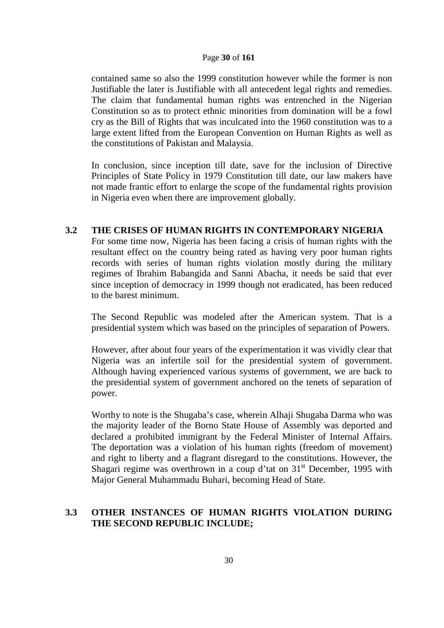## Page **30** of **161**

contained same so also the 1999 constitution however while the former is non Justifiable the later is Justifiable with all antecedent legal rights and remedies. The claim that fundamental human rights was entrenched in the Nigerian Constitution so as to protect ethnic minorities from domination will be a fowl cry as the Bill of Rights that was inculcated into the 1960 constitution was to a large extent lifted from the European Convention on Human Rights as well as the constitutions of Pakistan and Malaysia.

In conclusion, since inception till date, save for the inclusion of Directive Principles of State Policy in 1979 Constitution till date, our law makers have not made frantic effort to enlarge the scope of the fundamental rights provision in Nigeria even when there are improvement globally.

## **3.2 THE CRISES OF HUMAN RIGHTS IN CONTEMPORARY NIGERIA**

For some time now, Nigeria has been facing a crisis of human rights with the resultant effect on the country being rated as having very poor human rights records with series of human rights violation mostly during the military regimes of Ibrahim Babangida and Sanni Abacha, it needs be said that ever since inception of democracy in 1999 though not eradicated, has been reduced to the barest minimum.

The Second Republic was modeled after the American system. That is a presidential system which was based on the principles of separation of Powers.

However, after about four years of the experimentation it was vividly clear that Nigeria was an infertile soil for the presidential system of government. Although having experienced various systems of government, we are back to the presidential system of government anchored on the tenets of separation of power.

Worthy to note is the Shugaba's case, wherein Alhaji Shugaba Darma who was the majority leader of the Borno State House of Assembly was deported and declared a prohibited immigrant by the Federal Minister of Internal Affairs. The deportation was a violation of his human rights (freedom of movement) and right to liberty and a flagrant disregard to the constitutions. However, the Shagari regime was overthrown in a coup d'tat on  $31<sup>st</sup>$  December, 1995 with Major General Muhammadu Buhari, becoming Head of State.

# **3.3 OTHER INSTANCES OF HUMAN RIGHTS VIOLATION DURING THE SECOND REPUBLIC INCLUDE;**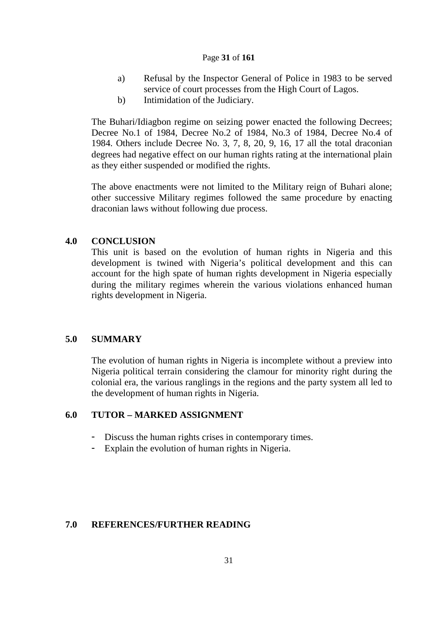## Page **31** of **161**

- a) Refusal by the Inspector General of Police in 1983 to be served service of court processes from the High Court of Lagos.
- b) Intimidation of the Judiciary.

The Buhari/Idiagbon regime on seizing power enacted the following Decrees; Decree No.1 of 1984, Decree No.2 of 1984, No.3 of 1984, Decree No.4 of 1984. Others include Decree No. 3, 7, 8, 20, 9, 16, 17 all the total draconian degrees had negative effect on our human rights rating at the international plain as they either suspended or modified the rights.

The above enactments were not limited to the Military reign of Buhari alone; other successive Military regimes followed the same procedure by enacting draconian laws without following due process.

## **4.0 CONCLUSION**

This unit is based on the evolution of human rights in Nigeria and this development is twined with Nigeria's political development and this can account for the high spate of human rights development in Nigeria especially during the military regimes wherein the various violations enhanced human rights development in Nigeria.

## **5.0 SUMMARY**

The evolution of human rights in Nigeria is incomplete without a preview into Nigeria political terrain considering the clamour for minority right during the colonial era, the various ranglings in the regions and the party system all led to the development of human rights in Nigeria.

## **6.0 TUTOR – MARKED ASSIGNMENT**

- Discuss the human rights crises in contemporary times.
- Explain the evolution of human rights in Nigeria.

## **7.0 REFERENCES/FURTHER READING**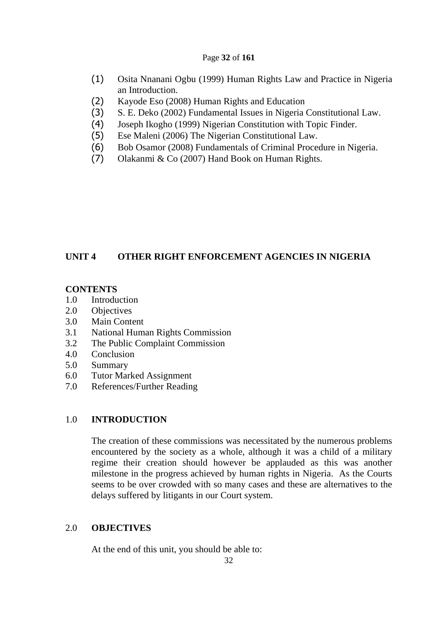## Page **32** of **161**

- (1) Osita Nnanani Ogbu (1999) Human Rights Law and Practice in Nigeria an Introduction.
- (2) Kayode Eso (2008) Human Rights and Education
- (3) S. E. Deko (2002) Fundamental Issues in Nigeria Constitutional Law.
- (4) Joseph Ikogho (1999) Nigerian Constitution with Topic Finder.
- (5) Ese Maleni (2006) The Nigerian Constitutional Law.
- (6) Bob Osamor (2008) Fundamentals of Criminal Procedure in Nigeria.
- (7) Olakanmi & Co (2007) Hand Book on Human Rights.

# **UNIT 4 OTHER RIGHT ENFORCEMENT AGENCIES IN NIGERIA**

## **CONTENTS**

- 1.0 Introduction
- 2.0 Objectives
- 3.0 Main Content
- 3.1 National Human Rights Commission
- 3.2 The Public Complaint Commission
- 4.0 Conclusion
- 5.0 Summary
- 6.0 Tutor Marked Assignment
- 7.0 References/Further Reading

## 1.0 **INTRODUCTION**

The creation of these commissions was necessitated by the numerous problems encountered by the society as a whole, although it was a child of a military regime their creation should however be applauded as this was another milestone in the progress achieved by human rights in Nigeria. As the Courts seems to be over crowded with so many cases and these are alternatives to the delays suffered by litigants in our Court system.

## 2.0 **OBJECTIVES**

At the end of this unit, you should be able to: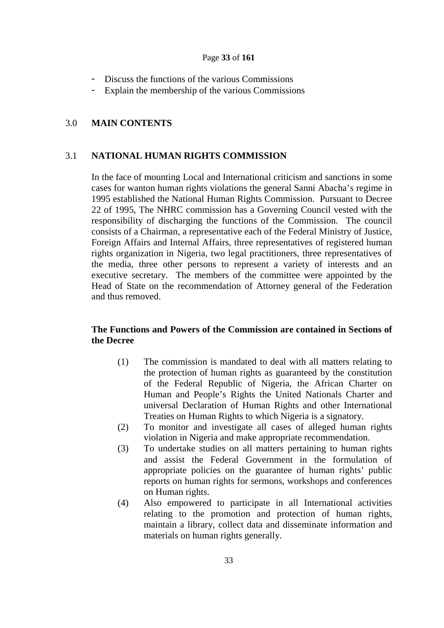## Page **33** of **161**

- Discuss the functions of the various Commissions
- Explain the membership of the various Commissions

# 3.0 **MAIN CONTENTS**

## 3.1 **NATIONAL HUMAN RIGHTS COMMISSION**

In the face of mounting Local and International criticism and sanctions in some cases for wanton human rights violations the general Sanni Abacha's regime in 1995 established the National Human Rights Commission. Pursuant to Decree 22 of 1995, The NHRC commission has a Governing Council vested with the responsibility of discharging the functions of the Commission. The council consists of a Chairman, a representative each of the Federal Ministry of Justice, Foreign Affairs and Internal Affairs, three representatives of registered human rights organization in Nigeria, two legal practitioners, three representatives of the media, three other persons to represent a variety of interests and an executive secretary. The members of the committee were appointed by the Head of State on the recommendation of Attorney general of the Federation and thus removed.

## **The Functions and Powers of the Commission are contained in Sections of the Decree**

- (1) The commission is mandated to deal with all matters relating to the protection of human rights as guaranteed by the constitution of the Federal Republic of Nigeria, the African Charter on Human and People's Rights the United Nationals Charter and universal Declaration of Human Rights and other International Treaties on Human Rights to which Nigeria is a signatory.
- (2) To monitor and investigate all cases of alleged human rights violation in Nigeria and make appropriate recommendation.
- (3) To undertake studies on all matters pertaining to human rights and assist the Federal Government in the formulation of appropriate policies on the guarantee of human rights' public reports on human rights for sermons, workshops and conferences on Human rights.
- (4) Also empowered to participate in all International activities relating to the promotion and protection of human rights, maintain a library, collect data and disseminate information and materials on human rights generally.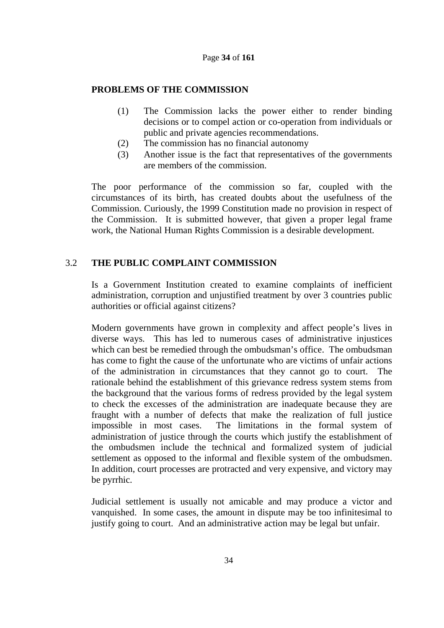## Page **34** of **161**

## **PROBLEMS OF THE COMMISSION**

- (1) The Commission lacks the power either to render binding decisions or to compel action or co-operation from individuals or public and private agencies recommendations.
- (2) The commission has no financial autonomy
- (3) Another issue is the fact that representatives of the governments are members of the commission.

The poor performance of the commission so far, coupled with the circumstances of its birth, has created doubts about the usefulness of the Commission. Curiously, the 1999 Constitution made no provision in respect of the Commission. It is submitted however, that given a proper legal frame work, the National Human Rights Commission is a desirable development.

## 3.2 **THE PUBLIC COMPLAINT COMMISSION**

Is a Government Institution created to examine complaints of inefficient administration, corruption and unjustified treatment by over 3 countries public authorities or official against citizens?

Modern governments have grown in complexity and affect people's lives in diverse ways. This has led to numerous cases of administrative injustices which can best be remedied through the ombudsman's office. The ombudsman has come to fight the cause of the unfortunate who are victims of unfair actions of the administration in circumstances that they cannot go to court. The rationale behind the establishment of this grievance redress system stems from the background that the various forms of redress provided by the legal system to check the excesses of the administration are inadequate because they are fraught with a number of defects that make the realization of full justice impossible in most cases. The limitations in the formal system of administration of justice through the courts which justify the establishment of the ombudsmen include the technical and formalized system of judicial settlement as opposed to the informal and flexible system of the ombudsmen. In addition, court processes are protracted and very expensive, and victory may be pyrrhic.

Judicial settlement is usually not amicable and may produce a victor and vanquished. In some cases, the amount in dispute may be too infinitesimal to justify going to court. And an administrative action may be legal but unfair.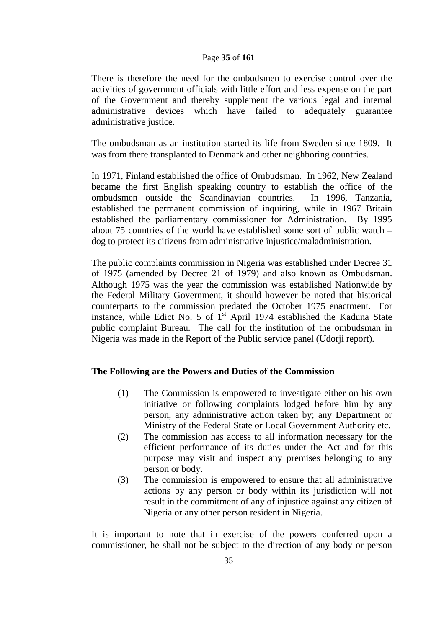## Page **35** of **161**

There is therefore the need for the ombudsmen to exercise control over the activities of government officials with little effort and less expense on the part of the Government and thereby supplement the various legal and internal administrative devices which have failed to adequately guarantee administrative justice.

The ombudsman as an institution started its life from Sweden since 1809. It was from there transplanted to Denmark and other neighboring countries.

In 1971, Finland established the office of Ombudsman. In 1962, New Zealand became the first English speaking country to establish the office of the ombudsmen outside the Scandinavian countries. In 1996, Tanzania, established the permanent commission of inquiring, while in 1967 Britain established the parliamentary commissioner for Administration. By 1995 about 75 countries of the world have established some sort of public watch – dog to protect its citizens from administrative injustice/maladministration.

The public complaints commission in Nigeria was established under Decree 31 of 1975 (amended by Decree 21 of 1979) and also known as Ombudsman. Although 1975 was the year the commission was established Nationwide by the Federal Military Government, it should however be noted that historical counterparts to the commission predated the October 1975 enactment. For instance, while Edict No. 5 of  $1<sup>st</sup>$  April 1974 established the Kaduna State public complaint Bureau. The call for the institution of the ombudsman in Nigeria was made in the Report of the Public service panel (Udorji report).

#### **The Following are the Powers and Duties of the Commission**

- (1) The Commission is empowered to investigate either on his own initiative or following complaints lodged before him by any person, any administrative action taken by; any Department or Ministry of the Federal State or Local Government Authority etc.
- (2) The commission has access to all information necessary for the efficient performance of its duties under the Act and for this purpose may visit and inspect any premises belonging to any person or body.
- (3) The commission is empowered to ensure that all administrative actions by any person or body within its jurisdiction will not result in the commitment of any of injustice against any citizen of Nigeria or any other person resident in Nigeria.

It is important to note that in exercise of the powers conferred upon a commissioner, he shall not be subject to the direction of any body or person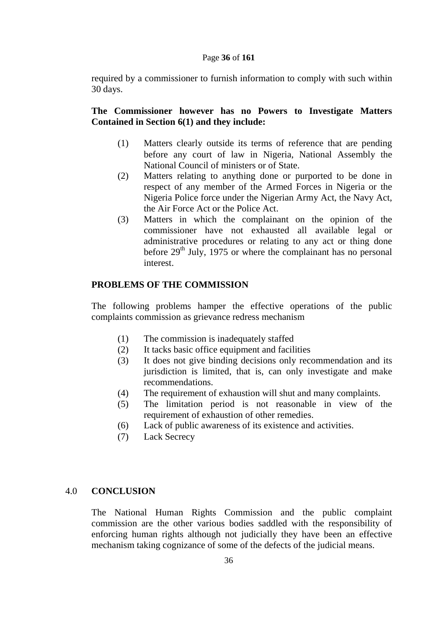## Page **36** of **161**

required by a commissioner to furnish information to comply with such within 30 days.

## **The Commissioner however has no Powers to Investigate Matters Contained in Section 6(1) and they include:**

- (1) Matters clearly outside its terms of reference that are pending before any court of law in Nigeria, National Assembly the National Council of ministers or of State.
- (2) Matters relating to anything done or purported to be done in respect of any member of the Armed Forces in Nigeria or the Nigeria Police force under the Nigerian Army Act, the Navy Act, the Air Force Act or the Police Act.
- (3) Matters in which the complainant on the opinion of the commissioner have not exhausted all available legal or administrative procedures or relating to any act or thing done before  $29<sup>th</sup>$  July, 1975 or where the complainant has no personal interest.

## **PROBLEMS OF THE COMMISSION**

The following problems hamper the effective operations of the public complaints commission as grievance redress mechanism

- (1) The commission is inadequately staffed
- (2) It tacks basic office equipment and facilities
- (3) It does not give binding decisions only recommendation and its jurisdiction is limited, that is, can only investigate and make recommendations.
- (4) The requirement of exhaustion will shut and many complaints.
- (5) The limitation period is not reasonable in view of the requirement of exhaustion of other remedies.
- (6) Lack of public awareness of its existence and activities.
- (7) Lack Secrecy

## 4.0 **CONCLUSION**

The National Human Rights Commission and the public complaint commission are the other various bodies saddled with the responsibility of enforcing human rights although not judicially they have been an effective mechanism taking cognizance of some of the defects of the judicial means.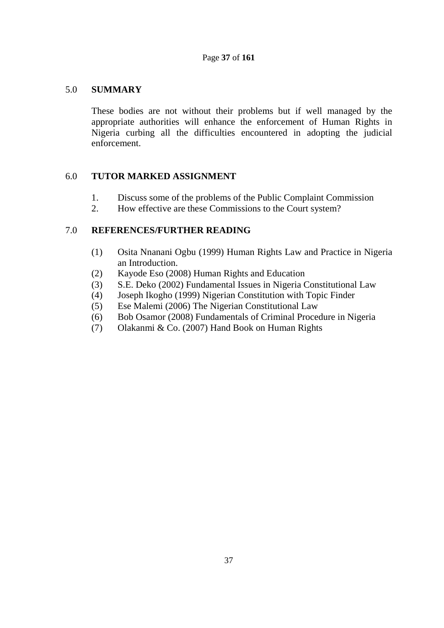# 5.0 **SUMMARY**

These bodies are not without their problems but if well managed by the appropriate authorities will enhance the enforcement of Human Rights in Nigeria curbing all the difficulties encountered in adopting the judicial enforcement.

# 6.0 **TUTOR MARKED ASSIGNMENT**

- 1. Discuss some of the problems of the Public Complaint Commission
- 2. How effective are these Commissions to the Court system?

# 7.0 **REFERENCES/FURTHER READING**

- (1) Osita Nnanani Ogbu (1999) Human Rights Law and Practice in Nigeria an Introduction.
- (2) Kayode Eso (2008) Human Rights and Education
- (3) S.E. Deko (2002) Fundamental Issues in Nigeria Constitutional Law
- (4) Joseph Ikogho (1999) Nigerian Constitution with Topic Finder
- (5) Ese Malemi (2006) The Nigerian Constitutional Law
- (6) Bob Osamor (2008) Fundamentals of Criminal Procedure in Nigeria
- (7) Olakanmi & Co. (2007) Hand Book on Human Rights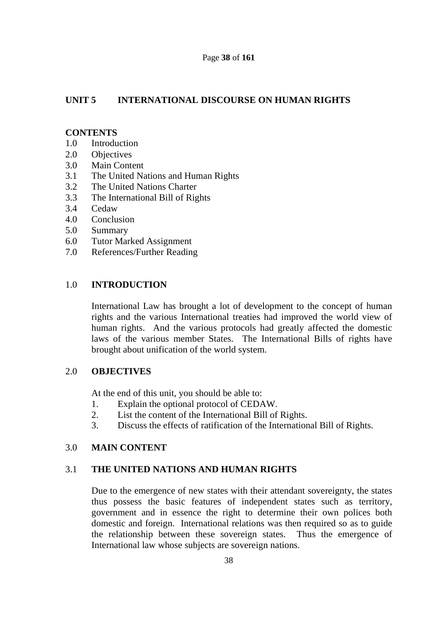# **UNIT 5 INTERNATIONAL DISCOURSE ON HUMAN RIGHTS**

### **CONTENTS**

- 1.0 Introduction
- 2.0 Objectives
- 3.0 Main Content
- 3.1 The United Nations and Human Rights
- 3.2 The United Nations Charter
- 3.3 The International Bill of Rights
- 3.4 Cedaw
- 4.0 Conclusion
- 5.0 Summary
- 6.0 Tutor Marked Assignment
- 7.0 References/Further Reading

### 1.0 **INTRODUCTION**

International Law has brought a lot of development to the concept of human rights and the various International treaties had improved the world view of human rights. And the various protocols had greatly affected the domestic laws of the various member States. The International Bills of rights have brought about unification of the world system.

# 2.0 **OBJECTIVES**

At the end of this unit, you should be able to:

- 1. Explain the optional protocol of CEDAW.
- 2. List the content of the International Bill of Rights.
- 3. Discuss the effects of ratification of the International Bill of Rights.

## 3.0 **MAIN CONTENT**

## 3.1 **THE UNITED NATIONS AND HUMAN RIGHTS**

Due to the emergence of new states with their attendant sovereignty, the states thus possess the basic features of independent states such as territory, government and in essence the right to determine their own polices both domestic and foreign. International relations was then required so as to guide the relationship between these sovereign states. Thus the emergence of International law whose subjects are sovereign nations.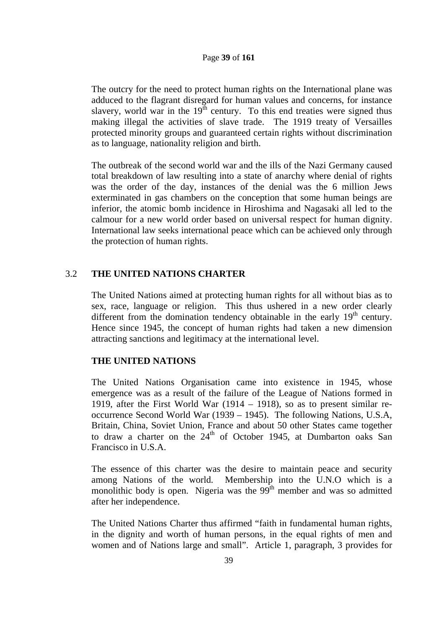#### Page **39** of **161**

The outcry for the need to protect human rights on the International plane was adduced to the flagrant disregard for human values and concerns, for instance slavery, world war in the  $19^{th}$  century. To this end treaties were signed thus making illegal the activities of slave trade. The 1919 treaty of Versailles protected minority groups and guaranteed certain rights without discrimination as to language, nationality religion and birth.

The outbreak of the second world war and the ills of the Nazi Germany caused total breakdown of law resulting into a state of anarchy where denial of rights was the order of the day, instances of the denial was the 6 million Jews exterminated in gas chambers on the conception that some human beings are inferior, the atomic bomb incidence in Hiroshima and Nagasaki all led to the calmour for a new world order based on universal respect for human dignity. International law seeks international peace which can be achieved only through the protection of human rights.

## 3.2 **THE UNITED NATIONS CHARTER**

The United Nations aimed at protecting human rights for all without bias as to sex, race, language or religion. This thus ushered in a new order clearly different from the domination tendency obtainable in the early  $19<sup>th</sup>$  century. Hence since 1945, the concept of human rights had taken a new dimension attracting sanctions and legitimacy at the international level.

## **THE UNITED NATIONS**

The United Nations Organisation came into existence in 1945, whose emergence was as a result of the failure of the League of Nations formed in 1919, after the First World War (1914 – 1918), so as to present similar reoccurrence Second World War (1939 – 1945). The following Nations, U.S.A, Britain, China, Soviet Union, France and about 50 other States came together to draw a charter on the  $24<sup>th</sup>$  of October 1945, at Dumbarton oaks San Francisco in U.S.A.

The essence of this charter was the desire to maintain peace and security among Nations of the world. Membership into the U.N.O which is a monolithic body is open. Nigeria was the  $99<sup>th</sup>$  member and was so admitted after her independence.

The United Nations Charter thus affirmed "faith in fundamental human rights, in the dignity and worth of human persons, in the equal rights of men and women and of Nations large and small". Article 1, paragraph, 3 provides for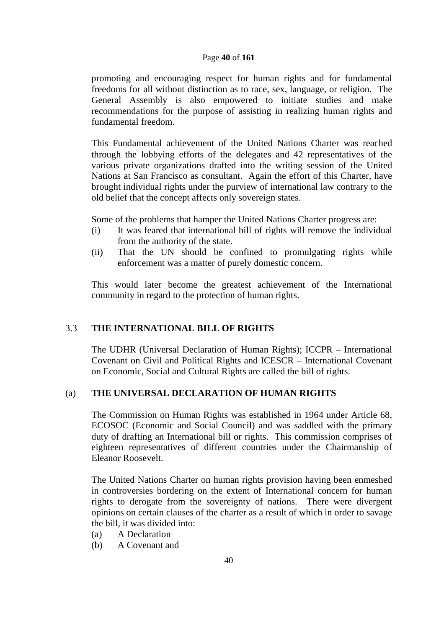### Page **40** of **161**

promoting and encouraging respect for human rights and for fundamental freedoms for all without distinction as to race, sex, language, or religion. The General Assembly is also empowered to initiate studies and make recommendations for the purpose of assisting in realizing human rights and fundamental freedom.

This Fundamental achievement of the United Nations Charter was reached through the lobbying efforts of the delegates and 42 representatives of the various private organizations drafted into the writing session of the United Nations at San Francisco as consultant. Again the effort of this Charter, have brought individual rights under the purview of international law contrary to the old belief that the concept affects only sovereign states.

Some of the problems that hamper the United Nations Charter progress are:

- (i) It was feared that international bill of rights will remove the individual from the authority of the state.
- (ii) That the UN should be confined to promulgating rights while enforcement was a matter of purely domestic concern.

This would later become the greatest achievement of the International community in regard to the protection of human rights.

# 3.3 **THE INTERNATIONAL BILL OF RIGHTS**

The UDHR (Universal Declaration of Human Rights); ICCPR – International Covenant on Civil and Political Rights and ICESCR – International Covenant on Economic, Social and Cultural Rights are called the bill of rights.

## (a) **THE UNIVERSAL DECLARATION OF HUMAN RIGHTS**

The Commission on Human Rights was established in 1964 under Article 68, ECOSOC (Economic and Social Council) and was saddled with the primary duty of drafting an International bill or rights. This commission comprises of eighteen representatives of different countries under the Chairmanship of Eleanor Roosevelt.

The United Nations Charter on human rights provision having been enmeshed in controversies bordering on the extent of International concern for human rights to derogate from the sovereignty of nations. There were divergent opinions on certain clauses of the charter as a result of which in order to savage the bill, it was divided into:

- (a) A Declaration
- (b) A Covenant and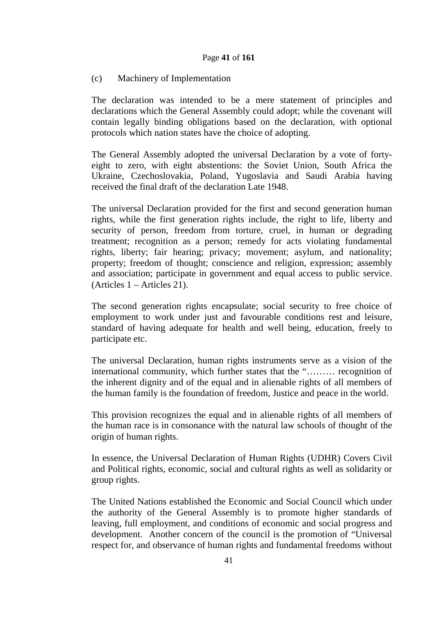### Page **41** of **161**

#### (c) Machinery of Implementation

The declaration was intended to be a mere statement of principles and declarations which the General Assembly could adopt; while the covenant will contain legally binding obligations based on the declaration, with optional protocols which nation states have the choice of adopting.

The General Assembly adopted the universal Declaration by a vote of fortyeight to zero, with eight abstentions: the Soviet Union, South Africa the Ukraine, Czechoslovakia, Poland, Yugoslavia and Saudi Arabia having received the final draft of the declaration Late 1948.

The universal Declaration provided for the first and second generation human rights, while the first generation rights include, the right to life, liberty and security of person, freedom from torture, cruel, in human or degrading treatment; recognition as a person; remedy for acts violating fundamental rights, liberty; fair hearing; privacy; movement; asylum, and nationality; property; freedom of thought; conscience and religion, expression; assembly and association; participate in government and equal access to public service. (Articles 1 – Articles 21).

The second generation rights encapsulate; social security to free choice of employment to work under just and favourable conditions rest and leisure, standard of having adequate for health and well being, education, freely to participate etc.

The universal Declaration, human rights instruments serve as a vision of the international community, which further states that the "……… recognition of the inherent dignity and of the equal and in alienable rights of all members of the human family is the foundation of freedom, Justice and peace in the world.

This provision recognizes the equal and in alienable rights of all members of the human race is in consonance with the natural law schools of thought of the origin of human rights.

In essence, the Universal Declaration of Human Rights (UDHR) Covers Civil and Political rights, economic, social and cultural rights as well as solidarity or group rights.

The United Nations established the Economic and Social Council which under the authority of the General Assembly is to promote higher standards of leaving, full employment, and conditions of economic and social progress and development. Another concern of the council is the promotion of "Universal respect for, and observance of human rights and fundamental freedoms without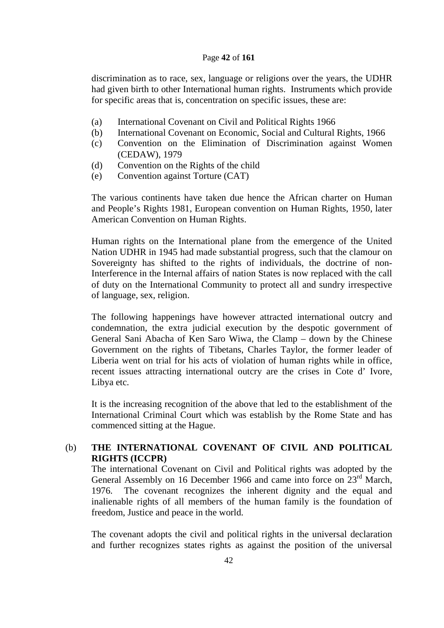### Page **42** of **161**

discrimination as to race, sex, language or religions over the years, the UDHR had given birth to other International human rights. Instruments which provide for specific areas that is, concentration on specific issues, these are:

- (a) International Covenant on Civil and Political Rights 1966
- (b) International Covenant on Economic, Social and Cultural Rights, 1966
- (c) Convention on the Elimination of Discrimination against Women (CEDAW), 1979
- (d) Convention on the Rights of the child
- (e) Convention against Torture (CAT)

The various continents have taken due hence the African charter on Human and People's Rights 1981, European convention on Human Rights, 1950, later American Convention on Human Rights.

Human rights on the International plane from the emergence of the United Nation UDHR in 1945 had made substantial progress, such that the clamour on Sovereignty has shifted to the rights of individuals, the doctrine of non-Interference in the Internal affairs of nation States is now replaced with the call of duty on the International Community to protect all and sundry irrespective of language, sex, religion.

The following happenings have however attracted international outcry and condemnation, the extra judicial execution by the despotic government of General Sani Abacha of Ken Saro Wiwa, the Clamp – down by the Chinese Government on the rights of Tibetans, Charles Taylor, the former leader of Liberia went on trial for his acts of violation of human rights while in office, recent issues attracting international outcry are the crises in Cote d' Ivore, Libya etc.

It is the increasing recognition of the above that led to the establishment of the International Criminal Court which was establish by the Rome State and has commenced sitting at the Hague.

# (b) **THE INTERNATIONAL COVENANT OF CIVIL AND POLITICAL RIGHTS (ICCPR)**

The international Covenant on Civil and Political rights was adopted by the General Assembly on 16 December 1966 and came into force on 23<sup>rd</sup> March, 1976. The covenant recognizes the inherent dignity and the equal and inalienable rights of all members of the human family is the foundation of freedom, Justice and peace in the world.

The covenant adopts the civil and political rights in the universal declaration and further recognizes states rights as against the position of the universal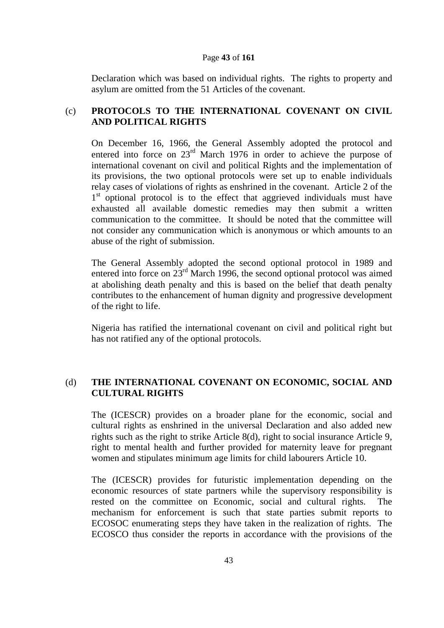#### Page **43** of **161**

Declaration which was based on individual rights. The rights to property and asylum are omitted from the 51 Articles of the covenant.

# (c) **PROTOCOLS TO THE INTERNATIONAL COVENANT ON CIVIL AND POLITICAL RIGHTS**

On December 16, 1966, the General Assembly adopted the protocol and entered into force on  $23<sup>rd</sup>$  March 1976 in order to achieve the purpose of international covenant on civil and political Rights and the implementation of its provisions, the two optional protocols were set up to enable individuals relay cases of violations of rights as enshrined in the covenant. Article 2 of the 1<sup>st</sup> optional protocol is to the effect that aggrieved individuals must have exhausted all available domestic remedies may then submit a written communication to the committee. It should be noted that the committee will not consider any communication which is anonymous or which amounts to an abuse of the right of submission.

The General Assembly adopted the second optional protocol in 1989 and entered into force on  $23<sup>rd</sup>$  March 1996, the second optional protocol was aimed at abolishing death penalty and this is based on the belief that death penalty contributes to the enhancement of human dignity and progressive development of the right to life.

Nigeria has ratified the international covenant on civil and political right but has not ratified any of the optional protocols.

# (d) **THE INTERNATIONAL COVENANT ON ECONOMIC, SOCIAL AND CULTURAL RIGHTS**

The (ICESCR) provides on a broader plane for the economic, social and cultural rights as enshrined in the universal Declaration and also added new rights such as the right to strike Article 8(d), right to social insurance Article 9, right to mental health and further provided for maternity leave for pregnant women and stipulates minimum age limits for child labourers Article 10.

The (ICESCR) provides for futuristic implementation depending on the economic resources of state partners while the supervisory responsibility is rested on the committee on Economic, social and cultural rights. The mechanism for enforcement is such that state parties submit reports to ECOSOC enumerating steps they have taken in the realization of rights. The ECOSCO thus consider the reports in accordance with the provisions of the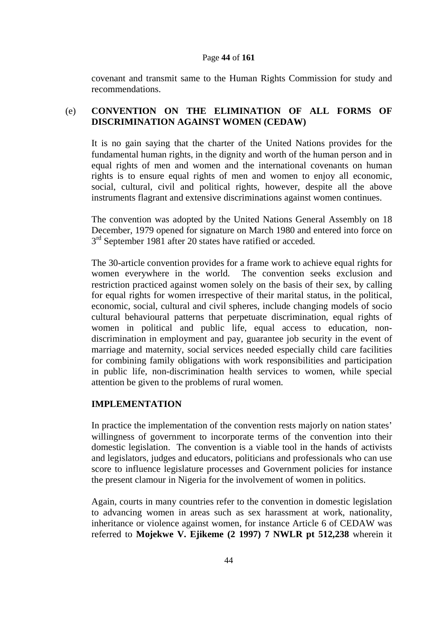#### Page **44** of **161**

covenant and transmit same to the Human Rights Commission for study and recommendations.

# (e) **CONVENTION ON THE ELIMINATION OF ALL FORMS OF DISCRIMINATION AGAINST WOMEN (CEDAW)**

It is no gain saying that the charter of the United Nations provides for the fundamental human rights, in the dignity and worth of the human person and in equal rights of men and women and the international covenants on human rights is to ensure equal rights of men and women to enjoy all economic, social, cultural, civil and political rights, however, despite all the above instruments flagrant and extensive discriminations against women continues.

The convention was adopted by the United Nations General Assembly on 18 December, 1979 opened for signature on March 1980 and entered into force on 3<sup>rd</sup> September 1981 after 20 states have ratified or acceded.

The 30-article convention provides for a frame work to achieve equal rights for women everywhere in the world. The convention seeks exclusion and restriction practiced against women solely on the basis of their sex, by calling for equal rights for women irrespective of their marital status, in the political, economic, social, cultural and civil spheres, include changing models of socio cultural behavioural patterns that perpetuate discrimination, equal rights of women in political and public life, equal access to education, nondiscrimination in employment and pay, guarantee job security in the event of marriage and maternity, social services needed especially child care facilities for combining family obligations with work responsibilities and participation in public life, non-discrimination health services to women, while special attention be given to the problems of rural women.

## **IMPLEMENTATION**

In practice the implementation of the convention rests majorly on nation states' willingness of government to incorporate terms of the convention into their domestic legislation. The convention is a viable tool in the hands of activists and legislators, judges and educators, politicians and professionals who can use score to influence legislature processes and Government policies for instance the present clamour in Nigeria for the involvement of women in politics.

Again, courts in many countries refer to the convention in domestic legislation to advancing women in areas such as sex harassment at work, nationality, inheritance or violence against women, for instance Article 6 of CEDAW was referred to **Mojekwe V. Ejikeme (2 1997) 7 NWLR pt 512,238** wherein it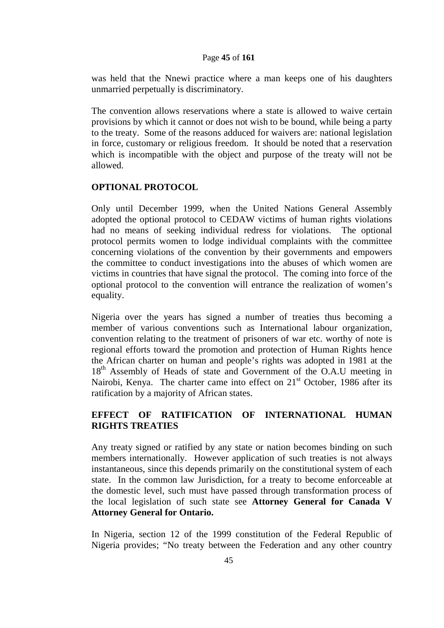#### Page **45** of **161**

was held that the Nnewi practice where a man keeps one of his daughters unmarried perpetually is discriminatory.

The convention allows reservations where a state is allowed to waive certain provisions by which it cannot or does not wish to be bound, while being a party to the treaty. Some of the reasons adduced for waivers are: national legislation in force, customary or religious freedom. It should be noted that a reservation which is incompatible with the object and purpose of the treaty will not be allowed.

### **OPTIONAL PROTOCOL**

Only until December 1999, when the United Nations General Assembly adopted the optional protocol to CEDAW victims of human rights violations had no means of seeking individual redress for violations. The optional protocol permits women to lodge individual complaints with the committee concerning violations of the convention by their governments and empowers the committee to conduct investigations into the abuses of which women are victims in countries that have signal the protocol. The coming into force of the optional protocol to the convention will entrance the realization of women's equality.

Nigeria over the years has signed a number of treaties thus becoming a member of various conventions such as International labour organization, convention relating to the treatment of prisoners of war etc. worthy of note is regional efforts toward the promotion and protection of Human Rights hence the African charter on human and people's rights was adopted in 1981 at the 18<sup>th</sup> Assembly of Heads of state and Government of the O.A.U meeting in Nairobi, Kenya. The charter came into effect on 21<sup>st</sup> October, 1986 after its ratification by a majority of African states.

# **EFFECT OF RATIFICATION OF INTERNATIONAL HUMAN RIGHTS TREATIES**

Any treaty signed or ratified by any state or nation becomes binding on such members internationally. However application of such treaties is not always instantaneous, since this depends primarily on the constitutional system of each state. In the common law Jurisdiction, for a treaty to become enforceable at the domestic level, such must have passed through transformation process of the local legislation of such state see **Attorney General for Canada V Attorney General for Ontario.** 

In Nigeria, section 12 of the 1999 constitution of the Federal Republic of Nigeria provides; "No treaty between the Federation and any other country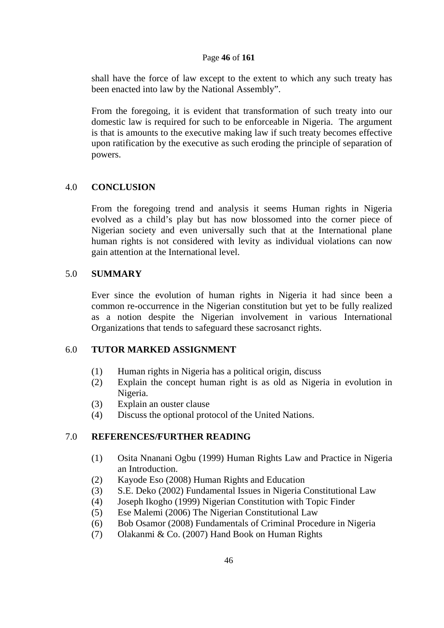### Page **46** of **161**

shall have the force of law except to the extent to which any such treaty has been enacted into law by the National Assembly".

From the foregoing, it is evident that transformation of such treaty into our domestic law is required for such to be enforceable in Nigeria. The argument is that is amounts to the executive making law if such treaty becomes effective upon ratification by the executive as such eroding the principle of separation of powers.

## 4.0 **CONCLUSION**

From the foregoing trend and analysis it seems Human rights in Nigeria evolved as a child's play but has now blossomed into the corner piece of Nigerian society and even universally such that at the International plane human rights is not considered with levity as individual violations can now gain attention at the International level.

# 5.0 **SUMMARY**

Ever since the evolution of human rights in Nigeria it had since been a common re-occurrence in the Nigerian constitution but yet to be fully realized as a notion despite the Nigerian involvement in various International Organizations that tends to safeguard these sacrosanct rights.

## 6.0 **TUTOR MARKED ASSIGNMENT**

- (1) Human rights in Nigeria has a political origin, discuss
- (2) Explain the concept human right is as old as Nigeria in evolution in Nigeria.
- (3) Explain an ouster clause
- (4) Discuss the optional protocol of the United Nations.

# 7.0 **REFERENCES/FURTHER READING**

- (1) Osita Nnanani Ogbu (1999) Human Rights Law and Practice in Nigeria an Introduction.
- (2) Kayode Eso (2008) Human Rights and Education
- (3) S.E. Deko (2002) Fundamental Issues in Nigeria Constitutional Law
- (4) Joseph Ikogho (1999) Nigerian Constitution with Topic Finder
- (5) Ese Malemi (2006) The Nigerian Constitutional Law
- (6) Bob Osamor (2008) Fundamentals of Criminal Procedure in Nigeria
- (7) Olakanmi & Co. (2007) Hand Book on Human Rights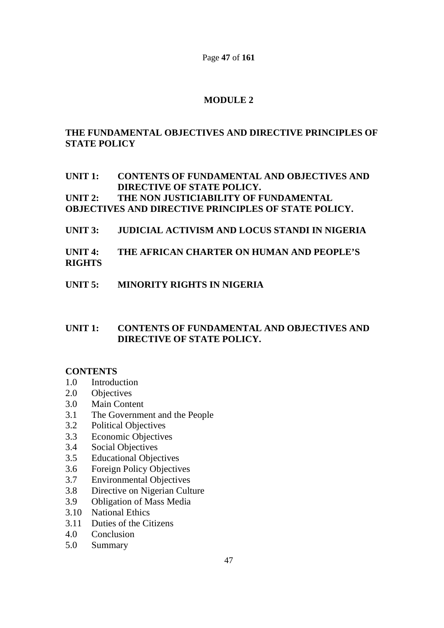Page **47** of **161**

# **MODULE 2**

# **THE FUNDAMENTAL OBJECTIVES AND DIRECTIVE PRINCIPLES OF STATE POLICY**

## **UNIT 1: CONTENTS OF FUNDAMENTAL AND OBJECTIVES AND DIRECTIVE OF STATE POLICY. UNIT 2: THE NON JUSTICIABILITY OF FUNDAMENTAL OBJECTIVES AND DIRECTIVE PRINCIPLES OF STATE POLICY.**

**UNIT 3: JUDICIAL ACTIVISM AND LOCUS STANDI IN NIGERIA** 

# **UNIT 4: THE AFRICAN CHARTER ON HUMAN AND PEOPLE'S RIGHTS**

**UNIT 5: MINORITY RIGHTS IN NIGERIA** 

# **UNIT 1: CONTENTS OF FUNDAMENTAL AND OBJECTIVES AND DIRECTIVE OF STATE POLICY.**

## **CONTENTS**

- 1.0 Introduction
- 2.0 Objectives
- 3.0 Main Content
- 3.1 The Government and the People
- 3.2 Political Objectives
- 3.3 Economic Objectives
- 3.4 Social Objectives
- 3.5 Educational Objectives
- 3.6 Foreign Policy Objectives
- 3.7 Environmental Objectives
- 3.8 Directive on Nigerian Culture
- 3.9 Obligation of Mass Media
- 3.10 National Ethics
- 3.11 Duties of the Citizens
- 4.0 Conclusion
- 5.0 Summary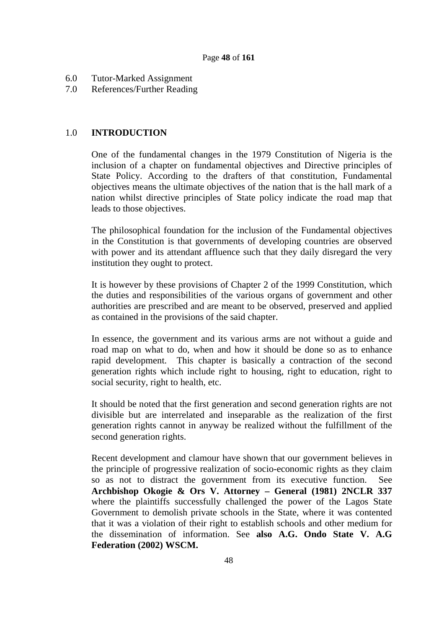- 6.0 Tutor-Marked Assignment
- 7.0 References/Further Reading

## 1.0 **INTRODUCTION**

One of the fundamental changes in the 1979 Constitution of Nigeria is the inclusion of a chapter on fundamental objectives and Directive principles of State Policy. According to the drafters of that constitution, Fundamental objectives means the ultimate objectives of the nation that is the hall mark of a nation whilst directive principles of State policy indicate the road map that leads to those objectives.

The philosophical foundation for the inclusion of the Fundamental objectives in the Constitution is that governments of developing countries are observed with power and its attendant affluence such that they daily disregard the very institution they ought to protect.

It is however by these provisions of Chapter 2 of the 1999 Constitution, which the duties and responsibilities of the various organs of government and other authorities are prescribed and are meant to be observed, preserved and applied as contained in the provisions of the said chapter.

In essence, the government and its various arms are not without a guide and road map on what to do, when and how it should be done so as to enhance rapid development. This chapter is basically a contraction of the second generation rights which include right to housing, right to education, right to social security, right to health, etc.

It should be noted that the first generation and second generation rights are not divisible but are interrelated and inseparable as the realization of the first generation rights cannot in anyway be realized without the fulfillment of the second generation rights.

Recent development and clamour have shown that our government believes in the principle of progressive realization of socio-economic rights as they claim so as not to distract the government from its executive function. See **Archbishop Okogie & Ors V. Attorney – General (1981) 2NCLR 337** where the plaintiffs successfully challenged the power of the Lagos State Government to demolish private schools in the State, where it was contented that it was a violation of their right to establish schools and other medium for the dissemination of information. See **also A.G. Ondo State V. A.G Federation (2002) WSCM.**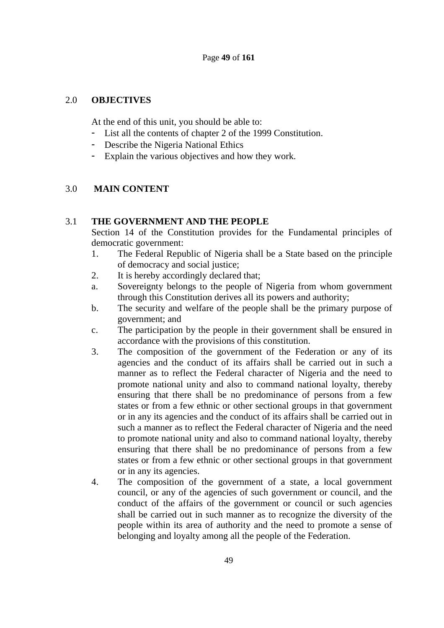### Page **49** of **161**

# 2.0 **OBJECTIVES**

At the end of this unit, you should be able to:

- List all the contents of chapter 2 of the 1999 Constitution.
- Describe the Nigeria National Ethics
- Explain the various objectives and how they work.

# 3.0 **MAIN CONTENT**

# 3.1 **THE GOVERNMENT AND THE PEOPLE**

Section 14 of the Constitution provides for the Fundamental principles of democratic government:

- 1. The Federal Republic of Nigeria shall be a State based on the principle of democracy and social justice;
- 2. It is hereby accordingly declared that;
- a. Sovereignty belongs to the people of Nigeria from whom government through this Constitution derives all its powers and authority;
- b. The security and welfare of the people shall be the primary purpose of government; and
- c. The participation by the people in their government shall be ensured in accordance with the provisions of this constitution.
- 3. The composition of the government of the Federation or any of its agencies and the conduct of its affairs shall be carried out in such a manner as to reflect the Federal character of Nigeria and the need to promote national unity and also to command national loyalty, thereby ensuring that there shall be no predominance of persons from a few states or from a few ethnic or other sectional groups in that government or in any its agencies and the conduct of its affairs shall be carried out in such a manner as to reflect the Federal character of Nigeria and the need to promote national unity and also to command national loyalty, thereby ensuring that there shall be no predominance of persons from a few states or from a few ethnic or other sectional groups in that government or in any its agencies.
- 4. The composition of the government of a state, a local government council, or any of the agencies of such government or council, and the conduct of the affairs of the government or council or such agencies shall be carried out in such manner as to recognize the diversity of the people within its area of authority and the need to promote a sense of belonging and loyalty among all the people of the Federation.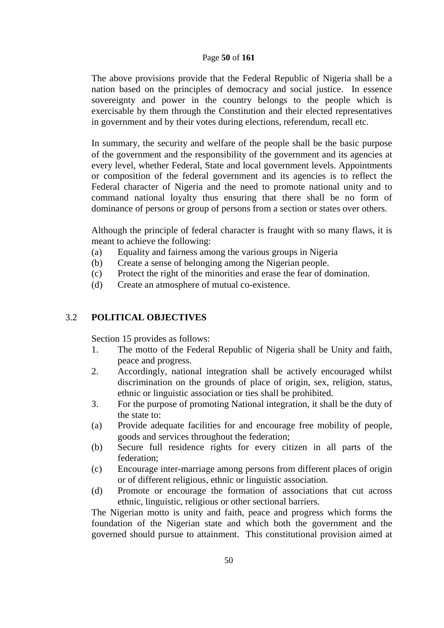### Page **50** of **161**

The above provisions provide that the Federal Republic of Nigeria shall be a nation based on the principles of democracy and social justice. In essence sovereignty and power in the country belongs to the people which is exercisable by them through the Constitution and their elected representatives in government and by their votes during elections, referendum, recall etc.

In summary, the security and welfare of the people shall be the basic purpose of the government and the responsibility of the government and its agencies at every level, whether Federal, State and local government levels. Appointments or composition of the federal government and its agencies is to reflect the Federal character of Nigeria and the need to promote national unity and to command national loyalty thus ensuring that there shall be no form of dominance of persons or group of persons from a section or states over others.

Although the principle of federal character is fraught with so many flaws, it is meant to achieve the following:

- (a) Equality and fairness among the various groups in Nigeria
- (b) Create a sense of belonging among the Nigerian people.
- (c) Protect the right of the minorities and erase the fear of domination.
- (d) Create an atmosphere of mutual co-existence.

## 3.2 **POLITICAL OBJECTIVES**

Section 15 provides as follows:

- 1. The motto of the Federal Republic of Nigeria shall be Unity and faith, peace and progress.
- 2. Accordingly, national integration shall be actively encouraged whilst discrimination on the grounds of place of origin, sex, religion, status, ethnic or linguistic association or ties shall be prohibited.
- 3. For the purpose of promoting National integration, it shall be the duty of the state to:
- (a) Provide adequate facilities for and encourage free mobility of people, goods and services throughout the federation;
- (b) Secure full residence rights for every citizen in all parts of the federation;
- (c) Encourage inter-marriage among persons from different places of origin or of different religious, ethnic or linguistic association.
- (d) Promote or encourage the formation of associations that cut across ethnic, linguistic, religious or other sectional barriers.

The Nigerian motto is unity and faith, peace and progress which forms the foundation of the Nigerian state and which both the government and the governed should pursue to attainment. This constitutional provision aimed at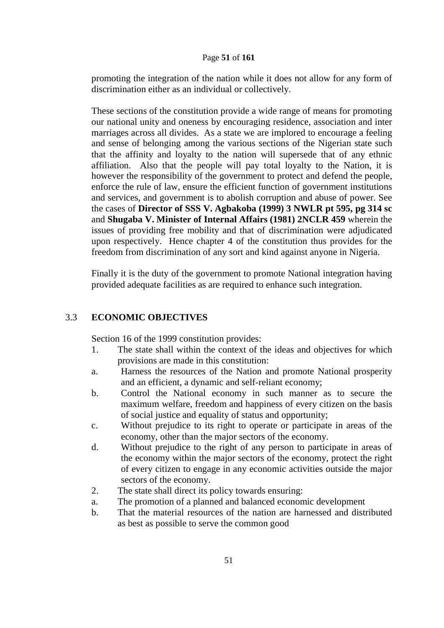### Page **51** of **161**

promoting the integration of the nation while it does not allow for any form of discrimination either as an individual or collectively.

These sections of the constitution provide a wide range of means for promoting our national unity and oneness by encouraging residence, association and inter marriages across all divides. As a state we are implored to encourage a feeling and sense of belonging among the various sections of the Nigerian state such that the affinity and loyalty to the nation will supersede that of any ethnic affiliation. Also that the people will pay total loyalty to the Nation, it is however the responsibility of the government to protect and defend the people, enforce the rule of law, ensure the efficient function of government institutions and services, and government is to abolish corruption and abuse of power. See the cases of **Director of SSS V. Agbakoba (1999) 3 NWLR pt 595, pg 314 sc** and **Shugaba V. Minister of Internal Affairs (1981) 2NCLR 459** wherein the issues of providing free mobility and that of discrimination were adjudicated upon respectively. Hence chapter 4 of the constitution thus provides for the freedom from discrimination of any sort and kind against anyone in Nigeria.

Finally it is the duty of the government to promote National integration having provided adequate facilities as are required to enhance such integration.

# 3.3 **ECONOMIC OBJECTIVES**

Section 16 of the 1999 constitution provides:

- 1. The state shall within the context of the ideas and objectives for which provisions are made in this constitution:
- a. Harness the resources of the Nation and promote National prosperity and an efficient, a dynamic and self-reliant economy;
- b. Control the National economy in such manner as to secure the maximum welfare, freedom and happiness of every citizen on the basis of social justice and equality of status and opportunity;
- c. Without prejudice to its right to operate or participate in areas of the economy, other than the major sectors of the economy.
- d. Without prejudice to the right of any person to participate in areas of the economy within the major sectors of the economy, protect the right of every citizen to engage in any economic activities outside the major sectors of the economy.
- 2. The state shall direct its policy towards ensuring:
- a. The promotion of a planned and balanced economic development
- b. That the material resources of the nation are harnessed and distributed as best as possible to serve the common good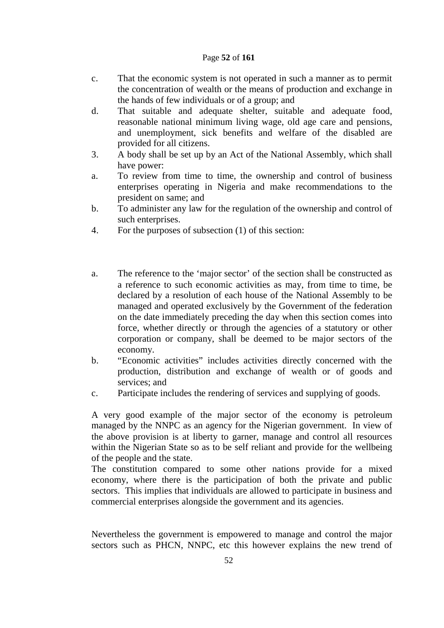### Page **52** of **161**

- c. That the economic system is not operated in such a manner as to permit the concentration of wealth or the means of production and exchange in the hands of few individuals or of a group; and
- d. That suitable and adequate shelter, suitable and adequate food, reasonable national minimum living wage, old age care and pensions, and unemployment, sick benefits and welfare of the disabled are provided for all citizens.
- 3. A body shall be set up by an Act of the National Assembly, which shall have power:
- a. To review from time to time, the ownership and control of business enterprises operating in Nigeria and make recommendations to the president on same; and
- b. To administer any law for the regulation of the ownership and control of such enterprises.
- 4. For the purposes of subsection (1) of this section:
- a. The reference to the 'major sector' of the section shall be constructed as a reference to such economic activities as may, from time to time, be declared by a resolution of each house of the National Assembly to be managed and operated exclusively by the Government of the federation on the date immediately preceding the day when this section comes into force, whether directly or through the agencies of a statutory or other corporation or company, shall be deemed to be major sectors of the economy.
- b. "Economic activities" includes activities directly concerned with the production, distribution and exchange of wealth or of goods and services; and
- c. Participate includes the rendering of services and supplying of goods.

A very good example of the major sector of the economy is petroleum managed by the NNPC as an agency for the Nigerian government. In view of the above provision is at liberty to garner, manage and control all resources within the Nigerian State so as to be self reliant and provide for the wellbeing of the people and the state.

The constitution compared to some other nations provide for a mixed economy, where there is the participation of both the private and public sectors. This implies that individuals are allowed to participate in business and commercial enterprises alongside the government and its agencies.

Nevertheless the government is empowered to manage and control the major sectors such as PHCN, NNPC, etc this however explains the new trend of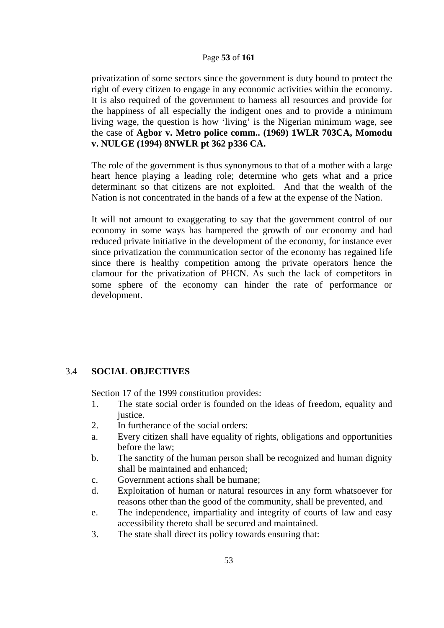### Page **53** of **161**

privatization of some sectors since the government is duty bound to protect the right of every citizen to engage in any economic activities within the economy. It is also required of the government to harness all resources and provide for the happiness of all especially the indigent ones and to provide a minimum living wage, the question is how 'living' is the Nigerian minimum wage, see the case of **Agbor v. Metro police comm.. (1969) 1WLR 703CA, Momodu v. NULGE (1994) 8NWLR pt 362 p336 CA.** 

The role of the government is thus synonymous to that of a mother with a large heart hence playing a leading role; determine who gets what and a price determinant so that citizens are not exploited. And that the wealth of the Nation is not concentrated in the hands of a few at the expense of the Nation.

It will not amount to exaggerating to say that the government control of our economy in some ways has hampered the growth of our economy and had reduced private initiative in the development of the economy, for instance ever since privatization the communication sector of the economy has regained life since there is healthy competition among the private operators hence the clamour for the privatization of PHCN. As such the lack of competitors in some sphere of the economy can hinder the rate of performance or development.

# 3.4 **SOCIAL OBJECTIVES**

Section 17 of the 1999 constitution provides:

- 1. The state social order is founded on the ideas of freedom, equality and justice.
- 2. In furtherance of the social orders:
- a. Every citizen shall have equality of rights, obligations and opportunities before the law;
- b. The sanctity of the human person shall be recognized and human dignity shall be maintained and enhanced;
- c. Government actions shall be humane;
- d. Exploitation of human or natural resources in any form whatsoever for reasons other than the good of the community, shall be prevented, and
- e. The independence, impartiality and integrity of courts of law and easy accessibility thereto shall be secured and maintained.
- 3. The state shall direct its policy towards ensuring that: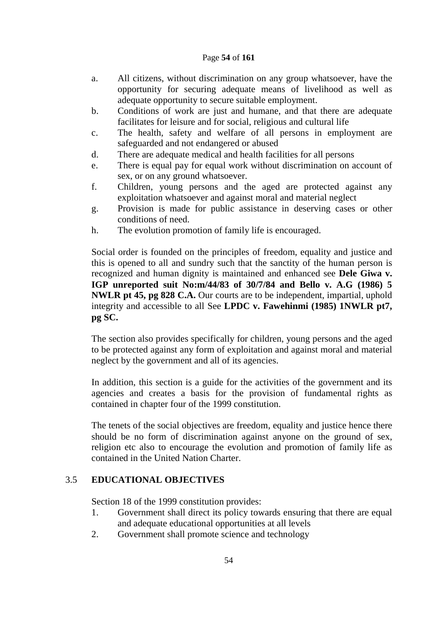### Page **54** of **161**

- a. All citizens, without discrimination on any group whatsoever, have the opportunity for securing adequate means of livelihood as well as adequate opportunity to secure suitable employment.
- b. Conditions of work are just and humane, and that there are adequate facilitates for leisure and for social, religious and cultural life
- c. The health, safety and welfare of all persons in employment are safeguarded and not endangered or abused
- d. There are adequate medical and health facilities for all persons
- e. There is equal pay for equal work without discrimination on account of sex, or on any ground whatsoever.
- f. Children, young persons and the aged are protected against any exploitation whatsoever and against moral and material neglect
- g. Provision is made for public assistance in deserving cases or other conditions of need.
- h. The evolution promotion of family life is encouraged.

Social order is founded on the principles of freedom, equality and justice and this is opened to all and sundry such that the sanctity of the human person is recognized and human dignity is maintained and enhanced see **Dele Giwa v. IGP unreported suit No:m/44/83 of 30/7/84 and Bello v. A.G (1986) 5 NWLR pt 45, pg 828 C.A.** Our courts are to be independent, impartial, uphold integrity and accessible to all See **LPDC v. Fawehinmi (1985) 1NWLR pt7, pg SC.** 

The section also provides specifically for children, young persons and the aged to be protected against any form of exploitation and against moral and material neglect by the government and all of its agencies.

In addition, this section is a guide for the activities of the government and its agencies and creates a basis for the provision of fundamental rights as contained in chapter four of the 1999 constitution.

The tenets of the social objectives are freedom, equality and justice hence there should be no form of discrimination against anyone on the ground of sex, religion etc also to encourage the evolution and promotion of family life as contained in the United Nation Charter.

## 3.5 **EDUCATIONAL OBJECTIVES**

Section 18 of the 1999 constitution provides:

- 1. Government shall direct its policy towards ensuring that there are equal and adequate educational opportunities at all levels
- 2. Government shall promote science and technology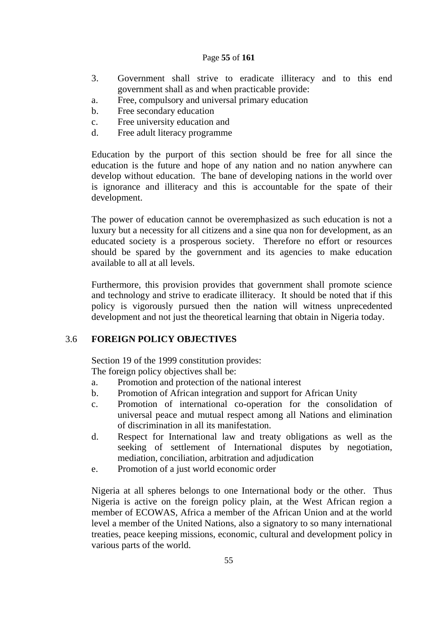## Page **55** of **161**

- 3. Government shall strive to eradicate illiteracy and to this end government shall as and when practicable provide:
- a. Free, compulsory and universal primary education
- b. Free secondary education
- c. Free university education and
- d. Free adult literacy programme

Education by the purport of this section should be free for all since the education is the future and hope of any nation and no nation anywhere can develop without education. The bane of developing nations in the world over is ignorance and illiteracy and this is accountable for the spate of their development.

The power of education cannot be overemphasized as such education is not a luxury but a necessity for all citizens and a sine qua non for development, as an educated society is a prosperous society. Therefore no effort or resources should be spared by the government and its agencies to make education available to all at all levels.

Furthermore, this provision provides that government shall promote science and technology and strive to eradicate illiteracy. It should be noted that if this policy is vigorously pursued then the nation will witness unprecedented development and not just the theoretical learning that obtain in Nigeria today.

# 3.6 **FOREIGN POLICY OBJECTIVES**

Section 19 of the 1999 constitution provides:

The foreign policy objectives shall be:

- a. Promotion and protection of the national interest
- b. Promotion of African integration and support for African Unity
- c. Promotion of international co-operation for the consolidation of universal peace and mutual respect among all Nations and elimination of discrimination in all its manifestation.
- d. Respect for International law and treaty obligations as well as the seeking of settlement of International disputes by negotiation, mediation, conciliation, arbitration and adjudication
- e. Promotion of a just world economic order

Nigeria at all spheres belongs to one International body or the other. Thus Nigeria is active on the foreign policy plain, at the West African region a member of ECOWAS, Africa a member of the African Union and at the world level a member of the United Nations, also a signatory to so many international treaties, peace keeping missions, economic, cultural and development policy in various parts of the world.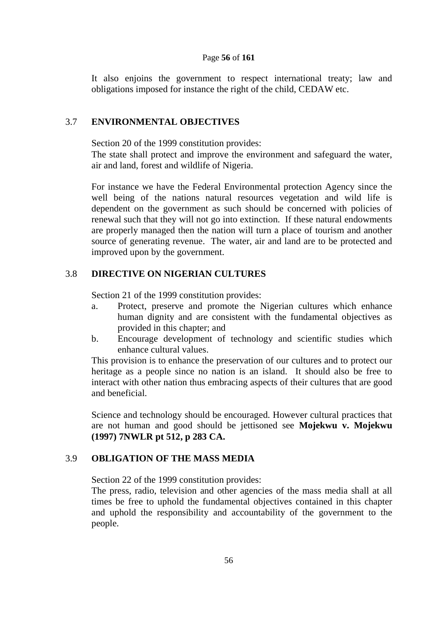### Page **56** of **161**

It also enjoins the government to respect international treaty; law and obligations imposed for instance the right of the child, CEDAW etc.

### 3.7 **ENVIRONMENTAL OBJECTIVES**

Section 20 of the 1999 constitution provides: The state shall protect and improve the environment and safeguard the water, air and land, forest and wildlife of Nigeria.

For instance we have the Federal Environmental protection Agency since the well being of the nations natural resources vegetation and wild life is dependent on the government as such should be concerned with policies of renewal such that they will not go into extinction. If these natural endowments are properly managed then the nation will turn a place of tourism and another source of generating revenue. The water, air and land are to be protected and improved upon by the government.

# 3.8 **DIRECTIVE ON NIGERIAN CULTURES**

Section 21 of the 1999 constitution provides:

- a. Protect, preserve and promote the Nigerian cultures which enhance human dignity and are consistent with the fundamental objectives as provided in this chapter; and
- b. Encourage development of technology and scientific studies which enhance cultural values.

This provision is to enhance the preservation of our cultures and to protect our heritage as a people since no nation is an island. It should also be free to interact with other nation thus embracing aspects of their cultures that are good and beneficial.

Science and technology should be encouraged. However cultural practices that are not human and good should be jettisoned see **Mojekwu v. Mojekwu (1997) 7NWLR pt 512, p 283 CA.** 

### 3.9 **OBLIGATION OF THE MASS MEDIA**

Section 22 of the 1999 constitution provides:

The press, radio, television and other agencies of the mass media shall at all times be free to uphold the fundamental objectives contained in this chapter and uphold the responsibility and accountability of the government to the people.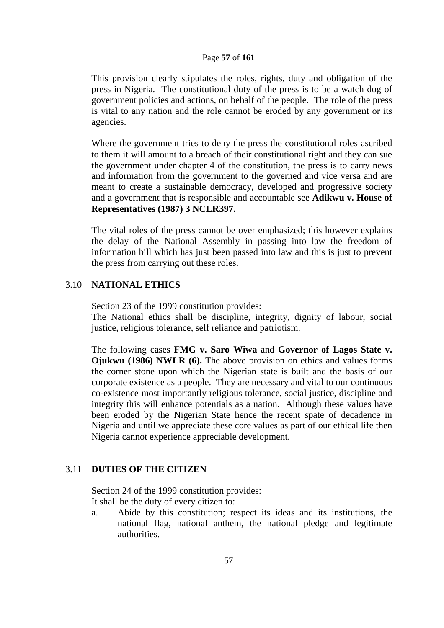#### Page **57** of **161**

This provision clearly stipulates the roles, rights, duty and obligation of the press in Nigeria. The constitutional duty of the press is to be a watch dog of government policies and actions, on behalf of the people. The role of the press is vital to any nation and the role cannot be eroded by any government or its agencies.

Where the government tries to deny the press the constitutional roles ascribed to them it will amount to a breach of their constitutional right and they can sue the government under chapter 4 of the constitution, the press is to carry news and information from the government to the governed and vice versa and are meant to create a sustainable democracy, developed and progressive society and a government that is responsible and accountable see **Adikwu v. House of Representatives (1987) 3 NCLR397.** 

The vital roles of the press cannot be over emphasized; this however explains the delay of the National Assembly in passing into law the freedom of information bill which has just been passed into law and this is just to prevent the press from carrying out these roles.

### 3.10 **NATIONAL ETHICS**

Section 23 of the 1999 constitution provides:

The National ethics shall be discipline, integrity, dignity of labour, social justice, religious tolerance, self reliance and patriotism.

The following cases **FMG v. Saro Wiwa** and **Governor of Lagos State v. Ojukwu (1986) NWLR (6).** The above provision on ethics and values forms the corner stone upon which the Nigerian state is built and the basis of our corporate existence as a people. They are necessary and vital to our continuous co-existence most importantly religious tolerance, social justice, discipline and integrity this will enhance potentials as a nation. Although these values have been eroded by the Nigerian State hence the recent spate of decadence in Nigeria and until we appreciate these core values as part of our ethical life then Nigeria cannot experience appreciable development.

### 3.11 **DUTIES OF THE CITIZEN**

Section 24 of the 1999 constitution provides: It shall be the duty of every citizen to:

a. Abide by this constitution; respect its ideas and its institutions, the national flag, national anthem, the national pledge and legitimate authorities.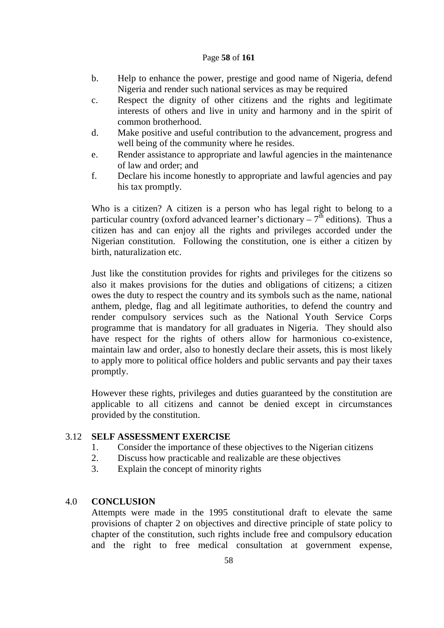### Page **58** of **161**

- b. Help to enhance the power, prestige and good name of Nigeria, defend Nigeria and render such national services as may be required
- c. Respect the dignity of other citizens and the rights and legitimate interests of others and live in unity and harmony and in the spirit of common brotherhood.
- d. Make positive and useful contribution to the advancement, progress and well being of the community where he resides.
- e. Render assistance to appropriate and lawful agencies in the maintenance of law and order; and
- f. Declare his income honestly to appropriate and lawful agencies and pay his tax promptly.

Who is a citizen? A citizen is a person who has legal right to belong to a particular country (oxford advanced learner's dictionary –  $7<sup>th</sup>$  editions). Thus a citizen has and can enjoy all the rights and privileges accorded under the Nigerian constitution. Following the constitution, one is either a citizen by birth, naturalization etc.

Just like the constitution provides for rights and privileges for the citizens so also it makes provisions for the duties and obligations of citizens; a citizen owes the duty to respect the country and its symbols such as the name, national anthem, pledge, flag and all legitimate authorities, to defend the country and render compulsory services such as the National Youth Service Corps programme that is mandatory for all graduates in Nigeria. They should also have respect for the rights of others allow for harmonious co-existence, maintain law and order, also to honestly declare their assets, this is most likely to apply more to political office holders and public servants and pay their taxes promptly.

However these rights, privileges and duties guaranteed by the constitution are applicable to all citizens and cannot be denied except in circumstances provided by the constitution.

## 3.12 **SELF ASSESSMENT EXERCISE**

- 1. Consider the importance of these objectives to the Nigerian citizens
- 2. Discuss how practicable and realizable are these objectives
- 3. Explain the concept of minority rights

## 4.0 **CONCLUSION**

Attempts were made in the 1995 constitutional draft to elevate the same provisions of chapter 2 on objectives and directive principle of state policy to chapter of the constitution, such rights include free and compulsory education and the right to free medical consultation at government expense,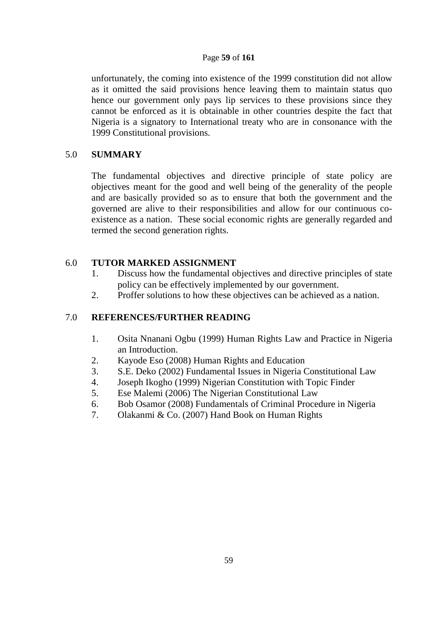### Page **59** of **161**

unfortunately, the coming into existence of the 1999 constitution did not allow as it omitted the said provisions hence leaving them to maintain status quo hence our government only pays lip services to these provisions since they cannot be enforced as it is obtainable in other countries despite the fact that Nigeria is a signatory to International treaty who are in consonance with the 1999 Constitutional provisions.

# 5.0 **SUMMARY**

The fundamental objectives and directive principle of state policy are objectives meant for the good and well being of the generality of the people and are basically provided so as to ensure that both the government and the governed are alive to their responsibilities and allow for our continuous coexistence as a nation. These social economic rights are generally regarded and termed the second generation rights.

# 6.0 **TUTOR MARKED ASSIGNMENT**

- 1. Discuss how the fundamental objectives and directive principles of state policy can be effectively implemented by our government.
- 2. Proffer solutions to how these objectives can be achieved as a nation.

# 7.0 **REFERENCES/FURTHER READING**

- 1. Osita Nnanani Ogbu (1999) Human Rights Law and Practice in Nigeria an Introduction.
- 2. Kayode Eso (2008) Human Rights and Education
- 3. S.E. Deko (2002) Fundamental Issues in Nigeria Constitutional Law
- 4. Joseph Ikogho (1999) Nigerian Constitution with Topic Finder
- 5. Ese Malemi (2006) The Nigerian Constitutional Law
- 6. Bob Osamor (2008) Fundamentals of Criminal Procedure in Nigeria
- 7. Olakanmi & Co. (2007) Hand Book on Human Rights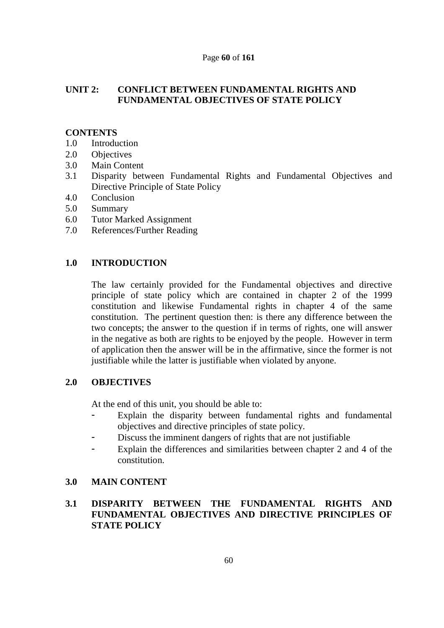### Page **60** of **161**

# **UNIT 2: CONFLICT BETWEEN FUNDAMENTAL RIGHTS AND FUNDAMENTAL OBJECTIVES OF STATE POLICY**

### **CONTENTS**

- 1.0 Introduction
- 2.0 Objectives
- 3.0 Main Content
- 3.1 Disparity between Fundamental Rights and Fundamental Objectives and Directive Principle of State Policy
- 4.0 Conclusion
- 5.0 Summary
- 6.0 Tutor Marked Assignment
- 7.0 References/Further Reading

## **1.0 INTRODUCTION**

The law certainly provided for the Fundamental objectives and directive principle of state policy which are contained in chapter 2 of the 1999 constitution and likewise Fundamental rights in chapter 4 of the same constitution. The pertinent question then: is there any difference between the two concepts; the answer to the question if in terms of rights, one will answer in the negative as both are rights to be enjoyed by the people. However in term of application then the answer will be in the affirmative, since the former is not justifiable while the latter is justifiable when violated by anyone.

## **2.0 OBJECTIVES**

At the end of this unit, you should be able to:

- Explain the disparity between fundamental rights and fundamental objectives and directive principles of state policy.
- Discuss the imminent dangers of rights that are not justifiable
- Explain the differences and similarities between chapter 2 and 4 of the constitution.

### **3.0 MAIN CONTENT**

# **3.1 DISPARITY BETWEEN THE FUNDAMENTAL RIGHTS AND FUNDAMENTAL OBJECTIVES AND DIRECTIVE PRINCIPLES OF STATE POLICY**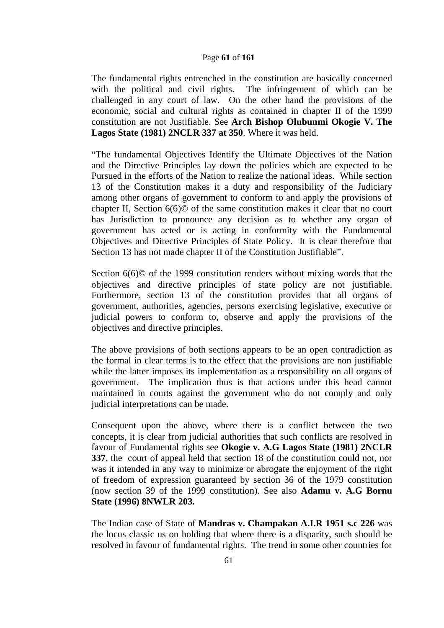#### Page **61** of **161**

The fundamental rights entrenched in the constitution are basically concerned with the political and civil rights. The infringement of which can be challenged in any court of law. On the other hand the provisions of the economic, social and cultural rights as contained in chapter II of the 1999 constitution are not Justifiable. See **Arch Bishop Olubunmi Okogie V. The Lagos State (1981) 2NCLR 337 at 350**. Where it was held.

"The fundamental Objectives Identify the Ultimate Objectives of the Nation and the Directive Principles lay down the policies which are expected to be Pursued in the efforts of the Nation to realize the national ideas. While section 13 of the Constitution makes it a duty and responsibility of the Judiciary among other organs of government to conform to and apply the provisions of chapter II, Section 6(6)© of the same constitution makes it clear that no court has Jurisdiction to pronounce any decision as to whether any organ of government has acted or is acting in conformity with the Fundamental Objectives and Directive Principles of State Policy. It is clear therefore that Section 13 has not made chapter II of the Constitution Justifiable".

Section 6(6)© of the 1999 constitution renders without mixing words that the objectives and directive principles of state policy are not justifiable. Furthermore, section 13 of the constitution provides that all organs of government, authorities, agencies, persons exercising legislative, executive or judicial powers to conform to, observe and apply the provisions of the objectives and directive principles.

The above provisions of both sections appears to be an open contradiction as the formal in clear terms is to the effect that the provisions are non justifiable while the latter imposes its implementation as a responsibility on all organs of government. The implication thus is that actions under this head cannot maintained in courts against the government who do not comply and only judicial interpretations can be made.

Consequent upon the above, where there is a conflict between the two concepts, it is clear from judicial authorities that such conflicts are resolved in favour of Fundamental rights see **Okogie v. A.G Lagos State (1981) 2NCLR 337**, the court of appeal held that section 18 of the constitution could not, nor was it intended in any way to minimize or abrogate the enjoyment of the right of freedom of expression guaranteed by section 36 of the 1979 constitution (now section 39 of the 1999 constitution). See also **Adamu v. A.G Bornu State (1996) 8NWLR 203.** 

The Indian case of State of **Mandras v. Champakan A.I.R 1951 s.c 226** was the locus classic us on holding that where there is a disparity, such should be resolved in favour of fundamental rights. The trend in some other countries for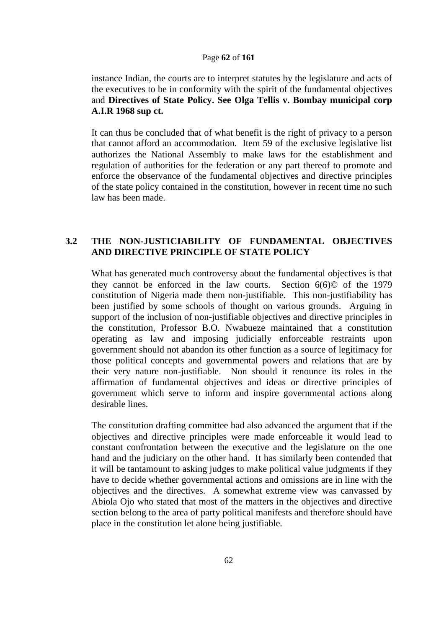#### Page **62** of **161**

instance Indian, the courts are to interpret statutes by the legislature and acts of the executives to be in conformity with the spirit of the fundamental objectives and **Directives of State Policy. See Olga Tellis v. Bombay municipal corp A.I.R 1968 sup ct.** 

It can thus be concluded that of what benefit is the right of privacy to a person that cannot afford an accommodation. Item 59 of the exclusive legislative list authorizes the National Assembly to make laws for the establishment and regulation of authorities for the federation or any part thereof to promote and enforce the observance of the fundamental objectives and directive principles of the state policy contained in the constitution, however in recent time no such law has been made.

## **3.2 THE NON-JUSTICIABILITY OF FUNDAMENTAL OBJECTIVES AND DIRECTIVE PRINCIPLE OF STATE POLICY**

What has generated much controversy about the fundamental objectives is that they cannot be enforced in the law courts. Section 6(6)© of the 1979 constitution of Nigeria made them non-justifiable. This non-justifiability has been justified by some schools of thought on various grounds. Arguing in support of the inclusion of non-justifiable objectives and directive principles in the constitution, Professor B.O. Nwabueze maintained that a constitution operating as law and imposing judicially enforceable restraints upon government should not abandon its other function as a source of legitimacy for those political concepts and governmental powers and relations that are by their very nature non-justifiable. Non should it renounce its roles in the affirmation of fundamental objectives and ideas or directive principles of government which serve to inform and inspire governmental actions along desirable lines.

The constitution drafting committee had also advanced the argument that if the objectives and directive principles were made enforceable it would lead to constant confrontation between the executive and the legislature on the one hand and the judiciary on the other hand. It has similarly been contended that it will be tantamount to asking judges to make political value judgments if they have to decide whether governmental actions and omissions are in line with the objectives and the directives. A somewhat extreme view was canvassed by Abiola Ojo who stated that most of the matters in the objectives and directive section belong to the area of party political manifests and therefore should have place in the constitution let alone being justifiable.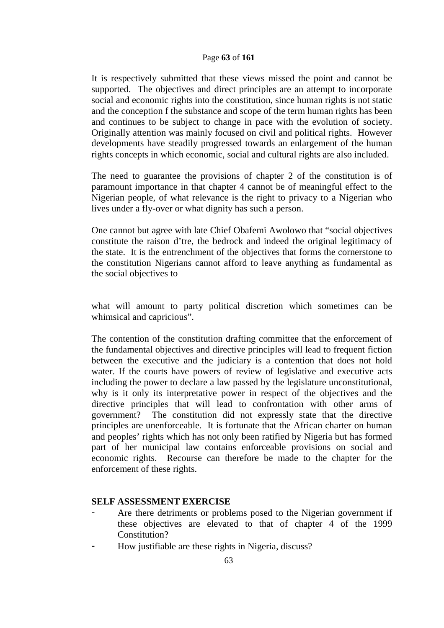### Page **63** of **161**

It is respectively submitted that these views missed the point and cannot be supported. The objectives and direct principles are an attempt to incorporate social and economic rights into the constitution, since human rights is not static and the conception f the substance and scope of the term human rights has been and continues to be subject to change in pace with the evolution of society. Originally attention was mainly focused on civil and political rights. However developments have steadily progressed towards an enlargement of the human rights concepts in which economic, social and cultural rights are also included.

The need to guarantee the provisions of chapter 2 of the constitution is of paramount importance in that chapter 4 cannot be of meaningful effect to the Nigerian people, of what relevance is the right to privacy to a Nigerian who lives under a fly-over or what dignity has such a person.

One cannot but agree with late Chief Obafemi Awolowo that "social objectives constitute the raison d'tre, the bedrock and indeed the original legitimacy of the state. It is the entrenchment of the objectives that forms the cornerstone to the constitution Nigerians cannot afford to leave anything as fundamental as the social objectives to

what will amount to party political discretion which sometimes can be whimsical and capricious".

The contention of the constitution drafting committee that the enforcement of the fundamental objectives and directive principles will lead to frequent fiction between the executive and the judiciary is a contention that does not hold water. If the courts have powers of review of legislative and executive acts including the power to declare a law passed by the legislature unconstitutional, why is it only its interpretative power in respect of the objectives and the directive principles that will lead to confrontation with other arms of government? The constitution did not expressly state that the directive principles are unenforceable. It is fortunate that the African charter on human and peoples' rights which has not only been ratified by Nigeria but has formed part of her municipal law contains enforceable provisions on social and economic rights. Recourse can therefore be made to the chapter for the enforcement of these rights.

## **SELF ASSESSMENT EXERCISE**

- Are there detriments or problems posed to the Nigerian government if these objectives are elevated to that of chapter 4 of the 1999 Constitution?
- How justifiable are these rights in Nigeria, discuss?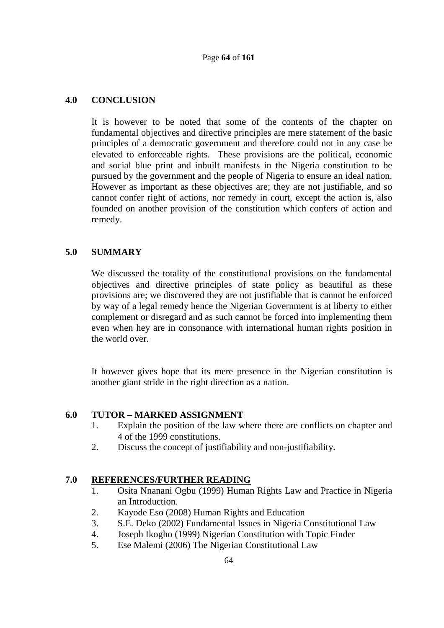# **4.0 CONCLUSION**

It is however to be noted that some of the contents of the chapter on fundamental objectives and directive principles are mere statement of the basic principles of a democratic government and therefore could not in any case be elevated to enforceable rights. These provisions are the political, economic and social blue print and inbuilt manifests in the Nigeria constitution to be pursued by the government and the people of Nigeria to ensure an ideal nation. However as important as these objectives are; they are not justifiable, and so cannot confer right of actions, nor remedy in court, except the action is, also founded on another provision of the constitution which confers of action and remedy.

# **5.0 SUMMARY**

We discussed the totality of the constitutional provisions on the fundamental objectives and directive principles of state policy as beautiful as these provisions are; we discovered they are not justifiable that is cannot be enforced by way of a legal remedy hence the Nigerian Government is at liberty to either complement or disregard and as such cannot be forced into implementing them even when hey are in consonance with international human rights position in the world over.

It however gives hope that its mere presence in the Nigerian constitution is another giant stride in the right direction as a nation.

## **6.0 TUTOR – MARKED ASSIGNMENT**

- 1. Explain the position of the law where there are conflicts on chapter and 4 of the 1999 constitutions.
- 2. Discuss the concept of justifiability and non-justifiability.

## **7.0 REFERENCES/FURTHER READING**

- 1. Osita Nnanani Ogbu (1999) Human Rights Law and Practice in Nigeria an Introduction.
- 2. Kayode Eso (2008) Human Rights and Education
- 3. S.E. Deko (2002) Fundamental Issues in Nigeria Constitutional Law
- 4. Joseph Ikogho (1999) Nigerian Constitution with Topic Finder
- 5. Ese Malemi (2006) The Nigerian Constitutional Law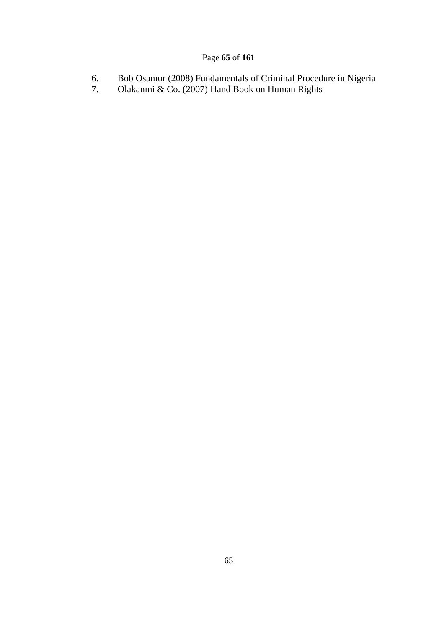# Page **65** of **161**

- 6. Bob Osamor (2008) Fundamentals of Criminal Procedure in Nigeria
- 7. Olakanmi & Co. (2007) Hand Book on Human Rights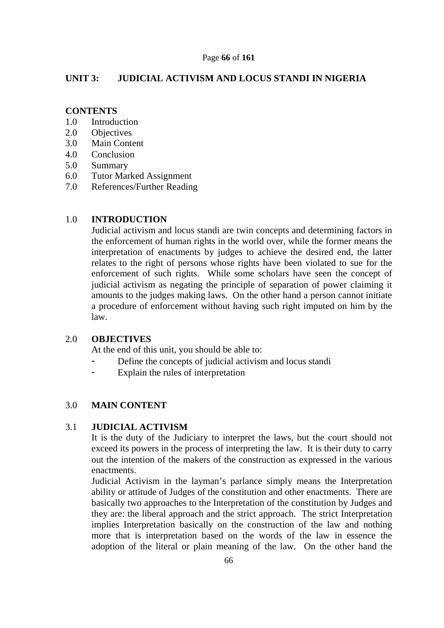#### Page **66** of **161**

## **UNIT 3: JUDICIAL ACTIVISM AND LOCUS STANDI IN NIGERIA**

## **CONTENTS**

- 1.0 Introduction
- 2.0 Objectives
- 3.0 Main Content
- 4.0 Conclusion
- 5.0 Summary
- 6.0 Tutor Marked Assignment
- 7.0 References/Further Reading

# 1.0 **INTRODUCTION**

Judicial activism and locus standi are twin concepts and determining factors in the enforcement of human rights in the world over, while the former means the interpretation of enactments by judges to achieve the desired end, the latter relates to the right of persons whose rights have been violated to sue for the enforcement of such rights. While some scholars have seen the concept of judicial activism as negating the principle of separation of power claiming it amounts to the judges making laws. On the other hand a person cannot initiate a procedure of enforcement without having such right imputed on him by the law.

# 2.0 **OBJECTIVES**

At the end of this unit, you should be able to:

- Define the concepts of judicial activism and locus standi
- Explain the rules of interpretation

## 3.0 **MAIN CONTENT**

### 3.1 **JUDICIAL ACTIVISM**

It is the duty of the Judiciary to interpret the laws, but the court should not exceed its powers in the process of interpreting the law. It is their duty to carry out the intention of the makers of the construction as expressed in the various enactments.

Judicial Activism in the layman's parlance simply means the Interpretation ability or attitude of Judges of the constitution and other enactments. There are basically two approaches to the Interpretation of the constitution by Judges and they are: the liberal approach and the strict approach. The strict Interpretation implies Interpretation basically on the construction of the law and nothing more that is interpretation based on the words of the law in essence the adoption of the literal or plain meaning of the law. On the other hand the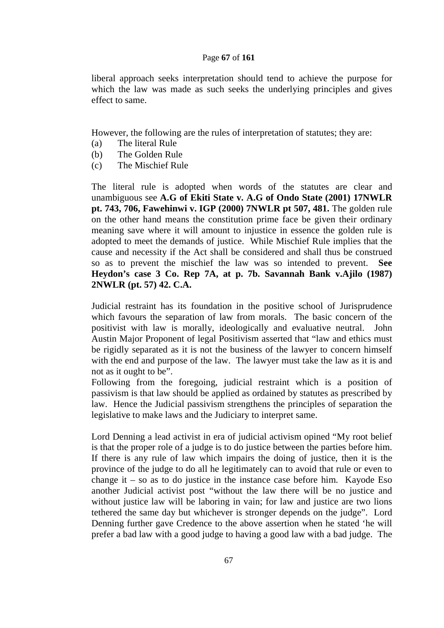#### Page **67** of **161**

liberal approach seeks interpretation should tend to achieve the purpose for which the law was made as such seeks the underlying principles and gives effect to same.

However, the following are the rules of interpretation of statutes; they are:

- (a) The literal Rule
- (b) The Golden Rule
- (c) The Mischief Rule

The literal rule is adopted when words of the statutes are clear and unambiguous see **A.G of Ekiti State v. A.G of Ondo State (2001) 17NWLR pt. 743, 706, Fawehinwi v. IGP (2000) 7NWLR pt 507, 481.** The golden rule on the other hand means the constitution prime face be given their ordinary meaning save where it will amount to injustice in essence the golden rule is adopted to meet the demands of justice. While Mischief Rule implies that the cause and necessity if the Act shall be considered and shall thus be construed so as to prevent the mischief the law was so intended to prevent. **See Heydon's case 3 Co. Rep 7A, at p. 7b. Savannah Bank v.Ajilo (1987) 2NWLR (pt. 57) 42. C.A.** 

Judicial restraint has its foundation in the positive school of Jurisprudence which favours the separation of law from morals. The basic concern of the positivist with law is morally, ideologically and evaluative neutral. John Austin Major Proponent of legal Positivism asserted that "law and ethics must be rigidly separated as it is not the business of the lawyer to concern himself with the end and purpose of the law. The lawyer must take the law as it is and not as it ought to be".

Following from the foregoing, judicial restraint which is a position of passivism is that law should be applied as ordained by statutes as prescribed by law. Hence the Judicial passivism strengthens the principles of separation the legislative to make laws and the Judiciary to interpret same.

Lord Denning a lead activist in era of judicial activism opined "My root belief is that the proper role of a judge is to do justice between the parties before him. If there is any rule of law which impairs the doing of justice, then it is the province of the judge to do all he legitimately can to avoid that rule or even to change it – so as to do justice in the instance case before him. Kayode Eso another Judicial activist post "without the law there will be no justice and without justice law will be laboring in vain; for law and justice are two lions tethered the same day but whichever is stronger depends on the judge". Lord Denning further gave Credence to the above assertion when he stated 'he will prefer a bad law with a good judge to having a good law with a bad judge. The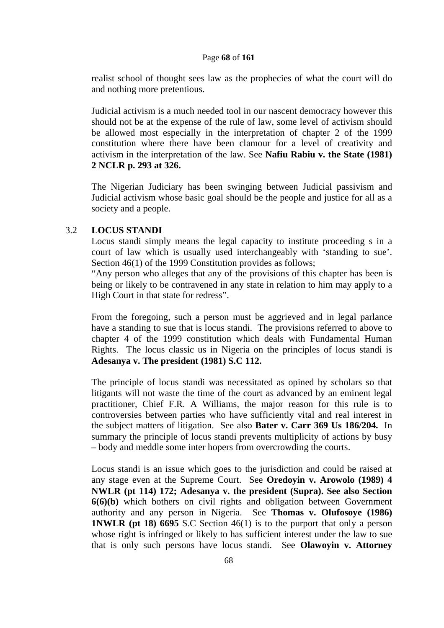#### Page **68** of **161**

realist school of thought sees law as the prophecies of what the court will do and nothing more pretentious.

Judicial activism is a much needed tool in our nascent democracy however this should not be at the expense of the rule of law, some level of activism should be allowed most especially in the interpretation of chapter 2 of the 1999 constitution where there have been clamour for a level of creativity and activism in the interpretation of the law. See **Nafiu Rabiu v. the State (1981) 2 NCLR p. 293 at 326.** 

The Nigerian Judiciary has been swinging between Judicial passivism and Judicial activism whose basic goal should be the people and justice for all as a society and a people.

### 3.2 **LOCUS STANDI**

Locus standi simply means the legal capacity to institute proceeding s in a court of law which is usually used interchangeably with 'standing to sue'. Section 46(1) of the 1999 Constitution provides as follows;

"Any person who alleges that any of the provisions of this chapter has been is being or likely to be contravened in any state in relation to him may apply to a High Court in that state for redress".

From the foregoing, such a person must be aggrieved and in legal parlance have a standing to sue that is locus standi. The provisions referred to above to chapter 4 of the 1999 constitution which deals with Fundamental Human Rights. The locus classic us in Nigeria on the principles of locus standi is **Adesanya v. The president (1981) S.C 112.** 

The principle of locus standi was necessitated as opined by scholars so that litigants will not waste the time of the court as advanced by an eminent legal practitioner, Chief F.R. A Williams, the major reason for this rule is to controversies between parties who have sufficiently vital and real interest in the subject matters of litigation. See also **Bater v. Carr 369 Us 186/204.** In summary the principle of locus standi prevents multiplicity of actions by busy – body and meddle some inter hopers from overcrowding the courts.

Locus standi is an issue which goes to the jurisdiction and could be raised at any stage even at the Supreme Court. See **Oredoyin v. Arowolo (1989) 4 NWLR (pt 114) 172; Adesanya v. the president (Supra). See also Section 6(6)(b)** which bothers on civil rights and obligation between Government authority and any person in Nigeria. See **Thomas v. Olufosoye (1986) 1NWLR (pt 18) 6695** S.C Section 46(1) is to the purport that only a person whose right is infringed or likely to has sufficient interest under the law to sue that is only such persons have locus standi. See **Olawoyin v. Attorney**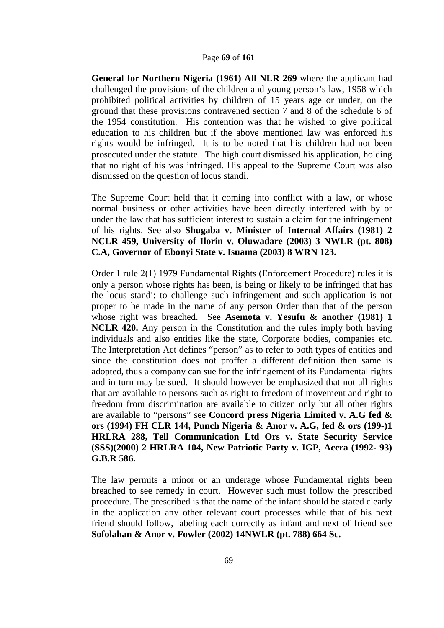#### Page **69** of **161**

**General for Northern Nigeria (1961) All NLR 269** where the applicant had challenged the provisions of the children and young person's law, 1958 which prohibited political activities by children of 15 years age or under, on the ground that these provisions contravened section 7 and 8 of the schedule 6 of the 1954 constitution. His contention was that he wished to give political education to his children but if the above mentioned law was enforced his rights would be infringed. It is to be noted that his children had not been prosecuted under the statute. The high court dismissed his application, holding that no right of his was infringed. His appeal to the Supreme Court was also dismissed on the question of locus standi.

The Supreme Court held that it coming into conflict with a law, or whose normal business or other activities have been directly interfered with by or under the law that has sufficient interest to sustain a claim for the infringement of his rights. See also **Shugaba v. Minister of Internal Affairs (1981) 2 NCLR 459, University of Ilorin v. Oluwadare (2003) 3 NWLR (pt. 808) C.A, Governor of Ebonyi State v. Isuama (2003) 8 WRN 123.** 

Order 1 rule 2(1) 1979 Fundamental Rights (Enforcement Procedure) rules it is only a person whose rights has been, is being or likely to be infringed that has the locus standi; to challenge such infringement and such application is not proper to be made in the name of any person Order than that of the person whose right was breached. See **Asemota v. Yesufu & another (1981) 1 NCLR 420.** Any person in the Constitution and the rules imply both having individuals and also entities like the state, Corporate bodies, companies etc. The Interpretation Act defines "person" as to refer to both types of entities and since the constitution does not proffer a different definition then same is adopted, thus a company can sue for the infringement of its Fundamental rights and in turn may be sued. It should however be emphasized that not all rights that are available to persons such as right to freedom of movement and right to freedom from discrimination are available to citizen only but all other rights are available to "persons" see **Concord press Nigeria Limited v. A.G fed & ors (1994) FH CLR 144, Punch Nigeria & Anor v. A.G, fed & ors (199-)1 HRLRA 288, Tell Communication Ltd Ors v. State Security Service (SSS)(2000) 2 HRLRA 104, New Patriotic Party v. IGP, Accra (1992- 93) G.B.R 586.** 

The law permits a minor or an underage whose Fundamental rights been breached to see remedy in court. However such must follow the prescribed procedure. The prescribed is that the name of the infant should be stated clearly in the application any other relevant court processes while that of his next friend should follow, labeling each correctly as infant and next of friend see **Sofolahan & Anor v. Fowler (2002) 14NWLR (pt. 788) 664 Sc.**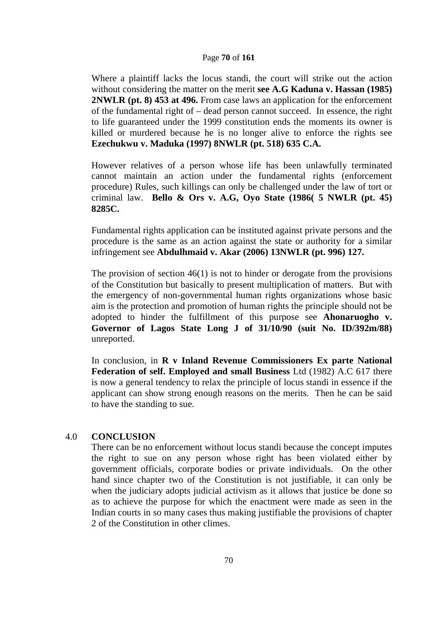#### Page **70** of **161**

Where a plaintiff lacks the locus standi, the court will strike out the action without considering the matter on the merit **see A.G Kaduna v. Hassan (1985) 2NWLR (pt. 8) 453 at 496.** From case laws an application for the enforcement of the fundamental right of – dead person cannot succeed. In essence, the right to life guaranteed under the 1999 constitution ends the moments its owner is killed or murdered because he is no longer alive to enforce the rights see **Ezechukwu v. Maduka (1997) 8NWLR (pt. 518) 635 C.A.**

However relatives of a person whose life has been unlawfully terminated cannot maintain an action under the fundamental rights (enforcement procedure) Rules, such killings can only be challenged under the law of tort or criminal law. **Bello & Ors v. A.G, Oyo State (1986( 5 NWLR (pt. 45) 8285C.** 

Fundamental rights application can be instituted against private persons and the procedure is the same as an action against the state or authority for a similar infringement see **Abdulhmaid v. Akar (2006) 13NWLR (pt. 996) 127.** 

The provision of section 46(1) is not to hinder or derogate from the provisions of the Constitution but basically to present multiplication of matters. But with the emergency of non-governmental human rights organizations whose basic aim is the protection and promotion of human rights the principle should not be adopted to hinder the fulfillment of this purpose see **Ahonaruogho v. Governor of Lagos State Long J of 31/10/90 (suit No. ID/392m/88)** unreported.

In conclusion, in **R v Inland Revenue Commissioners Ex parte National Federation of self. Employed and small Business** Ltd (1982) A.C 617 there is now a general tendency to relax the principle of locus standi in essence if the applicant can show strong enough reasons on the merits. Then he can be said to have the standing to sue.

### 4.0 **CONCLUSION**

There can be no enforcement without locus standi because the concept imputes the right to sue on any person whose right has been violated either by government officials, corporate bodies or private individuals. On the other hand since chapter two of the Constitution is not justifiable, it can only be when the judiciary adopts judicial activism as it allows that justice be done so as to achieve the purpose for which the enactment were made as seen in the Indian courts in so many cases thus making justifiable the provisions of chapter 2 of the Constitution in other climes.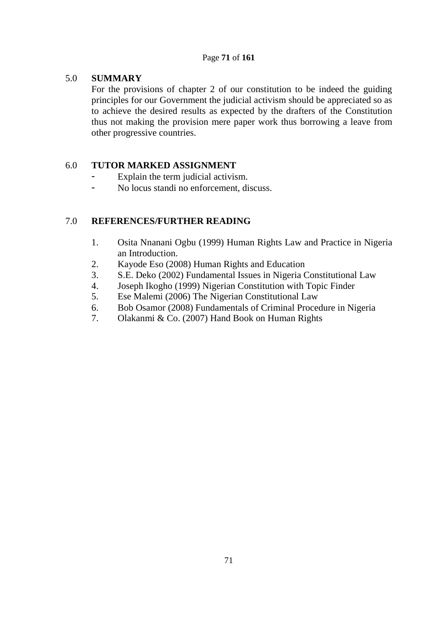# Page **71** of **161**

# 5.0 **SUMMARY**

For the provisions of chapter 2 of our constitution to be indeed the guiding principles for our Government the judicial activism should be appreciated so as to achieve the desired results as expected by the drafters of the Constitution thus not making the provision mere paper work thus borrowing a leave from other progressive countries.

# 6.0 **TUTOR MARKED ASSIGNMENT**

- Explain the term judicial activism.
- No locus standi no enforcement, discuss.

# 7.0 **REFERENCES/FURTHER READING**

- 1. Osita Nnanani Ogbu (1999) Human Rights Law and Practice in Nigeria an Introduction.
- 2. Kayode Eso (2008) Human Rights and Education
- 3. S.E. Deko (2002) Fundamental Issues in Nigeria Constitutional Law
- 4. Joseph Ikogho (1999) Nigerian Constitution with Topic Finder
- 5. Ese Malemi (2006) The Nigerian Constitutional Law
- 6. Bob Osamor (2008) Fundamentals of Criminal Procedure in Nigeria
- 7. Olakanmi & Co. (2007) Hand Book on Human Rights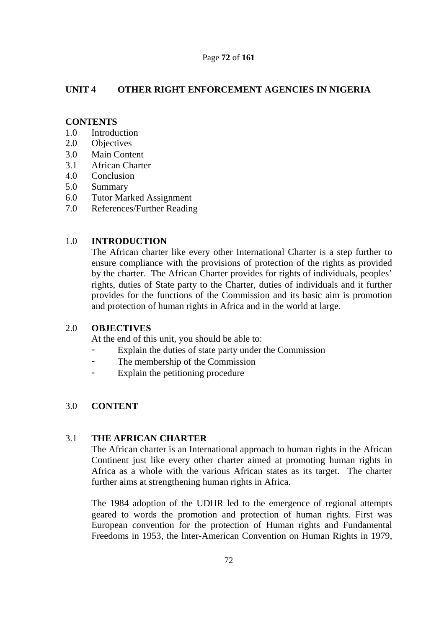# **UNIT 4 OTHER RIGHT ENFORCEMENT AGENCIES IN NIGERIA**

### **CONTENTS**

- 1.0 Introduction
- 2.0 Objectives
- 3.0 Main Content
- 3.1 African Charter
- 4.0 Conclusion
- 5.0 Summary
- 6.0 Tutor Marked Assignment
- 7.0 References/Further Reading

### 1.0 **INTRODUCTION**

The African charter like every other International Charter is a step further to ensure compliance with the provisions of protection of the rights as provided by the charter. The African Charter provides for rights of individuals, peoples' rights, duties of State party to the Charter, duties of individuals and it further provides for the functions of the Commission and its basic aim is promotion and protection of human rights in Africa and in the world at large.

### 2.0 **OBJECTIVES**

At the end of this unit, you should be able to:

- Explain the duties of state party under the Commission
- The membership of the Commission
- Explain the petitioning procedure

# 3.0 **CONTENT**

### 3.1 **THE AFRICAN CHARTER**

The African charter is an International approach to human rights in the African Continent just like every other charter aimed at promoting human rights in Africa as a whole with the various African states as its target. The charter further aims at strengthening human rights in Africa.

The 1984 adoption of the UDHR led to the emergence of regional attempts geared to words the promotion and protection of human rights. First was European convention for the protection of Human rights and Fundamental Freedoms in 1953, the lnter-American Convention on Human Rights in 1979,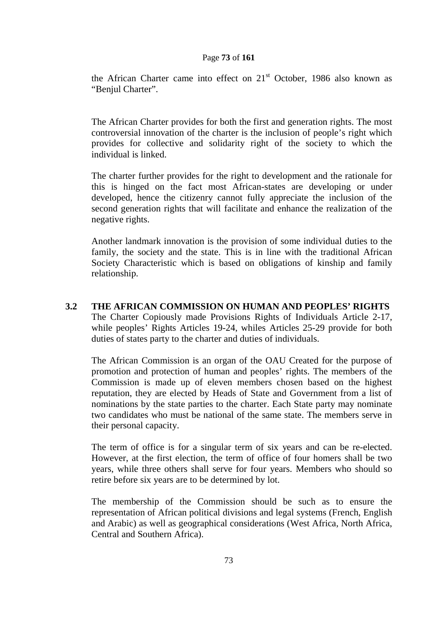#### Page **73** of **161**

the African Charter came into effect on  $21<sup>st</sup>$  October, 1986 also known as "Benjul Charter".

The African Charter provides for both the first and generation rights. The most controversial innovation of the charter is the inclusion of people's right which provides for collective and solidarity right of the society to which the individual is linked.

The charter further provides for the right to development and the rationale for this is hinged on the fact most African-states are developing or under developed, hence the citizenry cannot fully appreciate the inclusion of the second generation rights that will facilitate and enhance the realization of the negative rights.

Another landmark innovation is the provision of some individual duties to the family, the society and the state. This is in line with the traditional African Society Characteristic which is based on obligations of kinship and family relationship.

**3.2 THE AFRICAN COMMISSION ON HUMAN AND PEOPLES' RIGHTS**  The Charter Copiously made Provisions Rights of Individuals Article 2-17, while peoples' Rights Articles 19-24, whiles Articles 25-29 provide for both duties of states party to the charter and duties of individuals.

The African Commission is an organ of the OAU Created for the purpose of promotion and protection of human and peoples' rights. The members of the Commission is made up of eleven members chosen based on the highest reputation, they are elected by Heads of State and Government from a list of nominations by the state parties to the charter. Each State party may nominate two candidates who must be national of the same state. The members serve in their personal capacity.

The term of office is for a singular term of six years and can be re-elected. However, at the first election, the term of office of four homers shall be two years, while three others shall serve for four years. Members who should so retire before six years are to be determined by lot.

The membership of the Commission should be such as to ensure the representation of African political divisions and legal systems (French, English and Arabic) as well as geographical considerations (West Africa, North Africa, Central and Southern Africa).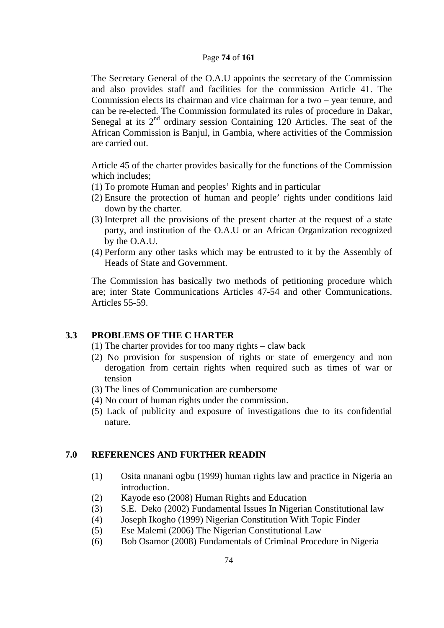#### Page **74** of **161**

The Secretary General of the O.A.U appoints the secretary of the Commission and also provides staff and facilities for the commission Article 41. The Commission elects its chairman and vice chairman for a two – year tenure, and can be re-elected. The Commission formulated its rules of procedure in Dakar, Senegal at its  $2<sup>nd</sup>$  ordinary session Containing 120 Articles. The seat of the African Commission is Banjul, in Gambia, where activities of the Commission are carried out.

Article 45 of the charter provides basically for the functions of the Commission which includes;

- (1) To promote Human and peoples' Rights and in particular
- (2) Ensure the protection of human and people' rights under conditions laid down by the charter.
- (3) Interpret all the provisions of the present charter at the request of a state party, and institution of the O.A.U or an African Organization recognized by the O.A.U.
- (4) Perform any other tasks which may be entrusted to it by the Assembly of Heads of State and Government.

The Commission has basically two methods of petitioning procedure which are; inter State Communications Articles 47-54 and other Communications. Articles 55-59.

#### **3.3 PROBLEMS OF THE C HARTER**

- (1) The charter provides for too many rights claw back
- (2) No provision for suspension of rights or state of emergency and non derogation from certain rights when required such as times of war or tension
- (3) The lines of Communication are cumbersome
- (4) No court of human rights under the commission.
- (5) Lack of publicity and exposure of investigations due to its confidential nature.

#### **7.0 REFERENCES AND FURTHER READIN**

- (1) Osita nnanani ogbu (1999) human rights law and practice in Nigeria an introduction.
- (2) Kayode eso (2008) Human Rights and Education
- (3) S.E. Deko (2002) Fundamental Issues In Nigerian Constitutional law
- (4) Joseph Ikogho (1999) Nigerian Constitution With Topic Finder
- (5) Ese Malemi (2006) The Nigerian Constitutional Law
- (6) Bob Osamor (2008) Fundamentals of Criminal Procedure in Nigeria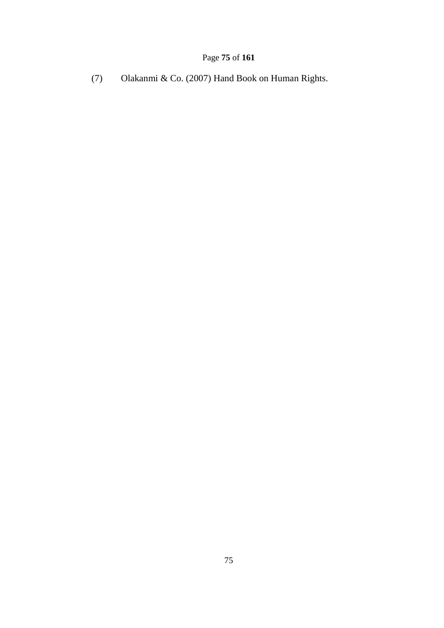# Page **75** of **161**

(7) Olakanmi & Co. (2007) Hand Book on Human Rights.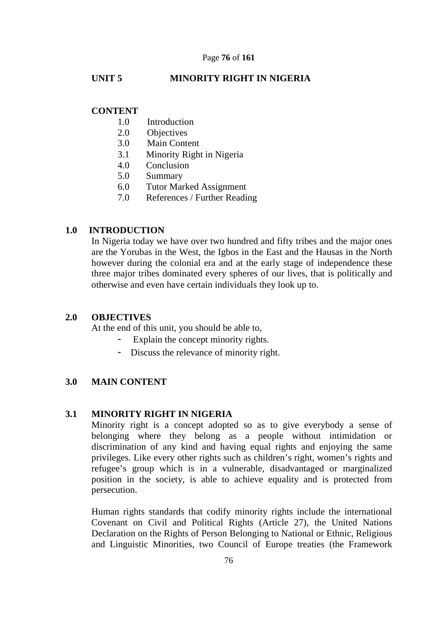#### Page **76** of **161**

# **UNIT 5 MINORITY RIGHT IN NIGERIA**

### **CONTENT**

- 1.0 Introduction
- 2.0 Objectives
- 3.0 Main Content
- 3.1 Minority Right in Nigeria
- 4.0 Conclusion
- 5.0 Summary
- 6.0 Tutor Marked Assignment
- 7.0 References / Further Reading

### **1.0 INTRODUCTION**

In Nigeria today we have over two hundred and fifty tribes and the major ones are the Yorubas in the West, the Igbos in the East and the Hausas in the North however during the colonial era and at the early stage of independence these three major tribes dominated every spheres of our lives, that is politically and otherwise and even have certain individuals they look up to.

### **2.0 OBJECTIVES**

At the end of this unit, you should be able to,

- Explain the concept minority rights.
- Discuss the relevance of minority right.

### **3.0 MAIN CONTENT**

#### **3.1 MINORITY RIGHT IN NIGERIA**

Minority right is a concept adopted so as to give everybody a sense of belonging where they belong as a people without intimidation or discrimination of any kind and having equal rights and enjoying the same privileges. Like every other rights such as children's right, women's rights and refugee's group which is in a vulnerable, disadvantaged or marginalized position in the society, is able to achieve equality and is protected from persecution.

Human rights standards that codify minority rights include the international Covenant on Civil and Political Rights (Article 27), the United Nations Declaration on the Rights of Person Belonging to National or Ethnic, Religious and Linguistic Minorities, two Council of Europe treaties (the Framework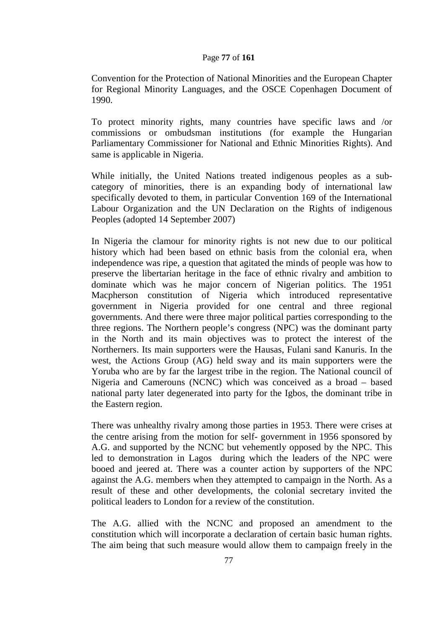#### Page **77** of **161**

Convention for the Protection of National Minorities and the European Chapter for Regional Minority Languages, and the OSCE Copenhagen Document of 1990.

To protect minority rights, many countries have specific laws and /or commissions or ombudsman institutions (for example the Hungarian Parliamentary Commissioner for National and Ethnic Minorities Rights). And same is applicable in Nigeria.

While initially, the United Nations treated indigenous peoples as a subcategory of minorities, there is an expanding body of international law specifically devoted to them, in particular Convention 169 of the International Labour Organization and the UN Declaration on the Rights of indigenous Peoples (adopted 14 September 2007)

In Nigeria the clamour for minority rights is not new due to our political history which had been based on ethnic basis from the colonial era, when independence was ripe, a question that agitated the minds of people was how to preserve the libertarian heritage in the face of ethnic rivalry and ambition to dominate which was he major concern of Nigerian politics. The 1951 Macpherson constitution of Nigeria which introduced representative government in Nigeria provided for one central and three regional governments. And there were three major political parties corresponding to the three regions. The Northern people's congress (NPC) was the dominant party in the North and its main objectives was to protect the interest of the Northerners. Its main supporters were the Hausas, Fulani sand Kanuris. In the west, the Actions Group (AG) held sway and its main supporters were the Yoruba who are by far the largest tribe in the region. The National council of Nigeria and Camerouns (NCNC) which was conceived as a broad – based national party later degenerated into party for the Igbos, the dominant tribe in the Eastern region.

There was unhealthy rivalry among those parties in 1953. There were crises at the centre arising from the motion for self- government in 1956 sponsored by A.G. and supported by the NCNC but vehemently opposed by the NPC. This led to demonstration in Lagos during which the leaders of the NPC were booed and jeered at. There was a counter action by supporters of the NPC against the A.G. members when they attempted to campaign in the North. As a result of these and other developments, the colonial secretary invited the political leaders to London for a review of the constitution.

The A.G. allied with the NCNC and proposed an amendment to the constitution which will incorporate a declaration of certain basic human rights. The aim being that such measure would allow them to campaign freely in the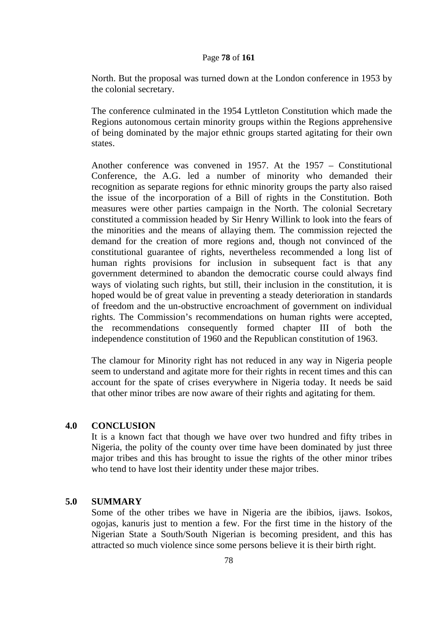#### Page **78** of **161**

North. But the proposal was turned down at the London conference in 1953 by the colonial secretary.

The conference culminated in the 1954 Lyttleton Constitution which made the Regions autonomous certain minority groups within the Regions apprehensive of being dominated by the major ethnic groups started agitating for their own states.

Another conference was convened in 1957. At the 1957 – Constitutional Conference, the A.G. led a number of minority who demanded their recognition as separate regions for ethnic minority groups the party also raised the issue of the incorporation of a Bill of rights in the Constitution. Both measures were other parties campaign in the North. The colonial Secretary constituted a commission headed by Sir Henry Willink to look into the fears of the minorities and the means of allaying them. The commission rejected the demand for the creation of more regions and, though not convinced of the constitutional guarantee of rights, nevertheless recommended a long list of human rights provisions for inclusion in subsequent fact is that any government determined to abandon the democratic course could always find ways of violating such rights, but still, their inclusion in the constitution, it is hoped would be of great value in preventing a steady deterioration in standards of freedom and the un-obstructive encroachment of government on individual rights. The Commission's recommendations on human rights were accepted, the recommendations consequently formed chapter III of both the independence constitution of 1960 and the Republican constitution of 1963.

The clamour for Minority right has not reduced in any way in Nigeria people seem to understand and agitate more for their rights in recent times and this can account for the spate of crises everywhere in Nigeria today. It needs be said that other minor tribes are now aware of their rights and agitating for them.

### **4.0 CONCLUSION**

It is a known fact that though we have over two hundred and fifty tribes in Nigeria, the polity of the county over time have been dominated by just three major tribes and this has brought to issue the rights of the other minor tribes who tend to have lost their identity under these major tribes.

#### **5.0 SUMMARY**

Some of the other tribes we have in Nigeria are the ibibios, ijaws. Isokos, ogojas, kanuris just to mention a few. For the first time in the history of the Nigerian State a South/South Nigerian is becoming president, and this has attracted so much violence since some persons believe it is their birth right.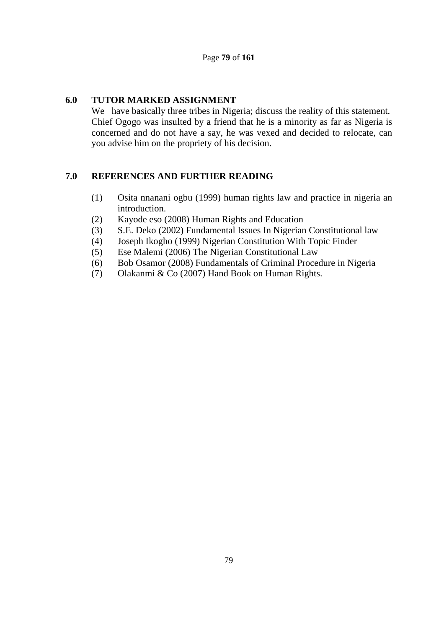# **6.0 TUTOR MARKED ASSIGNMENT**

We have basically three tribes in Nigeria; discuss the reality of this statement. Chief Ogogo was insulted by a friend that he is a minority as far as Nigeria is concerned and do not have a say, he was vexed and decided to relocate, can you advise him on the propriety of his decision.

# **7.0 REFERENCES AND FURTHER READING**

- (1) Osita nnanani ogbu (1999) human rights law and practice in nigeria an introduction.
- (2) Kayode eso (2008) Human Rights and Education
- (3) S.E. Deko (2002) Fundamental Issues In Nigerian Constitutional law
- (4) Joseph Ikogho (1999) Nigerian Constitution With Topic Finder
- (5) Ese Malemi (2006) The Nigerian Constitutional Law
- (6) Bob Osamor (2008) Fundamentals of Criminal Procedure in Nigeria
- (7) Olakanmi & Co (2007) Hand Book on Human Rights.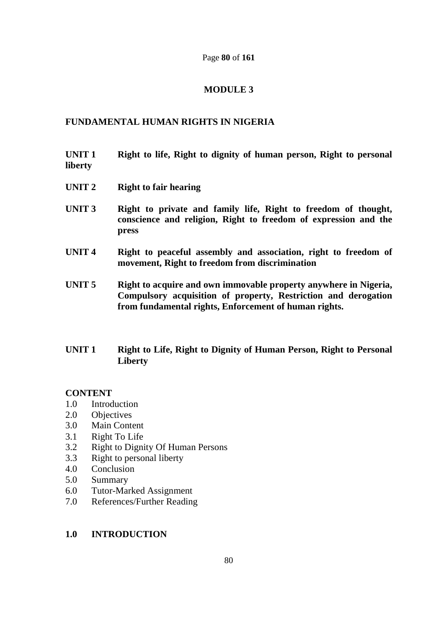#### Page **80** of **161**

# **MODULE 3**

### **FUNDAMENTAL HUMAN RIGHTS IN NIGERIA**

**UNIT 1 Right to life, Right to dignity of human person, Right to personal liberty** 

- **UNIT 2 Right to fair hearing**
- **UNIT 3 Right to private and family life, Right to freedom of thought, conscience and religion, Right to freedom of expression and the press**
- **UNIT 4 Right to peaceful assembly and association, right to freedom of movement, Right to freedom from discrimination**
- **UNIT 5 Right to acquire and own immovable property anywhere in Nigeria, Compulsory acquisition of property, Restriction and derogation from fundamental rights, Enforcement of human rights.**
- **UNIT 1 Right to Life, Right to Dignity of Human Person, Right to Personal Liberty**

#### **CONTENT**

- 1.0 Introduction
- 2.0 Objectives
- 3.0 Main Content
- 3.1 Right To Life
- 3.2 Right to Dignity Of Human Persons
- 3.3 Right to personal liberty
- 4.0 Conclusion
- 5.0 Summary
- 6.0 Tutor-Marked Assignment
- 7.0 References/Further Reading

### **1.0 INTRODUCTION**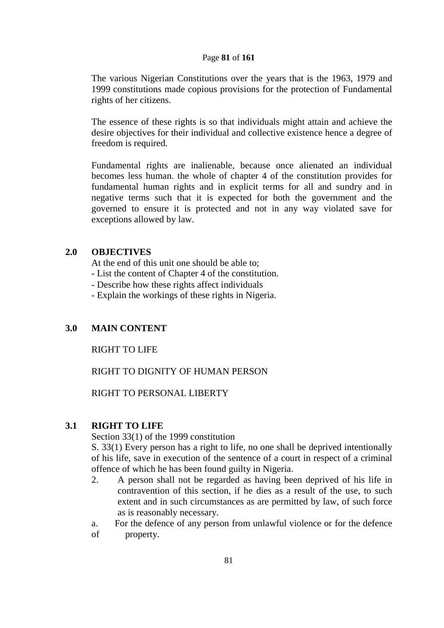#### Page **81** of **161**

The various Nigerian Constitutions over the years that is the 1963, 1979 and 1999 constitutions made copious provisions for the protection of Fundamental rights of her citizens.

The essence of these rights is so that individuals might attain and achieve the desire objectives for their individual and collective existence hence a degree of freedom is required.

Fundamental rights are inalienable, because once alienated an individual becomes less human. the whole of chapter 4 of the constitution provides for fundamental human rights and in explicit terms for all and sundry and in negative terms such that it is expected for both the government and the governed to ensure it is protected and not in any way violated save for exceptions allowed by law.

### **2.0 OBJECTIVES**

At the end of this unit one should be able to;

- List the content of Chapter 4 of the constitution.
- Describe how these rights affect individuals
- Explain the workings of these rights in Nigeria.

### **3.0 MAIN CONTENT**

RIGHT TO LIFE

RIGHT TO DIGNITY OF HUMAN PERSON

RIGHT TO PERSONAL LIBERTY

### **3.1 RIGHT TO LIFE**

Section 33(1) of the 1999 constitution

S. 33(1) Every person has a right to life, no one shall be deprived intentionally of his life, save in execution of the sentence of a court in respect of a criminal offence of which he has been found guilty in Nigeria.

- 2. A person shall not be regarded as having been deprived of his life in contravention of this section, if he dies as a result of the use, to such extent and in such circumstances as are permitted by law, of such force as is reasonably necessary.
- a. For the defence of any person from unlawful violence or for the defence
- of property.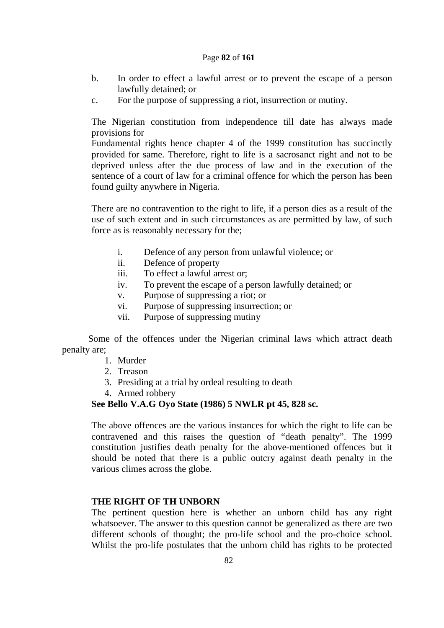#### Page **82** of **161**

- b. In order to effect a lawful arrest or to prevent the escape of a person lawfully detained; or
- c. For the purpose of suppressing a riot, insurrection or mutiny.

 The Nigerian constitution from independence till date has always made provisions for

Fundamental rights hence chapter 4 of the 1999 constitution has succinctly provided for same. Therefore, right to life is a sacrosanct right and not to be deprived unless after the due process of law and in the execution of the sentence of a court of law for a criminal offence for which the person has been found guilty anywhere in Nigeria.

There are no contravention to the right to life, if a person dies as a result of the use of such extent and in such circumstances as are permitted by law, of such force as is reasonably necessary for the;

- i. Defence of any person from unlawful violence; or
- ii. Defence of property
- iii. To effect a lawful arrest or;
- iv. To prevent the escape of a person lawfully detained; or
- v. Purpose of suppressing a riot; or
- vi. Purpose of suppressing insurrection; or
- vii. Purpose of suppressing mutiny

Some of the offences under the Nigerian criminal laws which attract death penalty are;

- 1. Murder
- 2. Treason
- 3. Presiding at a trial by ordeal resulting to death
- 4. Armed robbery

### **See Bello V.A.G Oyo State (1986) 5 NWLR pt 45, 828 sc.**

The above offences are the various instances for which the right to life can be contravened and this raises the question of "death penalty". The 1999 constitution justifies death penalty for the above-mentioned offences but it should be noted that there is a public outcry against death penalty in the various climes across the globe.

## **THE RIGHT OF TH UNBORN**

The pertinent question here is whether an unborn child has any right whatsoever. The answer to this question cannot be generalized as there are two different schools of thought; the pro-life school and the pro-choice school. Whilst the pro-life postulates that the unborn child has rights to be protected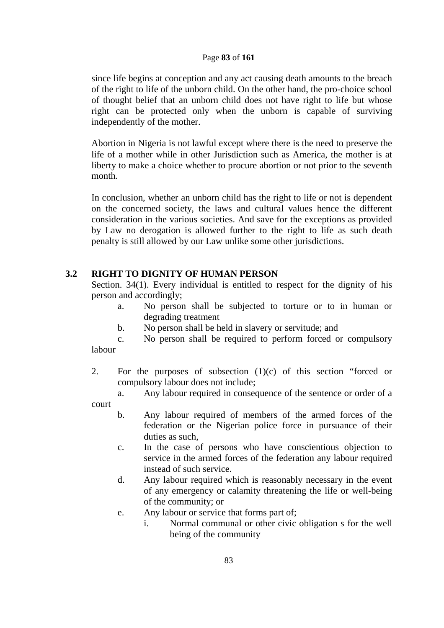### Page **83** of **161**

since life begins at conception and any act causing death amounts to the breach of the right to life of the unborn child. On the other hand, the pro-choice school of thought belief that an unborn child does not have right to life but whose right can be protected only when the unborn is capable of surviving independently of the mother.

Abortion in Nigeria is not lawful except where there is the need to preserve the life of a mother while in other Jurisdiction such as America, the mother is at liberty to make a choice whether to procure abortion or not prior to the seventh month.

In conclusion, whether an unborn child has the right to life or not is dependent on the concerned society, the laws and cultural values hence the different consideration in the various societies. And save for the exceptions as provided by Law no derogation is allowed further to the right to life as such death penalty is still allowed by our Law unlike some other jurisdictions.

# **3.2 RIGHT TO DIGNITY OF HUMAN PERSON**

Section. 34(1). Every individual is entitled to respect for the dignity of his person and accordingly;

- a. No person shall be subjected to torture or to in human or degrading treatment
- b. No person shall be held in slavery or servitude; and

c. No person shall be required to perform forced or compulsory labour

- 2. For the purposes of subsection (1)(c) of this section "forced or compulsory labour does not include;
- a. Any labour required in consequence of the sentence or order of a court
	- b. Any labour required of members of the armed forces of the federation or the Nigerian police force in pursuance of their duties as such,
	- c. In the case of persons who have conscientious objection to service in the armed forces of the federation any labour required instead of such service.
	- d. Any labour required which is reasonably necessary in the event of any emergency or calamity threatening the life or well-being of the community; or
	- e. Any labour or service that forms part of;
		- i. Normal communal or other civic obligation s for the well being of the community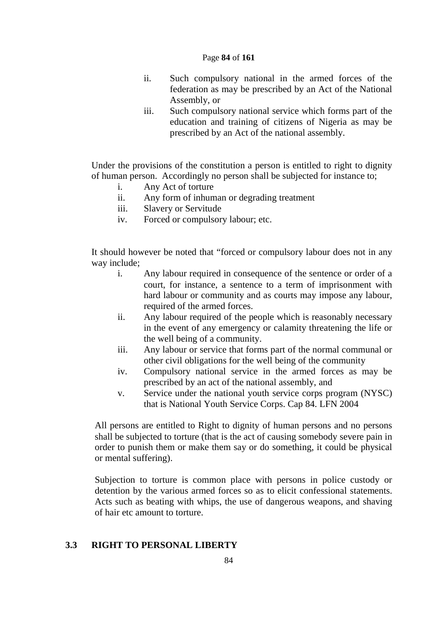#### Page **84** of **161**

- ii. Such compulsory national in the armed forces of the federation as may be prescribed by an Act of the National Assembly, or
- iii. Such compulsory national service which forms part of the education and training of citizens of Nigeria as may be prescribed by an Act of the national assembly.

Under the provisions of the constitution a person is entitled to right to dignity of human person. Accordingly no person shall be subjected for instance to;

- i. Any Act of torture
- ii. Any form of inhuman or degrading treatment
- iii. Slavery or Servitude
- iv. Forced or compulsory labour; etc.

It should however be noted that "forced or compulsory labour does not in any way include;

- i. Any labour required in consequence of the sentence or order of a court, for instance, a sentence to a term of imprisonment with hard labour or community and as courts may impose any labour, required of the armed forces.
- ii. Any labour required of the people which is reasonably necessary in the event of any emergency or calamity threatening the life or the well being of a community.
- iii. Any labour or service that forms part of the normal communal or other civil obligations for the well being of the community
- iv. Compulsory national service in the armed forces as may be prescribed by an act of the national assembly, and
- v. Service under the national youth service corps program (NYSC) that is National Youth Service Corps. Cap 84. LFN 2004

All persons are entitled to Right to dignity of human persons and no persons shall be subjected to torture (that is the act of causing somebody severe pain in order to punish them or make them say or do something, it could be physical or mental suffering).

Subjection to torture is common place with persons in police custody or detention by the various armed forces so as to elicit confessional statements. Acts such as beating with whips, the use of dangerous weapons, and shaving of hair etc amount to torture.

### **3.3 RIGHT TO PERSONAL LIBERTY**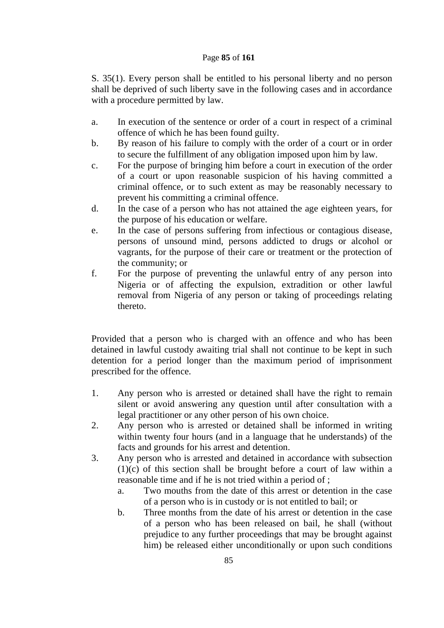### Page **85** of **161**

S. 35(1). Every person shall be entitled to his personal liberty and no person shall be deprived of such liberty save in the following cases and in accordance with a procedure permitted by law.

- a. In execution of the sentence or order of a court in respect of a criminal offence of which he has been found guilty.
- b. By reason of his failure to comply with the order of a court or in order to secure the fulfillment of any obligation imposed upon him by law.
- c. For the purpose of bringing him before a court in execution of the order of a court or upon reasonable suspicion of his having committed a criminal offence, or to such extent as may be reasonably necessary to prevent his committing a criminal offence.
- d. In the case of a person who has not attained the age eighteen years, for the purpose of his education or welfare.
- e. In the case of persons suffering from infectious or contagious disease, persons of unsound mind, persons addicted to drugs or alcohol or vagrants, for the purpose of their care or treatment or the protection of the community; or
- f. For the purpose of preventing the unlawful entry of any person into Nigeria or of affecting the expulsion, extradition or other lawful removal from Nigeria of any person or taking of proceedings relating thereto.

Provided that a person who is charged with an offence and who has been detained in lawful custody awaiting trial shall not continue to be kept in such detention for a period longer than the maximum period of imprisonment prescribed for the offence.

- 1. Any person who is arrested or detained shall have the right to remain silent or avoid answering any question until after consultation with a legal practitioner or any other person of his own choice.
- 2. Any person who is arrested or detained shall be informed in writing within twenty four hours (and in a language that he understands) of the facts and grounds for his arrest and detention.
- 3. Any person who is arrested and detained in accordance with subsection (1)(c) of this section shall be brought before a court of law within a reasonable time and if he is not tried within a period of ;
	- a. Two mouths from the date of this arrest or detention in the case of a person who is in custody or is not entitled to bail; or
	- b. Three months from the date of his arrest or detention in the case of a person who has been released on bail, he shall (without prejudice to any further proceedings that may be brought against him) be released either unconditionally or upon such conditions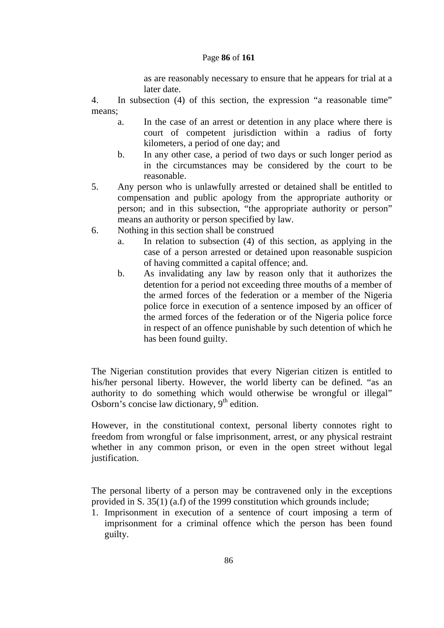#### Page **86** of **161**

as are reasonably necessary to ensure that he appears for trial at a later date.

4. In subsection (4) of this section, the expression "a reasonable time" means;

- a. In the case of an arrest or detention in any place where there is court of competent jurisdiction within a radius of forty kilometers, a period of one day; and
- b. In any other case, a period of two days or such longer period as in the circumstances may be considered by the court to be reasonable.
- 5. Any person who is unlawfully arrested or detained shall be entitled to compensation and public apology from the appropriate authority or person; and in this subsection, "the appropriate authority or person" means an authority or person specified by law.
- 6. Nothing in this section shall be construed
	- a. In relation to subsection (4) of this section, as applying in the case of a person arrested or detained upon reasonable suspicion of having committed a capital offence; and.
	- b. As invalidating any law by reason only that it authorizes the detention for a period not exceeding three mouths of a member of the armed forces of the federation or a member of the Nigeria police force in execution of a sentence imposed by an officer of the armed forces of the federation or of the Nigeria police force in respect of an offence punishable by such detention of which he has been found guilty.

The Nigerian constitution provides that every Nigerian citizen is entitled to his/her personal liberty. However, the world liberty can be defined. "as an authority to do something which would otherwise be wrongful or illegal" Osborn's concise law dictionary,  $9<sup>th</sup>$  edition.

However, in the constitutional context, personal liberty connotes right to freedom from wrongful or false imprisonment, arrest, or any physical restraint whether in any common prison, or even in the open street without legal justification.

The personal liberty of a person may be contravened only in the exceptions provided in S. 35(1) (a.f) of the 1999 constitution which grounds include;

1. Imprisonment in execution of a sentence of court imposing a term of imprisonment for a criminal offence which the person has been found guilty.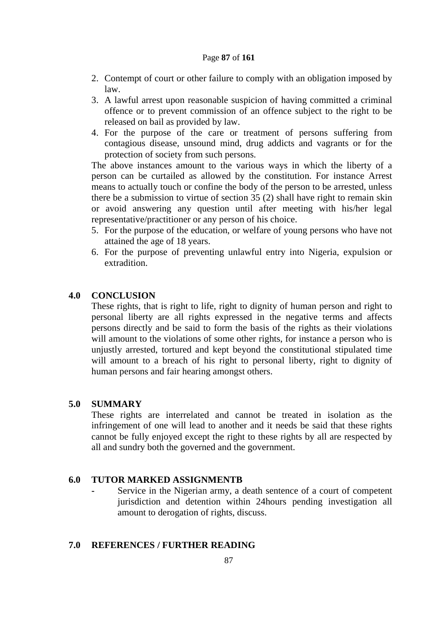#### Page **87** of **161**

- 2. Contempt of court or other failure to comply with an obligation imposed by law.
- 3. A lawful arrest upon reasonable suspicion of having committed a criminal offence or to prevent commission of an offence subject to the right to be released on bail as provided by law.
- 4. For the purpose of the care or treatment of persons suffering from contagious disease, unsound mind, drug addicts and vagrants or for the protection of society from such persons.

The above instances amount to the various ways in which the liberty of a person can be curtailed as allowed by the constitution. For instance Arrest means to actually touch or confine the body of the person to be arrested, unless there be a submission to virtue of section 35 (2) shall have right to remain skin or avoid answering any question until after meeting with his/her legal representative/practitioner or any person of his choice.

- 5. For the purpose of the education, or welfare of young persons who have not attained the age of 18 years.
- 6. For the purpose of preventing unlawful entry into Nigeria, expulsion or extradition.

#### **4.0 CONCLUSION**

These rights, that is right to life, right to dignity of human person and right to personal liberty are all rights expressed in the negative terms and affects persons directly and be said to form the basis of the rights as their violations will amount to the violations of some other rights, for instance a person who is unjustly arrested, tortured and kept beyond the constitutional stipulated time will amount to a breach of his right to personal liberty, right to dignity of human persons and fair hearing amongst others.

### **5.0 SUMMARY**

These rights are interrelated and cannot be treated in isolation as the infringement of one will lead to another and it needs be said that these rights cannot be fully enjoyed except the right to these rights by all are respected by all and sundry both the governed and the government.

#### **6.0 TUTOR MARKED ASSIGNMENTB**

**-** Service in the Nigerian army, a death sentence of a court of competent jurisdiction and detention within 24hours pending investigation all amount to derogation of rights, discuss.

#### **7.0 REFERENCES / FURTHER READING**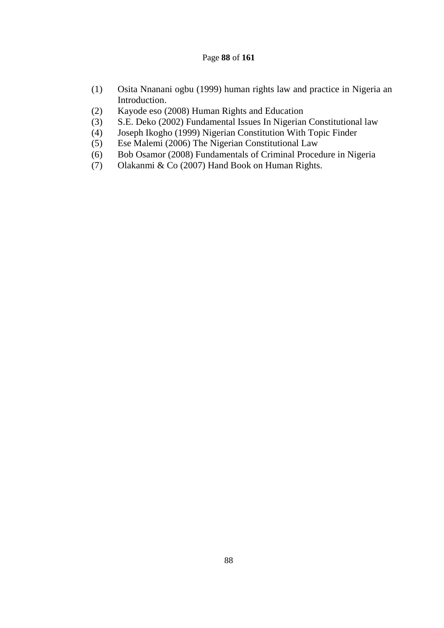#### Page **88** of **161**

- (1) Osita Nnanani ogbu (1999) human rights law and practice in Nigeria an Introduction.
- (2) Kayode eso (2008) Human Rights and Education
- (3) S.E. Deko (2002) Fundamental Issues In Nigerian Constitutional law
- (4) Joseph Ikogho (1999) Nigerian Constitution With Topic Finder<br>
(5) Ese Malemi (2006) The Nigerian Constitutional Law
- (5) Ese Malemi (2006) The Nigerian Constitutional Law
- (6) Bob Osamor (2008) Fundamentals of Criminal Procedure in Nigeria
- (7) Olakanmi & Co (2007) Hand Book on Human Rights.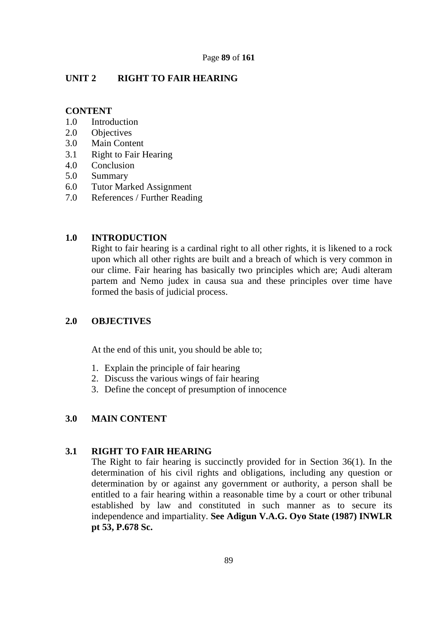# **UNIT 2 RIGHT TO FAIR HEARING**

### **CONTENT**

- 1.0 Introduction
- 2.0 Objectives
- 3.0 Main Content
- 3.1 Right to Fair Hearing
- 4.0 Conclusion
- 5.0 Summary
- 6.0 Tutor Marked Assignment
- 7.0 References / Further Reading

### **1.0 INTRODUCTION**

Right to fair hearing is a cardinal right to all other rights, it is likened to a rock upon which all other rights are built and a breach of which is very common in our clime. Fair hearing has basically two principles which are; Audi alteram partem and Nemo judex in causa sua and these principles over time have formed the basis of judicial process.

### **2.0 OBJECTIVES**

At the end of this unit, you should be able to;

- 1. Explain the principle of fair hearing
- 2. Discuss the various wings of fair hearing
- 3. Define the concept of presumption of innocence

### **3.0 MAIN CONTENT**

### **3.1 RIGHT TO FAIR HEARING**

The Right to fair hearing is succinctly provided for in Section 36(1). In the determination of his civil rights and obligations, including any question or determination by or against any government or authority, a person shall be entitled to a fair hearing within a reasonable time by a court or other tribunal established by law and constituted in such manner as to secure its independence and impartiality. **See Adigun V.A.G. Oyo State (1987) INWLR pt 53, P.678 Sc.**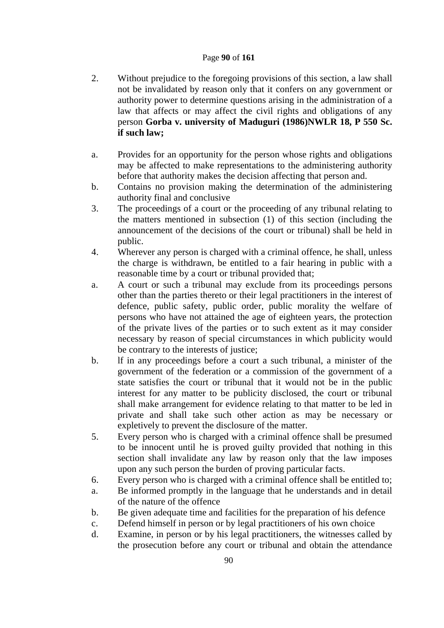### Page **90** of **161**

- 2. Without prejudice to the foregoing provisions of this section, a law shall not be invalidated by reason only that it confers on any government or authority power to determine questions arising in the administration of a law that affects or may affect the civil rights and obligations of any person **Gorba v. university of Maduguri (1986)NWLR 18, P 550 Sc. if such law;**
- a. Provides for an opportunity for the person whose rights and obligations may be affected to make representations to the administering authority before that authority makes the decision affecting that person and.
- b. Contains no provision making the determination of the administering authority final and conclusive
- 3. The proceedings of a court or the proceeding of any tribunal relating to the matters mentioned in subsection (1) of this section (including the announcement of the decisions of the court or tribunal) shall be held in public.
- 4. Wherever any person is charged with a criminal offence, he shall, unless the charge is withdrawn, be entitled to a fair hearing in public with a reasonable time by a court or tribunal provided that;
- a. A court or such a tribunal may exclude from its proceedings persons other than the parties thereto or their legal practitioners in the interest of defence, public safety, public order, public morality the welfare of persons who have not attained the age of eighteen years, the protection of the private lives of the parties or to such extent as it may consider necessary by reason of special circumstances in which publicity would be contrary to the interests of justice;
- b. lf in any proceedings before a court a such tribunal, a minister of the government of the federation or a commission of the government of a state satisfies the court or tribunal that it would not be in the public interest for any matter to be publicity disclosed, the court or tribunal shall make arrangement for evidence relating to that matter to be led in private and shall take such other action as may be necessary or expletively to prevent the disclosure of the matter.
- 5. Every person who is charged with a criminal offence shall be presumed to be innocent until he is proved guilty provided that nothing in this section shall invalidate any law by reason only that the law imposes upon any such person the burden of proving particular facts.
- 6. Every person who is charged with a criminal offence shall be entitled to;
- a. Be informed promptly in the language that he understands and in detail of the nature of the offence
- b. Be given adequate time and facilities for the preparation of his defence
- c. Defend himself in person or by legal practitioners of his own choice
- d. Examine, in person or by his legal practitioners, the witnesses called by the prosecution before any court or tribunal and obtain the attendance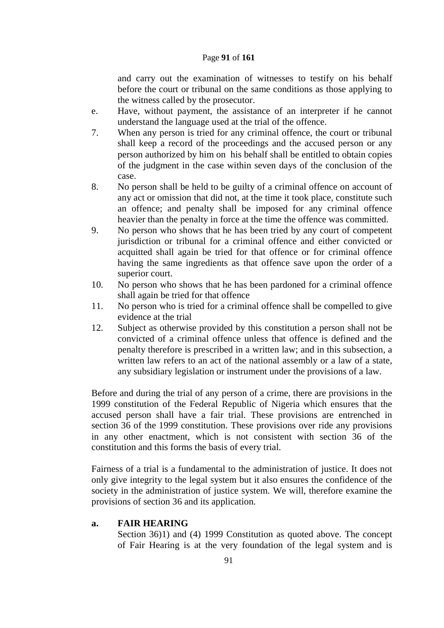#### Page **91** of **161**

and carry out the examination of witnesses to testify on his behalf before the court or tribunal on the same conditions as those applying to the witness called by the prosecutor.

- e. Have, without payment, the assistance of an interpreter if he cannot understand the language used at the trial of the offence.
- 7. When any person is tried for any criminal offence, the court or tribunal shall keep a record of the proceedings and the accused person or any person authorized by him on his behalf shall be entitled to obtain copies of the judgment in the case within seven days of the conclusion of the case.
- 8. No person shall be held to be guilty of a criminal offence on account of any act or omission that did not, at the time it took place, constitute such an offence; and penalty shall be imposed for any criminal offence heavier than the penalty in force at the time the offence was committed.
- 9. No person who shows that he has been tried by any court of competent jurisdiction or tribunal for a criminal offence and either convicted or acquitted shall again be tried for that offence or for criminal offence having the same ingredients as that offence save upon the order of a superior court.
- 10. No person who shows that he has been pardoned for a criminal offence shall again be tried for that offence
- 11. No person who is tried for a criminal offence shall be compelled to give evidence at the trial
- 12. Subject as otherwise provided by this constitution a person shall not be convicted of a criminal offence unless that offence is defined and the penalty therefore is prescribed in a written law; and in this subsection, a written law refers to an act of the national assembly or a law of a state, any subsidiary legislation or instrument under the provisions of a law.

Before and during the trial of any person of a crime, there are provisions in the 1999 constitution of the Federal Republic of Nigeria which ensures that the accused person shall have a fair trial. These provisions are entrenched in section 36 of the 1999 constitution. These provisions over ride any provisions in any other enactment, which is not consistent with section 36 of the constitution and this forms the basis of every trial.

Fairness of a trial is a fundamental to the administration of justice. It does not only give integrity to the legal system but it also ensures the confidence of the society in the administration of justice system. We will, therefore examine the provisions of section 36 and its application.

#### **a. FAIR HEARING**

Section 36)1) and (4) 1999 Constitution as quoted above. The concept of Fair Hearing is at the very foundation of the legal system and is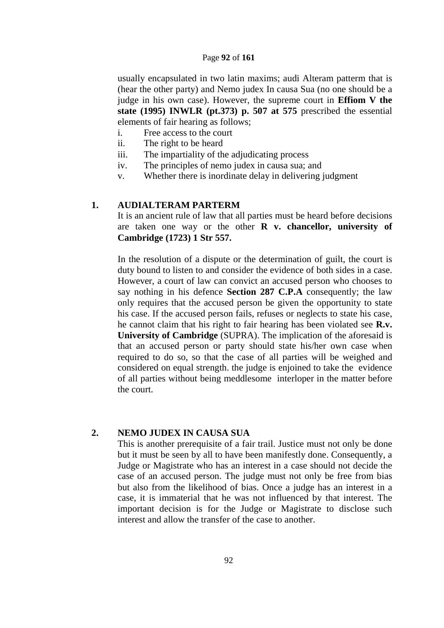#### Page **92** of **161**

usually encapsulated in two latin maxims; audi Alteram patterm that is (hear the other party) and Nemo judex In causa Sua (no one should be a judge in his own case). However, the supreme court in **Effiom V the state (1995) INWLR (pt.373) p. 507 at 575** prescribed the essential elements of fair hearing as follows;

- i. Free access to the court
- ii. The right to be heard
- iii. The impartiality of the adjudicating process
- iv. The principles of nemo judex in causa sua; and
- v. Whether there is inordinate delay in delivering judgment

### **1. AUDIALTERAM PARTERM**

It is an ancient rule of law that all parties must be heard before decisions are taken one way or the other **R v. chancellor, university of Cambridge (1723) 1 Str 557.** 

In the resolution of a dispute or the determination of guilt, the court is duty bound to listen to and consider the evidence of both sides in a case. However, a court of law can convict an accused person who chooses to say nothing in his defence **Section 287 C.P.A** consequently; the law only requires that the accused person be given the opportunity to state his case. If the accused person fails, refuses or neglects to state his case, he cannot claim that his right to fair hearing has been violated see **R.v. University of Cambridge** (SUPRA). The implication of the aforesaid is that an accused person or party should state his/her own case when required to do so, so that the case of all parties will be weighed and considered on equal strength. the judge is enjoined to take the evidence of all parties without being meddlesome interloper in the matter before the court.

#### **2. NEMO JUDEX IN CAUSA SUA**

This is another prerequisite of a fair trail. Justice must not only be done but it must be seen by all to have been manifestly done. Consequently, a Judge or Magistrate who has an interest in a case should not decide the case of an accused person. The judge must not only be free from bias but also from the likelihood of bias. Once a judge has an interest in a case, it is immaterial that he was not influenced by that interest. The important decision is for the Judge or Magistrate to disclose such interest and allow the transfer of the case to another.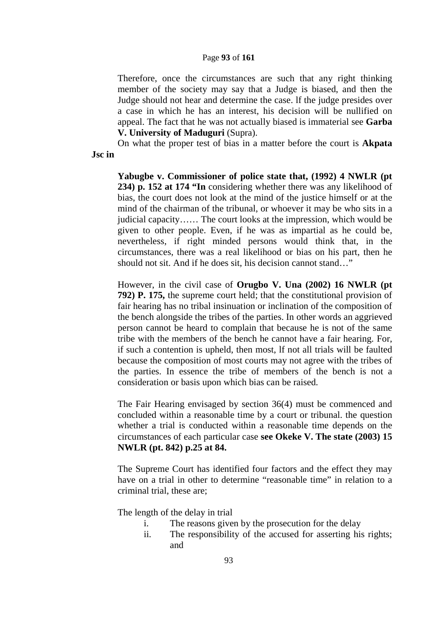#### Page **93** of **161**

Therefore, once the circumstances are such that any right thinking member of the society may say that a Judge is biased, and then the Judge should not hear and determine the case. lf the judge presides over a case in which he has an interest, his decision will be nullified on appeal. The fact that he was not actually biased is immaterial see **Garba V. University of Maduguri** (Supra).

 On what the proper test of bias in a matter before the court is **Akpata Jsc in** 

**Yabugbe v. Commissioner of police state that, (1992) 4 NWLR (pt 234) p. 152 at 174 "In** considering whether there was any likelihood of bias, the court does not look at the mind of the justice himself or at the mind of the chairman of the tribunal, or whoever it may be who sits in a judicial capacity…… The court looks at the impression, which would be given to other people. Even, if he was as impartial as he could be, nevertheless, if right minded persons would think that, in the circumstances, there was a real likelihood or bias on his part, then he should not sit. And if he does sit, his decision cannot stand…"

However, in the civil case of **Orugbo V. Una (2002) 16 NWLR (pt 792) P. 175,** the supreme court held; that the constitutional provision of fair hearing has no tribal insinuation or inclination of the composition of the bench alongside the tribes of the parties. In other words an aggrieved person cannot be heard to complain that because he is not of the same tribe with the members of the bench he cannot have a fair hearing. For, if such a contention is upheld, then most, lf not all trials will be faulted because the composition of most courts may not agree with the tribes of the parties. In essence the tribe of members of the bench is not a consideration or basis upon which bias can be raised.

The Fair Hearing envisaged by section 36(4) must be commenced and concluded within a reasonable time by a court or tribunal. the question whether a trial is conducted within a reasonable time depends on the circumstances of each particular case **see Okeke V. The state (2003) 15 NWLR (pt. 842) p.25 at 84.** 

The Supreme Court has identified four factors and the effect they may have on a trial in other to determine "reasonable time" in relation to a criminal trial, these are;

The length of the delay in trial

- i. The reasons given by the prosecution for the delay
- ii. The responsibility of the accused for asserting his rights; and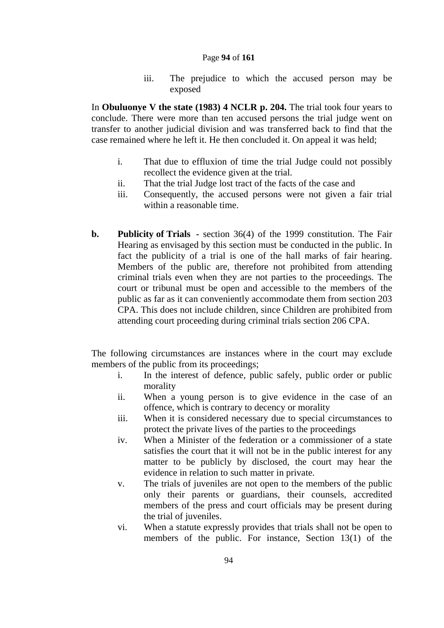#### Page **94** of **161**

iii. The prejudice to which the accused person may be exposed

In **Obuluonye V the state (1983) 4 NCLR p. 204.** The trial took four years to conclude. There were more than ten accused persons the trial judge went on transfer to another judicial division and was transferred back to find that the case remained where he left it. He then concluded it. On appeal it was held;

- i. That due to effluxion of time the trial Judge could not possibly recollect the evidence given at the trial.
- ii. That the trial Judge lost tract of the facts of the case and
- iii. Consequently, the accused persons were not given a fair trial within a reasonable time.
- **b. Publicity of Trials** section 36(4) of the 1999 constitution. The Fair Hearing as envisaged by this section must be conducted in the public. In fact the publicity of a trial is one of the hall marks of fair hearing. Members of the public are, therefore not prohibited from attending criminal trials even when they are not parties to the proceedings. The court or tribunal must be open and accessible to the members of the public as far as it can conveniently accommodate them from section 203 CPA. This does not include children, since Children are prohibited from attending court proceeding during criminal trials section 206 CPA.

The following circumstances are instances where in the court may exclude members of the public from its proceedings:

- i. In the interest of defence, public safely, public order or public morality
- ii. When a young person is to give evidence in the case of an offence, which is contrary to decency or morality
- iii. When it is considered necessary due to special circumstances to protect the private lives of the parties to the proceedings
- iv. When a Minister of the federation or a commissioner of a state satisfies the court that it will not be in the public interest for any matter to be publicly by disclosed, the court may hear the evidence in relation to such matter in private.
- v. The trials of juveniles are not open to the members of the public only their parents or guardians, their counsels, accredited members of the press and court officials may be present during the trial of juveniles.
- vi. When a statute expressly provides that trials shall not be open to members of the public. For instance, Section 13(1) of the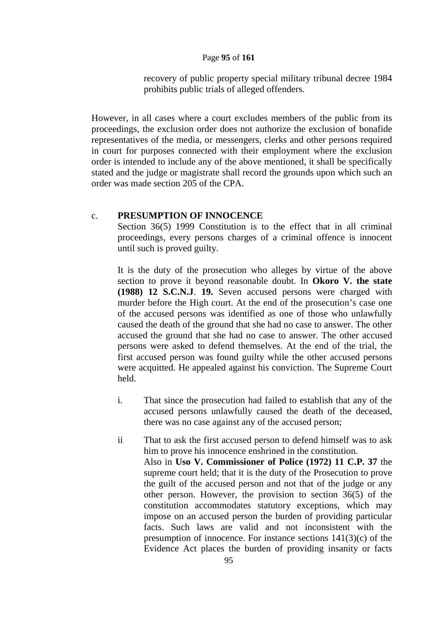#### Page **95** of **161**

recovery of public property special military tribunal decree 1984 prohibits public trials of alleged offenders.

However, in all cases where a court excludes members of the public from its proceedings, the exclusion order does not authorize the exclusion of bonafide representatives of the media, or messengers, clerks and other persons required in court for purposes connected with their employment where the exclusion order is intended to include any of the above mentioned, it shall be specifically stated and the judge or magistrate shall record the grounds upon which such an order was made section 205 of the CPA.

#### c. **PRESUMPTION OF INNOCENCE**

Section 36(5) 1999 Constitution is to the effect that in all criminal proceedings, every persons charges of a criminal offence is innocent until such is proved guilty.

It is the duty of the prosecution who alleges by virtue of the above section to prove it beyond reasonable doubt. In **Okoro V. the state (1988) 12 S.C.N.J**. **19.** Seven accused persons were charged with murder before the High court. At the end of the prosecution's case one of the accused persons was identified as one of those who unlawfully caused the death of the ground that she had no case to answer. The other accused the ground that she had no case to answer. The other accused persons were asked to defend themselves. At the end of the trial, the first accused person was found guilty while the other accused persons were acquitted. He appealed against his conviction. The Supreme Court held.

- i. That since the prosecution had failed to establish that any of the accused persons unlawfully caused the death of the deceased, there was no case against any of the accused person;
- ii That to ask the first accused person to defend himself was to ask him to prove his innocence enshrined in the constitution. Also in **Uso V. Commissioner of Police (1972) 11 C.P. 37** the supreme court held; that it is the duty of the Prosecution to prove the guilt of the accused person and not that of the judge or any other person. However, the provision to section 36(5) of the constitution accommodates statutory exceptions, which may impose on an accused person the burden of providing particular facts. Such laws are valid and not inconsistent with the presumption of innocence. For instance sections  $141(3)(c)$  of the Evidence Act places the burden of providing insanity or facts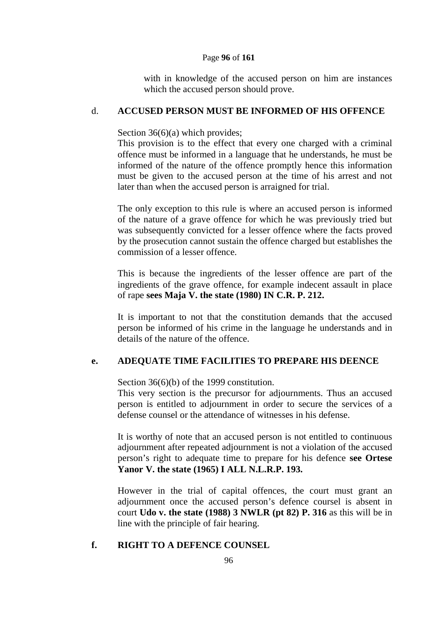#### Page **96** of **161**

with in knowledge of the accused person on him are instances which the accused person should prove.

### d. **ACCUSED PERSON MUST BE INFORMED OF HIS OFFENCE**

Section 36(6)(a) which provides;

This provision is to the effect that every one charged with a criminal offence must be informed in a language that he understands, he must be informed of the nature of the offence promptly hence this information must be given to the accused person at the time of his arrest and not later than when the accused person is arraigned for trial.

The only exception to this rule is where an accused person is informed of the nature of a grave offence for which he was previously tried but was subsequently convicted for a lesser offence where the facts proved by the prosecution cannot sustain the offence charged but establishes the commission of a lesser offence.

This is because the ingredients of the lesser offence are part of the ingredients of the grave offence, for example indecent assault in place of rape **sees Maja V. the state (1980) IN C.R. P. 212.** 

It is important to not that the constitution demands that the accused person be informed of his crime in the language he understands and in details of the nature of the offence.

### **e. ADEQUATE TIME FACILITIES TO PREPARE HIS DEENCE**

Section 36(6)(b) of the 1999 constitution.

This very section is the precursor for adjournments. Thus an accused person is entitled to adjournment in order to secure the services of a defense counsel or the attendance of witnesses in his defense.

It is worthy of note that an accused person is not entitled to continuous adjournment after repeated adjournment is not a violation of the accused person's right to adequate time to prepare for his defence **see Ortese Yanor V. the state (1965) I ALL N.L.R.P. 193.** 

However in the trial of capital offences, the court must grant an adjournment once the accused person's defence coursel is absent in court **Udo v. the state (1988) 3 NWLR (pt 82) P. 316** as this will be in line with the principle of fair hearing.

### **f. RIGHT TO A DEFENCE COUNSEL**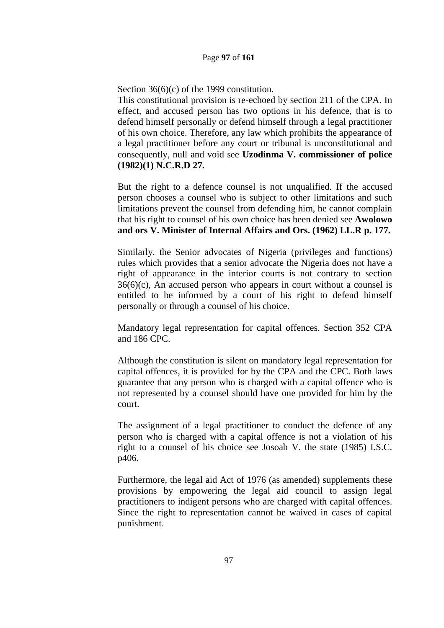#### Page **97** of **161**

Section 36(6)(c) of the 1999 constitution.

This constitutional provision is re-echoed by section 211 of the CPA. In effect, and accused person has two options in his defence, that is to defend himself personally or defend himself through a legal practitioner of his own choice. Therefore, any law which prohibits the appearance of a legal practitioner before any court or tribunal is unconstitutional and consequently, null and void see **Uzodinma V. commissioner of police (1982)(1) N.C.R.D 27.** 

But the right to a defence counsel is not unqualified. If the accused person chooses a counsel who is subject to other limitations and such limitations prevent the counsel from defending him, he cannot complain that his right to counsel of his own choice has been denied see **Awolowo and ors V. Minister of Internal Affairs and Ors. (1962) LL.R p. 177.** 

Similarly, the Senior advocates of Nigeria (privileges and functions) rules which provides that a senior advocate the Nigeria does not have a right of appearance in the interior courts is not contrary to section  $36(6)(c)$ , An accused person who appears in court without a counsel is entitled to be informed by a court of his right to defend himself personally or through a counsel of his choice.

Mandatory legal representation for capital offences. Section 352 CPA and 186 CPC.

Although the constitution is silent on mandatory legal representation for capital offences, it is provided for by the CPA and the CPC. Both laws guarantee that any person who is charged with a capital offence who is not represented by a counsel should have one provided for him by the court.

The assignment of a legal practitioner to conduct the defence of any person who is charged with a capital offence is not a violation of his right to a counsel of his choice see Josoah V. the state (1985) I.S.C. p406.

Furthermore, the legal aid Act of 1976 (as amended) supplements these provisions by empowering the legal aid council to assign legal practitioners to indigent persons who are charged with capital offences. Since the right to representation cannot be waived in cases of capital punishment.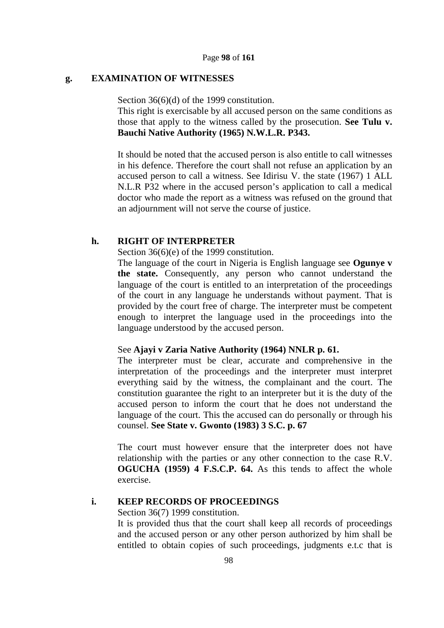### **g. EXAMINATION OF WITNESSES**

Section 36(6)(d) of the 1999 constitution.

This right is exercisable by all accused person on the same conditions as those that apply to the witness called by the prosecution. **See Tulu v. Bauchi Native Authority (1965) N.W.L.R. P343.** 

It should be noted that the accused person is also entitle to call witnesses in his defence. Therefore the court shall not refuse an application by an accused person to call a witness. See Idirisu V. the state (1967) 1 ALL N.L.R P32 where in the accused person's application to call a medical doctor who made the report as a witness was refused on the ground that an adjournment will not serve the course of justice.

#### **h. RIGHT OF INTERPRETER**

Section 36(6)(e) of the 1999 constitution.

The language of the court in Nigeria is English language see **Ogunye v the state.** Consequently, any person who cannot understand the language of the court is entitled to an interpretation of the proceedings of the court in any language he understands without payment. That is provided by the court free of charge. The interpreter must be competent enough to interpret the language used in the proceedings into the language understood by the accused person.

#### See **Ajayi v Zaria Native Authority (1964) NNLR p. 61.**

The interpreter must be clear, accurate and comprehensive in the interpretation of the proceedings and the interpreter must interpret everything said by the witness, the complainant and the court. The constitution guarantee the right to an interpreter but it is the duty of the accused person to inform the court that he does not understand the language of the court. This the accused can do personally or through his counsel. **See State v. Gwonto (1983) 3 S.C. p. 67** 

The court must however ensure that the interpreter does not have relationship with the parties or any other connection to the case R.V. **OGUCHA (1959) 4 F.S.C.P. 64.** As this tends to affect the whole exercise.

## **i. KEEP RECORDS OF PROCEEDINGS**

Section 36(7) 1999 constitution.

It is provided thus that the court shall keep all records of proceedings and the accused person or any other person authorized by him shall be entitled to obtain copies of such proceedings, judgments e.t.c that is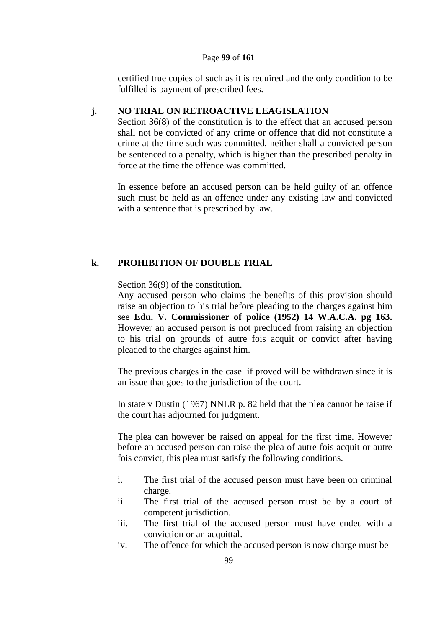#### Page **99** of **161**

certified true copies of such as it is required and the only condition to be fulfilled is payment of prescribed fees.

### **j. NO TRIAL ON RETROACTIVE LEAGISLATION**

Section 36(8) of the constitution is to the effect that an accused person shall not be convicted of any crime or offence that did not constitute a crime at the time such was committed, neither shall a convicted person be sentenced to a penalty, which is higher than the prescribed penalty in force at the time the offence was committed.

In essence before an accused person can be held guilty of an offence such must be held as an offence under any existing law and convicted with a sentence that is prescribed by law.

### **k. PROHIBITION OF DOUBLE TRIAL**

Section 36(9) of the constitution.

Any accused person who claims the benefits of this provision should raise an objection to his trial before pleading to the charges against him see **Edu. V. Commissioner of police (1952) 14 W.A.C.A. pg 163.** However an accused person is not precluded from raising an objection to his trial on grounds of autre fois acquit or convict after having pleaded to the charges against him.

The previous charges in the case if proved will be withdrawn since it is an issue that goes to the jurisdiction of the court.

In state v Dustin (1967) NNLR p. 82 held that the plea cannot be raise if the court has adjourned for judgment.

The plea can however be raised on appeal for the first time. However before an accused person can raise the plea of autre fois acquit or autre fois convict, this plea must satisfy the following conditions.

- i. The first trial of the accused person must have been on criminal charge.
- ii. The first trial of the accused person must be by a court of competent jurisdiction.
- iii. The first trial of the accused person must have ended with a conviction or an acquittal.
- iv. The offence for which the accused person is now charge must be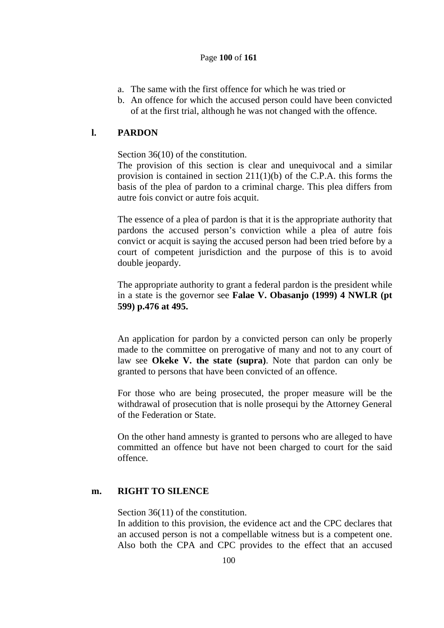#### Page **100** of **161**

- a. The same with the first offence for which he was tried or
- b. An offence for which the accused person could have been convicted of at the first trial, although he was not changed with the offence.

#### **l. PARDON**

Section 36(10) of the constitution.

The provision of this section is clear and unequivocal and a similar provision is contained in section 211(1)(b) of the C.P.A. this forms the basis of the plea of pardon to a criminal charge. This plea differs from autre fois convict or autre fois acquit.

The essence of a plea of pardon is that it is the appropriate authority that pardons the accused person's conviction while a plea of autre fois convict or acquit is saying the accused person had been tried before by a court of competent jurisdiction and the purpose of this is to avoid double jeopardy.

The appropriate authority to grant a federal pardon is the president while in a state is the governor see **Falae V. Obasanjo (1999) 4 NWLR (pt 599) p.476 at 495.** 

An application for pardon by a convicted person can only be properly made to the committee on prerogative of many and not to any court of law see **Okeke V. the state (supra)**. Note that pardon can only be granted to persons that have been convicted of an offence.

For those who are being prosecuted, the proper measure will be the withdrawal of prosecution that is nolle prosequi by the Attorney General of the Federation or State.

On the other hand amnesty is granted to persons who are alleged to have committed an offence but have not been charged to court for the said offence.

### **m. RIGHT TO SILENCE**

Section 36(11) of the constitution.

In addition to this provision, the evidence act and the CPC declares that an accused person is not a compellable witness but is a competent one. Also both the CPA and CPC provides to the effect that an accused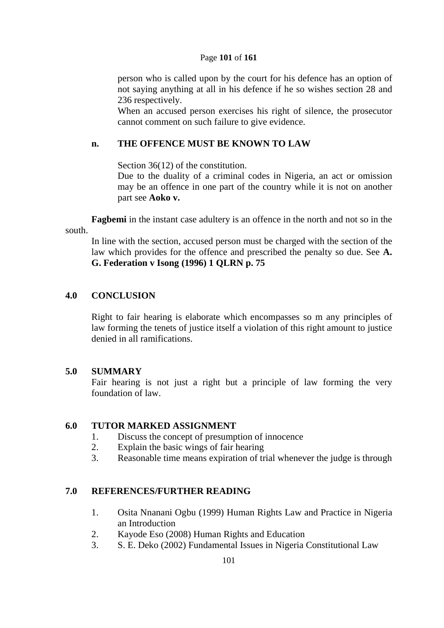#### Page **101** of **161**

person who is called upon by the court for his defence has an option of not saying anything at all in his defence if he so wishes section 28 and 236 respectively.

When an accused person exercises his right of silence, the prosecutor cannot comment on such failure to give evidence.

## **n. THE OFFENCE MUST BE KNOWN TO LAW**

Section 36(12) of the constitution.

Due to the duality of a criminal codes in Nigeria, an act or omission may be an offence in one part of the country while it is not on another part see **Aoko v.** 

**Fagbemi** in the instant case adultery is an offence in the north and not so in the south.

In line with the section, accused person must be charged with the section of the law which provides for the offence and prescribed the penalty so due. See **A. G. Federation v Isong (1996) 1 QLRN p. 75** 

### **4.0 CONCLUSION**

Right to fair hearing is elaborate which encompasses so m any principles of law forming the tenets of justice itself a violation of this right amount to justice denied in all ramifications.

### **5.0 SUMMARY**

Fair hearing is not just a right but a principle of law forming the very foundation of law.

### **6.0 TUTOR MARKED ASSIGNMENT**

- 1. Discuss the concept of presumption of innocence
- 2. Explain the basic wings of fair hearing
- 3. Reasonable time means expiration of trial whenever the judge is through

# **7.0 REFERENCES/FURTHER READING**

- 1. Osita Nnanani Ogbu (1999) Human Rights Law and Practice in Nigeria an Introduction
- 2. Kayode Eso (2008) Human Rights and Education
- 3. S. E. Deko (2002) Fundamental Issues in Nigeria Constitutional Law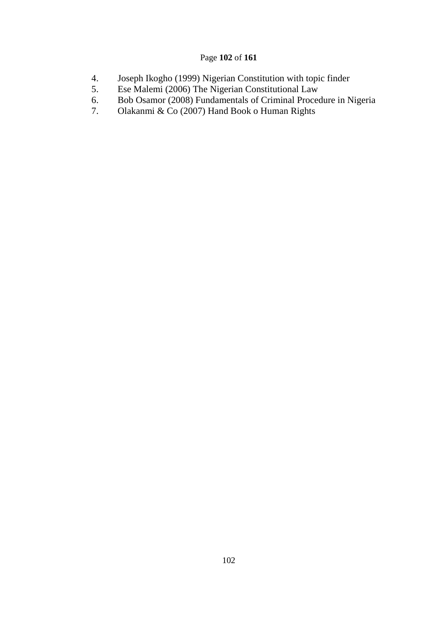# Page **102** of **161**

- 4. Joseph Ikogho (1999) Nigerian Constitution with topic finder
- 5. Ese Malemi (2006) The Nigerian Constitutional Law
	- 6. Bob Osamor (2008) Fundamentals of Criminal Procedure in Nigeria<br>7. Olakanmi & Co (2007) Hand Book o Human Rights
	- 7. Olakanmi & Co (2007) Hand Book o Human Rights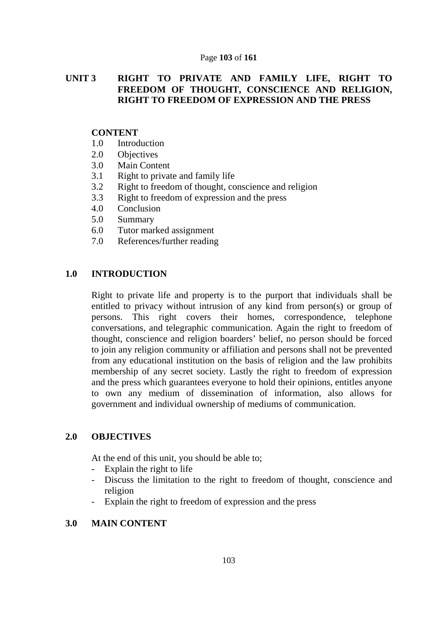#### Page **103** of **161**

# **UNIT 3 RIGHT TO PRIVATE AND FAMILY LIFE, RIGHT TO FREEDOM OF THOUGHT, CONSCIENCE AND RELIGION, RIGHT TO FREEDOM OF EXPRESSION AND THE PRESS**

#### **CONTENT**

- 1.0 Introduction
- 2.0 Objectives
- 3.0 Main Content
- 3.1 Right to private and family life
- 3.2 Right to freedom of thought, conscience and religion
- 3.3 Right to freedom of expression and the press
- 4.0 Conclusion
- 5.0 Summary
- 6.0 Tutor marked assignment
- 7.0 References/further reading

### **1.0 INTRODUCTION**

Right to private life and property is to the purport that individuals shall be entitled to privacy without intrusion of any kind from person(s) or group of persons. This right covers their homes, correspondence, telephone conversations, and telegraphic communication. Again the right to freedom of thought, conscience and religion boarders' belief, no person should be forced to join any religion community or affiliation and persons shall not be prevented from any educational institution on the basis of religion and the law prohibits membership of any secret society. Lastly the right to freedom of expression and the press which guarantees everyone to hold their opinions, entitles anyone to own any medium of dissemination of information, also allows for government and individual ownership of mediums of communication.

### **2.0 OBJECTIVES**

At the end of this unit, you should be able to;

- Explain the right to life
- Discuss the limitation to the right to freedom of thought, conscience and religion
- Explain the right to freedom of expression and the press

### **3.0 MAIN CONTENT**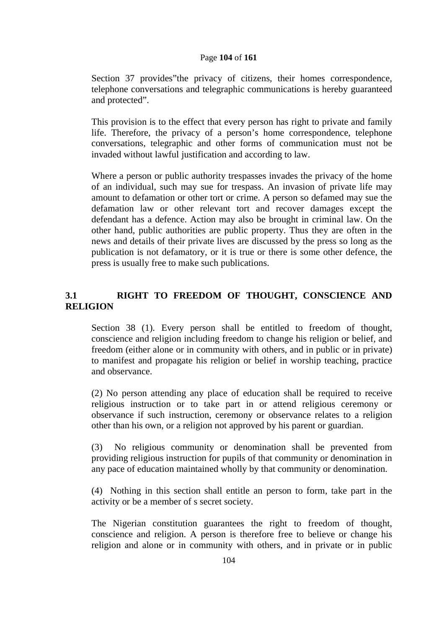### Page **104** of **161**

Section 37 provides"the privacy of citizens, their homes correspondence, telephone conversations and telegraphic communications is hereby guaranteed and protected".

This provision is to the effect that every person has right to private and family life. Therefore, the privacy of a person's home correspondence, telephone conversations, telegraphic and other forms of communication must not be invaded without lawful justification and according to law.

Where a person or public authority trespasses invades the privacy of the home of an individual, such may sue for trespass. An invasion of private life may amount to defamation or other tort or crime. A person so defamed may sue the defamation law or other relevant tort and recover damages except the defendant has a defence. Action may also be brought in criminal law. On the other hand, public authorities are public property. Thus they are often in the news and details of their private lives are discussed by the press so long as the publication is not defamatory, or it is true or there is some other defence, the press is usually free to make such publications.

# **3.1 RIGHT TO FREEDOM OF THOUGHT, CONSCIENCE AND RELIGION**

Section 38 (1). Every person shall be entitled to freedom of thought, conscience and religion including freedom to change his religion or belief, and freedom (either alone or in community with others, and in public or in private) to manifest and propagate his religion or belief in worship teaching, practice and observance.

(2) No person attending any place of education shall be required to receive religious instruction or to take part in or attend religious ceremony or observance if such instruction, ceremony or observance relates to a religion other than his own, or a religion not approved by his parent or guardian.

(3) No religious community or denomination shall be prevented from providing religious instruction for pupils of that community or denomination in any pace of education maintained wholly by that community or denomination.

(4) Nothing in this section shall entitle an person to form, take part in the activity or be a member of s secret society.

The Nigerian constitution guarantees the right to freedom of thought, conscience and religion. A person is therefore free to believe or change his religion and alone or in community with others, and in private or in public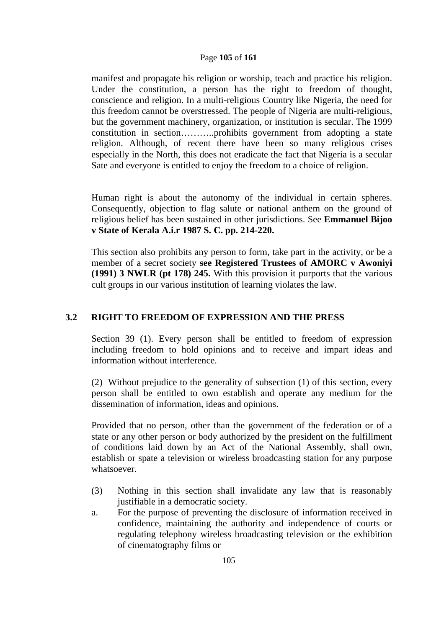### Page **105** of **161**

manifest and propagate his religion or worship, teach and practice his religion. Under the constitution, a person has the right to freedom of thought, conscience and religion. In a multi-religious Country like Nigeria, the need for this freedom cannot be overstressed. The people of Nigeria are multi-religious, but the government machinery, organization, or institution is secular. The 1999 constitution in section………..prohibits government from adopting a state religion. Although, of recent there have been so many religious crises especially in the North, this does not eradicate the fact that Nigeria is a secular Sate and everyone is entitled to enjoy the freedom to a choice of religion.

Human right is about the autonomy of the individual in certain spheres. Consequently, objection to flag salute or national anthem on the ground of religious belief has been sustained in other jurisdictions. See **Emmanuel Bijoo v State of Kerala A.i.r 1987 S. C. pp. 214-220.**

This section also prohibits any person to form, take part in the activity, or be a member of a secret society **see Registered Trustees of AMORC v Awoniyi (1991) 3 NWLR (pt 178) 245.** With this provision it purports that the various cult groups in our various institution of learning violates the law.

# **3.2 RIGHT TO FREEDOM OF EXPRESSION AND THE PRESS**

Section 39 (1). Every person shall be entitled to freedom of expression including freedom to hold opinions and to receive and impart ideas and information without interference.

(2) Without prejudice to the generality of subsection (1) of this section, every person shall be entitled to own establish and operate any medium for the dissemination of information, ideas and opinions.

Provided that no person, other than the government of the federation or of a state or any other person or body authorized by the president on the fulfillment of conditions laid down by an Act of the National Assembly, shall own, establish or spate a television or wireless broadcasting station for any purpose whatsoever.

- (3) Nothing in this section shall invalidate any law that is reasonably justifiable in a democratic society.
- a. For the purpose of preventing the disclosure of information received in confidence, maintaining the authority and independence of courts or regulating telephony wireless broadcasting television or the exhibition of cinematography films or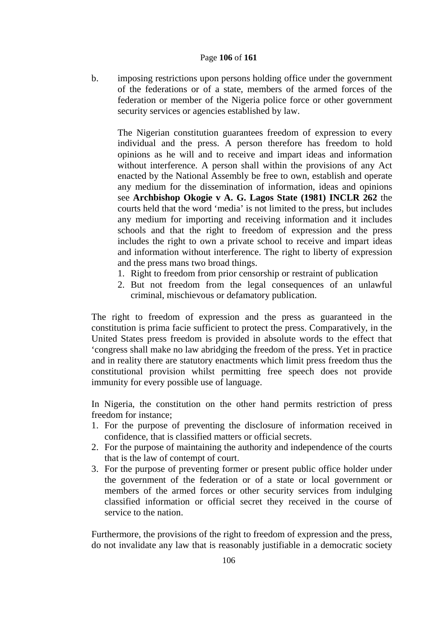#### Page **106** of **161**

b. imposing restrictions upon persons holding office under the government of the federations or of a state, members of the armed forces of the federation or member of the Nigeria police force or other government security services or agencies established by law.

 The Nigerian constitution guarantees freedom of expression to every individual and the press. A person therefore has freedom to hold opinions as he will and to receive and impart ideas and information without interference. A person shall within the provisions of any Act enacted by the National Assembly be free to own, establish and operate any medium for the dissemination of information, ideas and opinions see **Archbishop Okogie v A. G. Lagos State (1981) INCLR 262** the courts held that the word 'media' is not limited to the press, but includes any medium for importing and receiving information and it includes schools and that the right to freedom of expression and the press includes the right to own a private school to receive and impart ideas and information without interference. The right to liberty of expression and the press mans two broad things.

- 1. Right to freedom from prior censorship or restraint of publication
- 2. But not freedom from the legal consequences of an unlawful criminal, mischievous or defamatory publication.

The right to freedom of expression and the press as guaranteed in the constitution is prima facie sufficient to protect the press. Comparatively, in the United States press freedom is provided in absolute words to the effect that 'congress shall make no law abridging the freedom of the press. Yet in practice and in reality there are statutory enactments which limit press freedom thus the constitutional provision whilst permitting free speech does not provide immunity for every possible use of language.

In Nigeria, the constitution on the other hand permits restriction of press freedom for instance;

- 1. For the purpose of preventing the disclosure of information received in confidence, that is classified matters or official secrets.
- 2. For the purpose of maintaining the authority and independence of the courts that is the law of contempt of court.
- 3. For the purpose of preventing former or present public office holder under the government of the federation or of a state or local government or members of the armed forces or other security services from indulging classified information or official secret they received in the course of service to the nation.

Furthermore, the provisions of the right to freedom of expression and the press, do not invalidate any law that is reasonably justifiable in a democratic society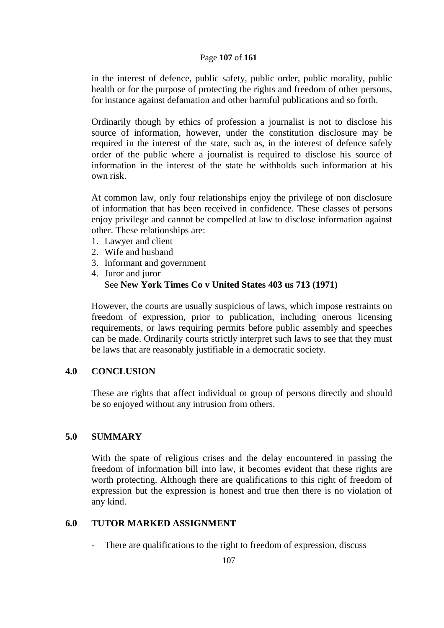### Page **107** of **161**

in the interest of defence, public safety, public order, public morality, public health or for the purpose of protecting the rights and freedom of other persons, for instance against defamation and other harmful publications and so forth.

Ordinarily though by ethics of profession a journalist is not to disclose his source of information, however, under the constitution disclosure may be required in the interest of the state, such as, in the interest of defence safely order of the public where a journalist is required to disclose his source of information in the interest of the state he withholds such information at his own risk.

At common law, only four relationships enjoy the privilege of non disclosure of information that has been received in confidence. These classes of persons enjoy privilege and cannot be compelled at law to disclose information against other. These relationships are:

- 1. Lawyer and client
- 2. Wife and husband
- 3. Informant and government
- 4. Juror and juror See **New York Times Co v United States 403 us 713 (1971)**

However, the courts are usually suspicious of laws, which impose restraints on freedom of expression, prior to publication, including onerous licensing requirements, or laws requiring permits before public assembly and speeches can be made. Ordinarily courts strictly interpret such laws to see that they must be laws that are reasonably justifiable in a democratic society.

### **4.0 CONCLUSION**

These are rights that affect individual or group of persons directly and should be so enjoyed without any intrusion from others.

# **5.0 SUMMARY**

With the spate of religious crises and the delay encountered in passing the freedom of information bill into law, it becomes evident that these rights are worth protecting. Although there are qualifications to this right of freedom of expression but the expression is honest and true then there is no violation of any kind.

### **6.0 TUTOR MARKED ASSIGNMENT**

- There are qualifications to the right to freedom of expression, discuss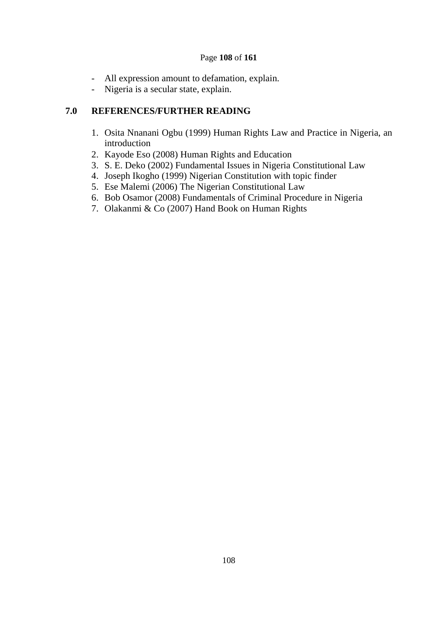### Page **108** of **161**

- All expression amount to defamation, explain.
- Nigeria is a secular state, explain.

# **7.0 REFERENCES/FURTHER READING**

- 1. Osita Nnanani Ogbu (1999) Human Rights Law and Practice in Nigeria, an introduction
- 2. Kayode Eso (2008) Human Rights and Education
- 3. S. E. Deko (2002) Fundamental Issues in Nigeria Constitutional Law
- 4. Joseph Ikogho (1999) Nigerian Constitution with topic finder
- 5. Ese Malemi (2006) The Nigerian Constitutional Law
- 6. Bob Osamor (2008) Fundamentals of Criminal Procedure in Nigeria
- 7. Olakanmi & Co (2007) Hand Book on Human Rights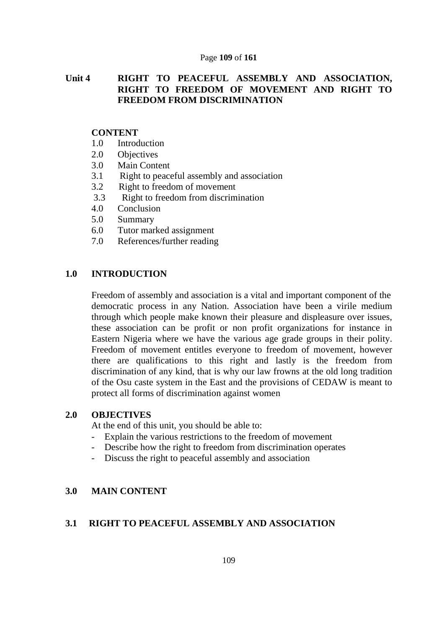#### Page **109** of **161**

# **Unit 4 RIGHT TO PEACEFUL ASSEMBLY AND ASSOCIATION, RIGHT TO FREEDOM OF MOVEMENT AND RIGHT TO FREEDOM FROM DISCRIMINATION**

### **CONTENT**

- 1.0 Introduction
- 2.0 Objectives
- 3.0 Main Content
- 3.1 Right to peaceful assembly and association
- 3.2 Right to freedom of movement
- 3.3 Right to freedom from discrimination
- 4.0 Conclusion
- 5.0 Summary
- 6.0 Tutor marked assignment
- 7.0 References/further reading

# **1.0 INTRODUCTION**

Freedom of assembly and association is a vital and important component of the democratic process in any Nation. Association have been a virile medium through which people make known their pleasure and displeasure over issues, these association can be profit or non profit organizations for instance in Eastern Nigeria where we have the various age grade groups in their polity. Freedom of movement entitles everyone to freedom of movement, however there are qualifications to this right and lastly is the freedom from discrimination of any kind, that is why our law frowns at the old long tradition of the Osu caste system in the East and the provisions of CEDAW is meant to protect all forms of discrimination against women

### **2.0 OBJECTIVES**

At the end of this unit, you should be able to:

- Explain the various restrictions to the freedom of movement
- Describe how the right to freedom from discrimination operates
- Discuss the right to peaceful assembly and association

### **3.0 MAIN CONTENT**

### **3.1 RIGHT TO PEACEFUL ASSEMBLY AND ASSOCIATION**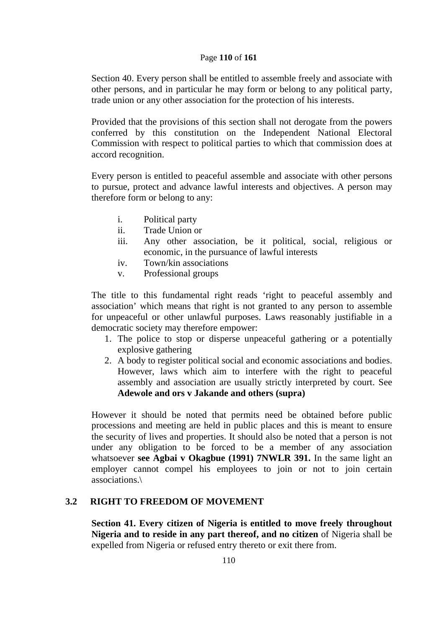### Page **110** of **161**

Section 40. Every person shall be entitled to assemble freely and associate with other persons, and in particular he may form or belong to any political party, trade union or any other association for the protection of his interests.

Provided that the provisions of this section shall not derogate from the powers conferred by this constitution on the Independent National Electoral Commission with respect to political parties to which that commission does at accord recognition.

Every person is entitled to peaceful assemble and associate with other persons to pursue, protect and advance lawful interests and objectives. A person may therefore form or belong to any:

- i. Political party
- ii. Trade Union or
- iii. Any other association, be it political, social, religious or economic, in the pursuance of lawful interests
- iv. Town/kin associations
- v. Professional groups

The title to this fundamental right reads 'right to peaceful assembly and association' which means that right is not granted to any person to assemble for unpeaceful or other unlawful purposes. Laws reasonably justifiable in a democratic society may therefore empower:

- 1. The police to stop or disperse unpeaceful gathering or a potentially explosive gathering
- 2. A body to register political social and economic associations and bodies. However, laws which aim to interfere with the right to peaceful assembly and association are usually strictly interpreted by court. See **Adewole and ors v Jakande and others (supra)**

However it should be noted that permits need be obtained before public processions and meeting are held in public places and this is meant to ensure the security of lives and properties. It should also be noted that a person is not under any obligation to be forced to be a member of any association whatsoever **see Agbai v Okagbue (1991) 7NWLR 391.** In the same light an employer cannot compel his employees to join or not to join certain associations.\

# **3.2 RIGHT TO FREEDOM OF MOVEMENT**

**Section 41. Every citizen of Nigeria is entitled to move freely throughout Nigeria and to reside in any part thereof, and no citizen** of Nigeria shall be expelled from Nigeria or refused entry thereto or exit there from.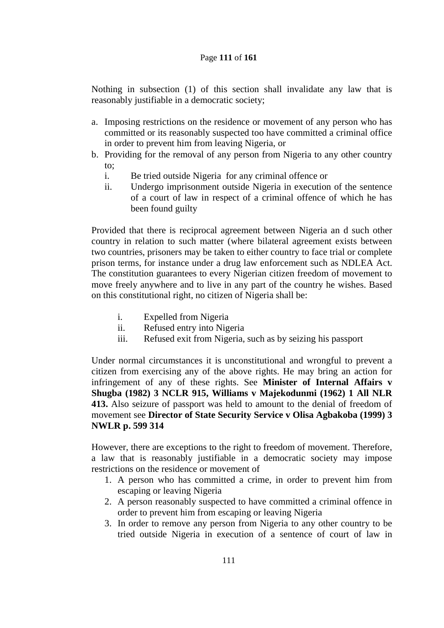### Page **111** of **161**

Nothing in subsection (1) of this section shall invalidate any law that is reasonably justifiable in a democratic society;

- a. Imposing restrictions on the residence or movement of any person who has committed or its reasonably suspected too have committed a criminal office in order to prevent him from leaving Nigeria, or
- b. Providing for the removal of any person from Nigeria to any other country to;
	- i. Be tried outside Nigeria for any criminal offence or
	- ii. Undergo imprisonment outside Nigeria in execution of the sentence of a court of law in respect of a criminal offence of which he has been found guilty

Provided that there is reciprocal agreement between Nigeria an d such other country in relation to such matter (where bilateral agreement exists between two countries, prisoners may be taken to either country to face trial or complete prison terms, for instance under a drug law enforcement such as NDLEA Act. The constitution guarantees to every Nigerian citizen freedom of movement to move freely anywhere and to live in any part of the country he wishes. Based on this constitutional right, no citizen of Nigeria shall be:

- i. Expelled from Nigeria
- ii. Refused entry into Nigeria
- iii. Refused exit from Nigeria, such as by seizing his passport

Under normal circumstances it is unconstitutional and wrongful to prevent a citizen from exercising any of the above rights. He may bring an action for infringement of any of these rights. See **Minister of Internal Affairs v Shugba (1982) 3 NCLR 915, Williams v Majekodunmi (1962) 1 All NLR 413.** Also seizure of passport was held to amount to the denial of freedom of movement see **Director of State Security Service v Olisa Agbakoba (1999) 3 NWLR p. 599 314** 

However, there are exceptions to the right to freedom of movement. Therefore, a law that is reasonably justifiable in a democratic society may impose restrictions on the residence or movement of

- 1. A person who has committed a crime, in order to prevent him from escaping or leaving Nigeria
- 2. A person reasonably suspected to have committed a criminal offence in order to prevent him from escaping or leaving Nigeria
- 3. In order to remove any person from Nigeria to any other country to be tried outside Nigeria in execution of a sentence of court of law in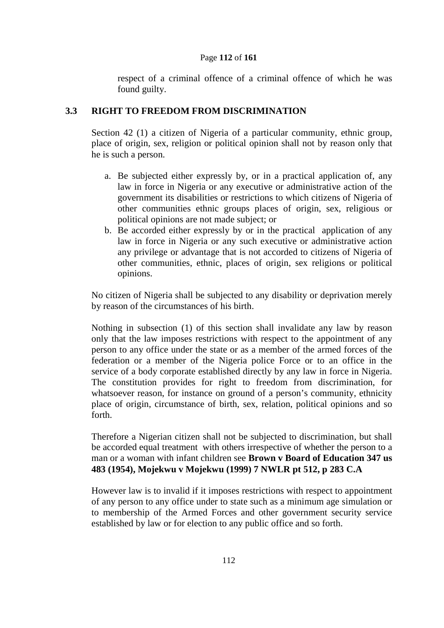### Page **112** of **161**

respect of a criminal offence of a criminal offence of which he was found guilty.

# **3.3 RIGHT TO FREEDOM FROM DISCRIMINATION**

Section 42 (1) a citizen of Nigeria of a particular community, ethnic group, place of origin, sex, religion or political opinion shall not by reason only that he is such a person.

- a. Be subjected either expressly by, or in a practical application of, any law in force in Nigeria or any executive or administrative action of the government its disabilities or restrictions to which citizens of Nigeria of other communities ethnic groups places of origin, sex, religious or political opinions are not made subject; or
- b. Be accorded either expressly by or in the practical application of any law in force in Nigeria or any such executive or administrative action any privilege or advantage that is not accorded to citizens of Nigeria of other communities, ethnic, places of origin, sex religions or political opinions.

No citizen of Nigeria shall be subjected to any disability or deprivation merely by reason of the circumstances of his birth.

Nothing in subsection (1) of this section shall invalidate any law by reason only that the law imposes restrictions with respect to the appointment of any person to any office under the state or as a member of the armed forces of the federation or a member of the Nigeria police Force or to an office in the service of a body corporate established directly by any law in force in Nigeria. The constitution provides for right to freedom from discrimination, for whatsoever reason, for instance on ground of a person's community, ethnicity place of origin, circumstance of birth, sex, relation, political opinions and so forth.

Therefore a Nigerian citizen shall not be subjected to discrimination, but shall be accorded equal treatment with others irrespective of whether the person to a man or a woman with infant children see **Brown v Board of Education 347 us 483 (1954), Mojekwu v Mojekwu (1999) 7 NWLR pt 512, p 283 C.A** 

However law is to invalid if it imposes restrictions with respect to appointment of any person to any office under to state such as a minimum age simulation or to membership of the Armed Forces and other government security service established by law or for election to any public office and so forth.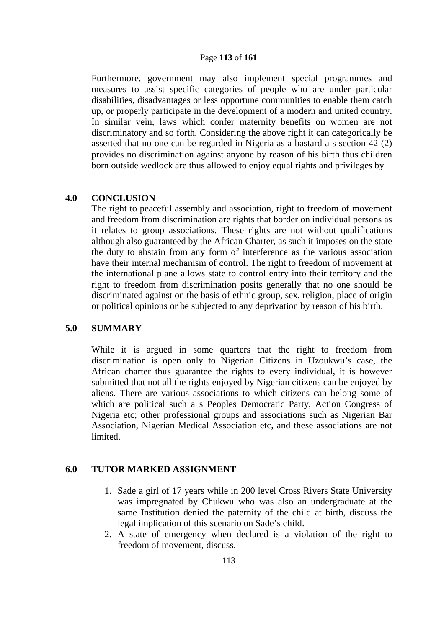#### Page **113** of **161**

Furthermore, government may also implement special programmes and measures to assist specific categories of people who are under particular disabilities, disadvantages or less opportune communities to enable them catch up, or properly participate in the development of a modern and united country. In similar vein, laws which confer maternity benefits on women are not discriminatory and so forth. Considering the above right it can categorically be asserted that no one can be regarded in Nigeria as a bastard a s section 42 (2) provides no discrimination against anyone by reason of his birth thus children born outside wedlock are thus allowed to enjoy equal rights and privileges by

### **4.0 CONCLUSION**

The right to peaceful assembly and association, right to freedom of movement and freedom from discrimination are rights that border on individual persons as it relates to group associations. These rights are not without qualifications although also guaranteed by the African Charter, as such it imposes on the state the duty to abstain from any form of interference as the various association have their internal mechanism of control. The right to freedom of movement at the international plane allows state to control entry into their territory and the right to freedom from discrimination posits generally that no one should be discriminated against on the basis of ethnic group, sex, religion, place of origin or political opinions or be subjected to any deprivation by reason of his birth.

### **5.0 SUMMARY**

While it is argued in some quarters that the right to freedom from discrimination is open only to Nigerian Citizens in Uzoukwu's case, the African charter thus guarantee the rights to every individual, it is however submitted that not all the rights enjoyed by Nigerian citizens can be enjoyed by aliens. There are various associations to which citizens can belong some of which are political such a s Peoples Democratic Party, Action Congress of Nigeria etc; other professional groups and associations such as Nigerian Bar Association, Nigerian Medical Association etc, and these associations are not limited.

### **6.0 TUTOR MARKED ASSIGNMENT**

- 1. Sade a girl of 17 years while in 200 level Cross Rivers State University was impregnated by Chukwu who was also an undergraduate at the same Institution denied the paternity of the child at birth, discuss the legal implication of this scenario on Sade's child.
- 2. A state of emergency when declared is a violation of the right to freedom of movement, discuss.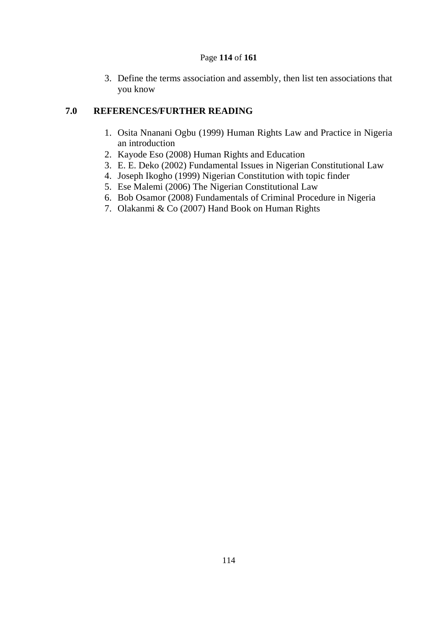### Page **114** of **161**

3. Define the terms association and assembly, then list ten associations that you know

# **7.0 REFERENCES/FURTHER READING**

- 1. Osita Nnanani Ogbu (1999) Human Rights Law and Practice in Nigeria an introduction
- 2. Kayode Eso (2008) Human Rights and Education
- 3. E. E. Deko (2002) Fundamental Issues in Nigerian Constitutional Law
- 4. Joseph Ikogho (1999) Nigerian Constitution with topic finder
- 5. Ese Malemi (2006) The Nigerian Constitutional Law
- 6. Bob Osamor (2008) Fundamentals of Criminal Procedure in Nigeria
- 7. Olakanmi & Co (2007) Hand Book on Human Rights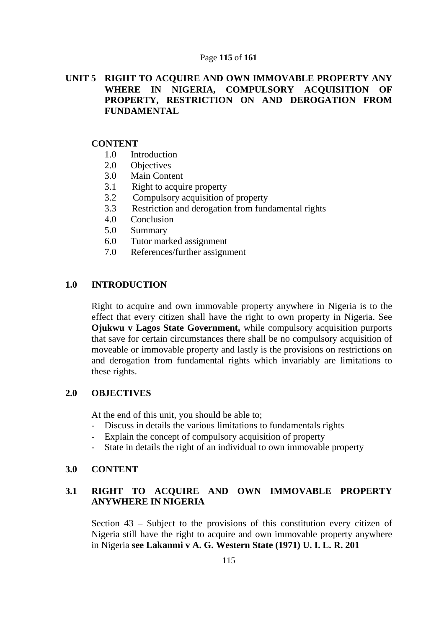#### Page **115** of **161**

# **UNIT 5 RIGHT TO ACQUIRE AND OWN IMMOVABLE PROPERTY ANY WHERE IN NIGERIA, COMPULSORY ACQUISITION OF PROPERTY, RESTRICTION ON AND DEROGATION FROM FUNDAMENTAL**

# **CONTENT**

- 1.0 Introduction
- 2.0 Objectives
- 3.0 Main Content
- 3.1 Right to acquire property
- 3.2 Compulsory acquisition of property
- 3.3 Restriction and derogation from fundamental rights
- 4.0 Conclusion
- 5.0 Summary
- 6.0 Tutor marked assignment
- 7.0 References/further assignment

### **1.0 INTRODUCTION**

Right to acquire and own immovable property anywhere in Nigeria is to the effect that every citizen shall have the right to own property in Nigeria. See **Ojukwu v Lagos State Government,** while compulsory acquisition purports that save for certain circumstances there shall be no compulsory acquisition of moveable or immovable property and lastly is the provisions on restrictions on and derogation from fundamental rights which invariably are limitations to these rights.

# **2.0 OBJECTIVES**

At the end of this unit, you should be able to;

- Discuss in details the various limitations to fundamentals rights
- Explain the concept of compulsory acquisition of property
- State in details the right of an individual to own immovable property

# **3.0 CONTENT**

# **3.1 RIGHT TO ACQUIRE AND OWN IMMOVABLE PROPERTY ANYWHERE IN NIGERIA**

Section 43 – Subject to the provisions of this constitution every citizen of Nigeria still have the right to acquire and own immovable property anywhere in Nigeria **see Lakanmi v A. G. Western State (1971) U. I. L. R. 201**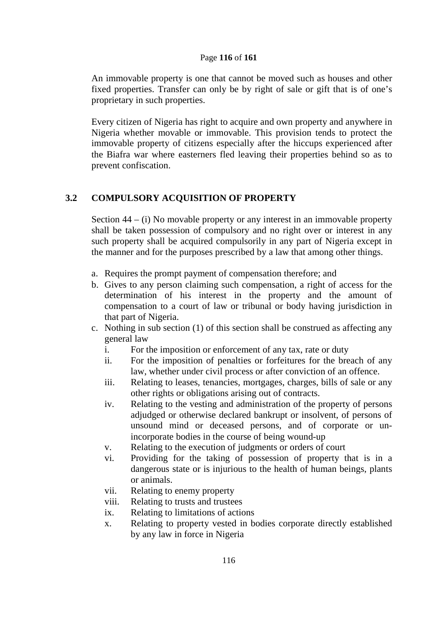### Page **116** of **161**

An immovable property is one that cannot be moved such as houses and other fixed properties. Transfer can only be by right of sale or gift that is of one's proprietary in such properties.

Every citizen of Nigeria has right to acquire and own property and anywhere in Nigeria whether movable or immovable. This provision tends to protect the immovable property of citizens especially after the hiccups experienced after the Biafra war where easterners fled leaving their properties behind so as to prevent confiscation.

# **3.2 COMPULSORY ACQUISITION OF PROPERTY**

Section 44 – (i) No movable property or any interest in an immovable property shall be taken possession of compulsory and no right over or interest in any such property shall be acquired compulsorily in any part of Nigeria except in the manner and for the purposes prescribed by a law that among other things.

- a. Requires the prompt payment of compensation therefore; and
- b. Gives to any person claiming such compensation, a right of access for the determination of his interest in the property and the amount of compensation to a court of law or tribunal or body having jurisdiction in that part of Nigeria.
- c. Nothing in sub section (1) of this section shall be construed as affecting any general law
	- i. For the imposition or enforcement of any tax, rate or duty
	- ii. For the imposition of penalties or forfeitures for the breach of any law, whether under civil process or after conviction of an offence.
	- iii. Relating to leases, tenancies, mortgages, charges, bills of sale or any other rights or obligations arising out of contracts.
	- iv. Relating to the vesting and administration of the property of persons adjudged or otherwise declared bankrupt or insolvent, of persons of unsound mind or deceased persons, and of corporate or unincorporate bodies in the course of being wound-up
	- v. Relating to the execution of judgments or orders of court
	- vi. Providing for the taking of possession of property that is in a dangerous state or is injurious to the health of human beings, plants or animals.
	- vii. Relating to enemy property
	- viii. Relating to trusts and trustees
	- ix. Relating to limitations of actions
	- x. Relating to property vested in bodies corporate directly established by any law in force in Nigeria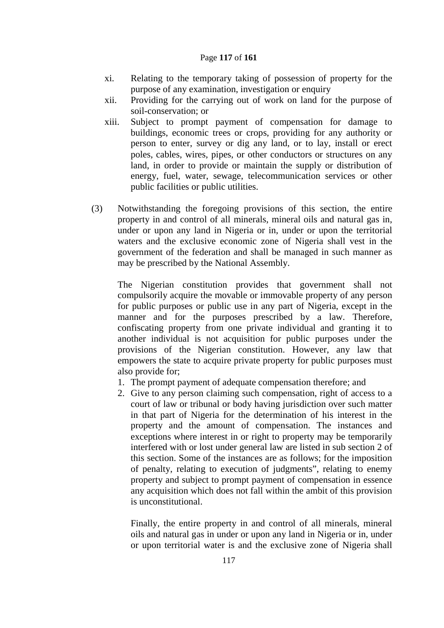#### Page **117** of **161**

- xi. Relating to the temporary taking of possession of property for the purpose of any examination, investigation or enquiry
- xii. Providing for the carrying out of work on land for the purpose of soil-conservation; or
- xiii. Subject to prompt payment of compensation for damage to buildings, economic trees or crops, providing for any authority or person to enter, survey or dig any land, or to lay, install or erect poles, cables, wires, pipes, or other conductors or structures on any land, in order to provide or maintain the supply or distribution of energy, fuel, water, sewage, telecommunication services or other public facilities or public utilities.
- (3) Notwithstanding the foregoing provisions of this section, the entire property in and control of all minerals, mineral oils and natural gas in, under or upon any land in Nigeria or in, under or upon the territorial waters and the exclusive economic zone of Nigeria shall vest in the government of the federation and shall be managed in such manner as may be prescribed by the National Assembly.

 The Nigerian constitution provides that government shall not compulsorily acquire the movable or immovable property of any person for public purposes or public use in any part of Nigeria, except in the manner and for the purposes prescribed by a law. Therefore, confiscating property from one private individual and granting it to another individual is not acquisition for public purposes under the provisions of the Nigerian constitution. However, any law that empowers the state to acquire private property for public purposes must also provide for;

- 1. The prompt payment of adequate compensation therefore; and
- 2. Give to any person claiming such compensation, right of access to a court of law or tribunal or body having jurisdiction over such matter in that part of Nigeria for the determination of his interest in the property and the amount of compensation. The instances and exceptions where interest in or right to property may be temporarily interfered with or lost under general law are listed in sub section 2 of this section. Some of the instances are as follows; for the imposition of penalty, relating to execution of judgments", relating to enemy property and subject to prompt payment of compensation in essence any acquisition which does not fall within the ambit of this provision is unconstitutional.

Finally, the entire property in and control of all minerals, mineral oils and natural gas in under or upon any land in Nigeria or in, under or upon territorial water is and the exclusive zone of Nigeria shall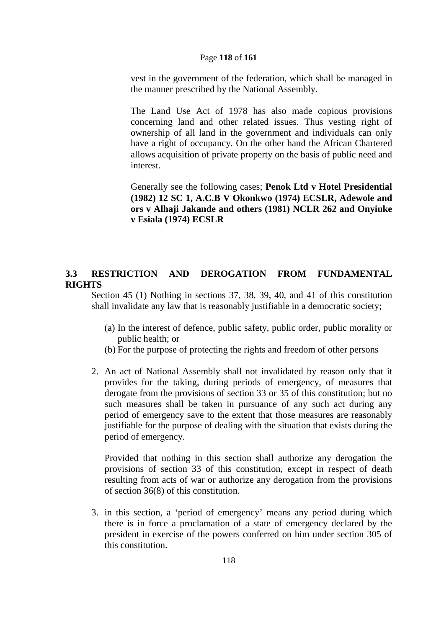#### Page **118** of **161**

vest in the government of the federation, which shall be managed in the manner prescribed by the National Assembly.

The Land Use Act of 1978 has also made copious provisions concerning land and other related issues. Thus vesting right of ownership of all land in the government and individuals can only have a right of occupancy. On the other hand the African Chartered allows acquisition of private property on the basis of public need and interest.

Generally see the following cases; **Penok Ltd v Hotel Presidential (1982) 12 SC 1, A.C.B V Okonkwo (1974) ECSLR, Adewole and ors v Alhaji Jakande and others (1981) NCLR 262 and Onyiuke v Esiala (1974) ECSLR** 

# **3.3 RESTRICTION AND DEROGATION FROM FUNDAMENTAL RIGHTS**

Section 45 (1) Nothing in sections 37, 38, 39, 40, and 41 of this constitution shall invalidate any law that is reasonably justifiable in a democratic society;

- (a) In the interest of defence, public safety, public order, public morality or public health; or
- (b) For the purpose of protecting the rights and freedom of other persons
- 2. An act of National Assembly shall not invalidated by reason only that it provides for the taking, during periods of emergency, of measures that derogate from the provisions of section 33 or 35 of this constitution; but no such measures shall be taken in pursuance of any such act during any period of emergency save to the extent that those measures are reasonably justifiable for the purpose of dealing with the situation that exists during the period of emergency.

 Provided that nothing in this section shall authorize any derogation the provisions of section 33 of this constitution, except in respect of death resulting from acts of war or authorize any derogation from the provisions of section 36(8) of this constitution.

3. in this section, a 'period of emergency' means any period during which there is in force a proclamation of a state of emergency declared by the president in exercise of the powers conferred on him under section 305 of this constitution.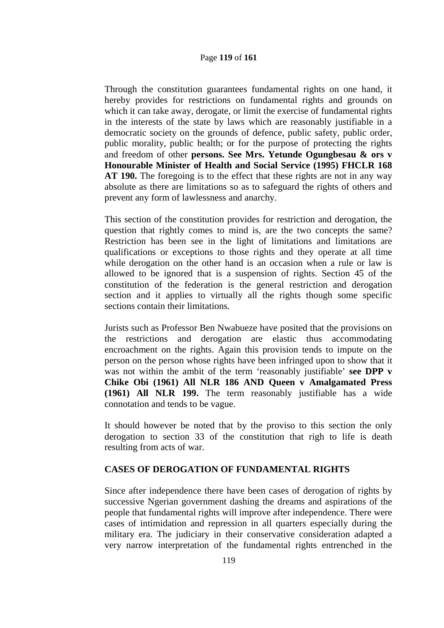#### Page **119** of **161**

 Through the constitution guarantees fundamental rights on one hand, it hereby provides for restrictions on fundamental rights and grounds on which it can take away, derogate, or limit the exercise of fundamental rights in the interests of the state by laws which are reasonably justifiable in a democratic society on the grounds of defence, public safety, public order, public morality, public health; or for the purpose of protecting the rights and freedom of other **persons. See Mrs. Yetunde Ogungbesau & ors v Honourable Minister of Health and Social Service (1995) FHCLR 168 AT 190.** The foregoing is to the effect that these rights are not in any way absolute as there are limitations so as to safeguard the rights of others and prevent any form of lawlessness and anarchy.

 This section of the constitution provides for restriction and derogation, the question that rightly comes to mind is, are the two concepts the same? Restriction has been see in the light of limitations and limitations are qualifications or exceptions to those rights and they operate at all time while derogation on the other hand is an occasion when a rule or law is allowed to be ignored that is a suspension of rights. Section 45 of the constitution of the federation is the general restriction and derogation section and it applies to virtually all the rights though some specific sections contain their limitations.

 Jurists such as Professor Ben Nwabueze have posited that the provisions on the restrictions and derogation are elastic thus accommodating encroachment on the rights. Again this provision tends to impute on the person on the person whose rights have been infringed upon to show that it was not within the ambit of the term 'reasonably justifiable' **see DPP v Chike Obi (1961) All NLR 186 AND Queen v Amalgamated Press (1961) All NLR 199.** The term reasonably justifiable has a wide connotation and tends to be vague.

 It should however be noted that by the proviso to this section the only derogation to section 33 of the constitution that righ to life is death resulting from acts of war.

### **CASES OF DEROGATION OF FUNDAMENTAL RIGHTS**

Since after independence there have been cases of derogation of rights by successive Ngerian government dashing the dreams and aspirations of the people that fundamental rights will improve after independence. There were cases of intimidation and repression in all quarters especially during the military era. The judiciary in their conservative consideration adapted a very narrow interpretation of the fundamental rights entrenched in the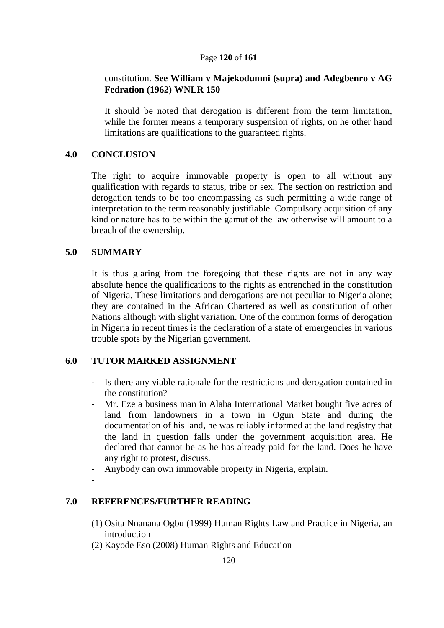### Page **120** of **161**

# constitution. **See William v Majekodunmi (supra) and Adegbenro v AG Fedration (1962) WNLR 150**

 It should be noted that derogation is different from the term limitation, while the former means a temporary suspension of rights, on he other hand limitations are qualifications to the guaranteed rights.

### **4.0 CONCLUSION**

The right to acquire immovable property is open to all without any qualification with regards to status, tribe or sex. The section on restriction and derogation tends to be too encompassing as such permitting a wide range of interpretation to the term reasonably justifiable. Compulsory acquisition of any kind or nature has to be within the gamut of the law otherwise will amount to a breach of the ownership.

### **5.0 SUMMARY**

It is thus glaring from the foregoing that these rights are not in any way absolute hence the qualifications to the rights as entrenched in the constitution of Nigeria. These limitations and derogations are not peculiar to Nigeria alone; they are contained in the African Chartered as well as constitution of other Nations although with slight variation. One of the common forms of derogation in Nigeria in recent times is the declaration of a state of emergencies in various trouble spots by the Nigerian government.

### **6.0 TUTOR MARKED ASSIGNMENT**

- Is there any viable rationale for the restrictions and derogation contained in the constitution?
- Mr. Eze a business man in Alaba International Market bought five acres of land from landowners in a town in Ogun State and during the documentation of his land, he was reliably informed at the land registry that the land in question falls under the government acquisition area. He declared that cannot be as he has already paid for the land. Does he have any right to protest, discuss.
- Anybody can own immovable property in Nigeria, explain.

# **7.0 REFERENCES/FURTHER READING**

- (1) Osita Nnanana Ogbu (1999) Human Rights Law and Practice in Nigeria, an introduction
- (2) Kayode Eso (2008) Human Rights and Education

<sup>-</sup>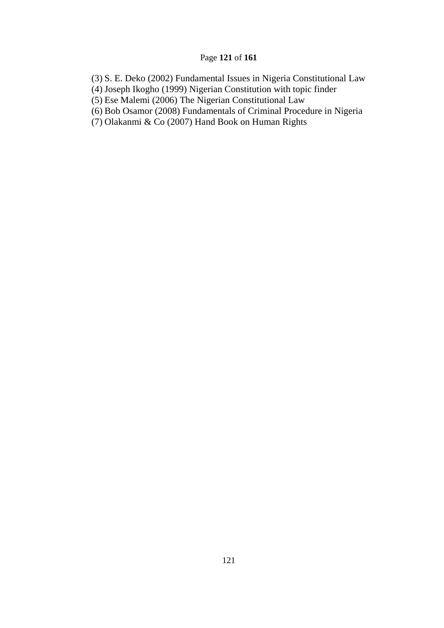# Page **121** of **161**

- (3) S. E. Deko (2002) Fundamental Issues in Nigeria Constitutional Law
- (4) Joseph Ikogho (1999) Nigerian Constitution with topic finder
- (5) Ese Malemi (2006) The Nigerian Constitutional Law
- (6) Bob Osamor (2008) Fundamentals of Criminal Procedure in Nigeria
- (7) Olakanmi & Co (2007) Hand Book on Human Rights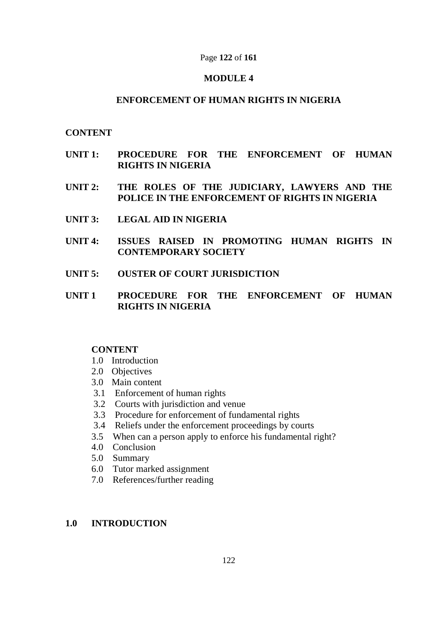#### Page **122** of **161**

### **MODULE 4**

#### **ENFORCEMENT OF HUMAN RIGHTS IN NIGERIA**

#### **CONTENT**

- **UNIT 1: PROCEDURE FOR THE ENFORCEMENT OF HUMAN RIGHTS IN NIGERIA**
- **UNIT 2: THE ROLES OF THE JUDICIARY, LAWYERS AND THE POLICE IN THE ENFORCEMENT OF RIGHTS IN NIGERIA**
- **UNIT 3: LEGAL AID IN NIGERIA**
- **UNIT 4: ISSUES RAISED IN PROMOTING HUMAN RIGHTS IN CONTEMPORARY SOCIETY**
- **UNIT 5: OUSTER OF COURT JURISDICTION**
- **UNIT 1 PROCEDURE FOR THE ENFORCEMENT OF HUMAN RIGHTS IN NIGERIA**

#### **CONTENT**

- 1.0 Introduction
- 2.0 Objectives
- 3.0 Main content
- 3.1 Enforcement of human rights
- 3.2 Courts with jurisdiction and venue
- 3.3 Procedure for enforcement of fundamental rights
- 3.4 Reliefs under the enforcement proceedings by courts
- 3.5 When can a person apply to enforce his fundamental right?
- 4.0 Conclusion
- 5.0 Summary
- 6.0 Tutor marked assignment
- 7.0 References/further reading

### **1.0 INTRODUCTION**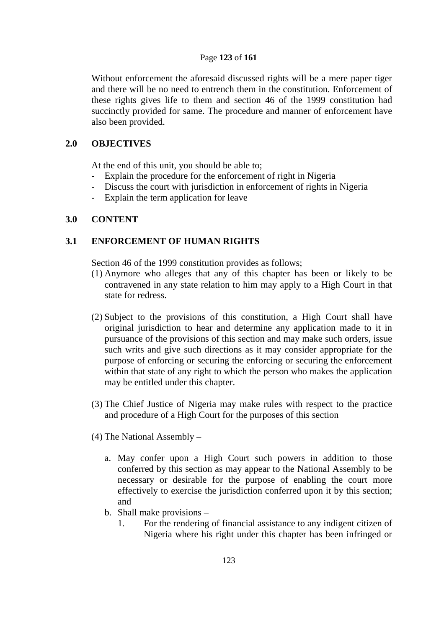### Page **123** of **161**

Without enforcement the aforesaid discussed rights will be a mere paper tiger and there will be no need to entrench them in the constitution. Enforcement of these rights gives life to them and section 46 of the 1999 constitution had succinctly provided for same. The procedure and manner of enforcement have also been provided.

### **2.0 OBJECTIVES**

At the end of this unit, you should be able to;

- Explain the procedure for the enforcement of right in Nigeria
- Discuss the court with jurisdiction in enforcement of rights in Nigeria
- Explain the term application for leave

### **3.0 CONTENT**

# **3.1 ENFORCEMENT OF HUMAN RIGHTS**

Section 46 of the 1999 constitution provides as follows;

- (1) Anymore who alleges that any of this chapter has been or likely to be contravened in any state relation to him may apply to a High Court in that state for redress.
- (2) Subject to the provisions of this constitution, a High Court shall have original jurisdiction to hear and determine any application made to it in pursuance of the provisions of this section and may make such orders, issue such writs and give such directions as it may consider appropriate for the purpose of enforcing or securing the enforcing or securing the enforcement within that state of any right to which the person who makes the application may be entitled under this chapter.
- (3) The Chief Justice of Nigeria may make rules with respect to the practice and procedure of a High Court for the purposes of this section
- (4) The National Assembly
	- a. May confer upon a High Court such powers in addition to those conferred by this section as may appear to the National Assembly to be necessary or desirable for the purpose of enabling the court more effectively to exercise the jurisdiction conferred upon it by this section; and
	- b. Shall make provisions
		- 1. For the rendering of financial assistance to any indigent citizen of Nigeria where his right under this chapter has been infringed or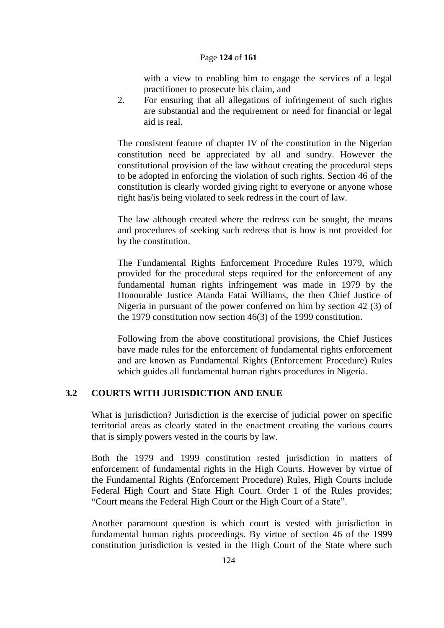### Page **124** of **161**

with a view to enabling him to engage the services of a legal practitioner to prosecute his claim, and

2. For ensuring that all allegations of infringement of such rights are substantial and the requirement or need for financial or legal aid is real.

The consistent feature of chapter IV of the constitution in the Nigerian constitution need be appreciated by all and sundry. However the constitutional provision of the law without creating the procedural steps to be adopted in enforcing the violation of such rights. Section 46 of the constitution is clearly worded giving right to everyone or anyone whose right has/is being violated to seek redress in the court of law.

The law although created where the redress can be sought, the means and procedures of seeking such redress that is how is not provided for by the constitution.

The Fundamental Rights Enforcement Procedure Rules 1979, which provided for the procedural steps required for the enforcement of any fundamental human rights infringement was made in 1979 by the Honourable Justice Atanda Fatai Williams, the then Chief Justice of Nigeria in pursuant of the power conferred on him by section 42 (3) of the 1979 constitution now section 46(3) of the 1999 constitution.

Following from the above constitutional provisions, the Chief Justices have made rules for the enforcement of fundamental rights enforcement and are known as Fundamental Rights (Enforcement Procedure) Rules which guides all fundamental human rights procedures in Nigeria.

# **3.2 COURTS WITH JURISDICTION AND ENUE**

What is jurisdiction? Jurisdiction is the exercise of judicial power on specific territorial areas as clearly stated in the enactment creating the various courts that is simply powers vested in the courts by law.

Both the 1979 and 1999 constitution rested jurisdiction in matters of enforcement of fundamental rights in the High Courts. However by virtue of the Fundamental Rights (Enforcement Procedure) Rules, High Courts include Federal High Court and State High Court. Order 1 of the Rules provides; "Court means the Federal High Court or the High Court of a State".

Another paramount question is which court is vested with jurisdiction in fundamental human rights proceedings. By virtue of section 46 of the 1999 constitution jurisdiction is vested in the High Court of the State where such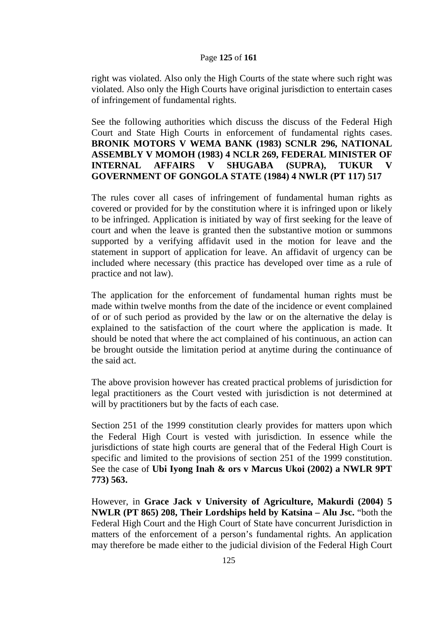### Page **125** of **161**

right was violated. Also only the High Courts of the state where such right was violated. Also only the High Courts have original jurisdiction to entertain cases of infringement of fundamental rights.

See the following authorities which discuss the discuss of the Federal High Court and State High Courts in enforcement of fundamental rights cases. **BRONIK MOTORS V WEMA BANK (1983) SCNLR 296, NATIONAL ASSEMBLY V MOMOH (1983) 4 NCLR 269, FEDERAL MINISTER OF INTERNAL AFFAIRS V SHUGABA (SUPRA), TUKUR V GOVERNMENT OF GONGOLA STATE (1984) 4 NWLR (PT 117) 517** 

The rules cover all cases of infringement of fundamental human rights as covered or provided for by the constitution where it is infringed upon or likely to be infringed. Application is initiated by way of first seeking for the leave of court and when the leave is granted then the substantive motion or summons supported by a verifying affidavit used in the motion for leave and the statement in support of application for leave. An affidavit of urgency can be included where necessary (this practice has developed over time as a rule of practice and not law).

The application for the enforcement of fundamental human rights must be made within twelve months from the date of the incidence or event complained of or of such period as provided by the law or on the alternative the delay is explained to the satisfaction of the court where the application is made. It should be noted that where the act complained of his continuous, an action can be brought outside the limitation period at anytime during the continuance of the said act.

The above provision however has created practical problems of jurisdiction for legal practitioners as the Court vested with jurisdiction is not determined at will by practitioners but by the facts of each case.

Section 251 of the 1999 constitution clearly provides for matters upon which the Federal High Court is vested with jurisdiction. In essence while the jurisdictions of state high courts are general that of the Federal High Court is specific and limited to the provisions of section 251 of the 1999 constitution. See the case of **Ubi Iyong Inah & ors v Marcus Ukoi (2002) a NWLR 9PT 773) 563.** 

However, in **Grace Jack v University of Agriculture, Makurdi (2004) 5 NWLR (PT 865) 208, Their Lordships held by Katsina – Alu Jsc.** "both the Federal High Court and the High Court of State have concurrent Jurisdiction in matters of the enforcement of a person's fundamental rights. An application may therefore be made either to the judicial division of the Federal High Court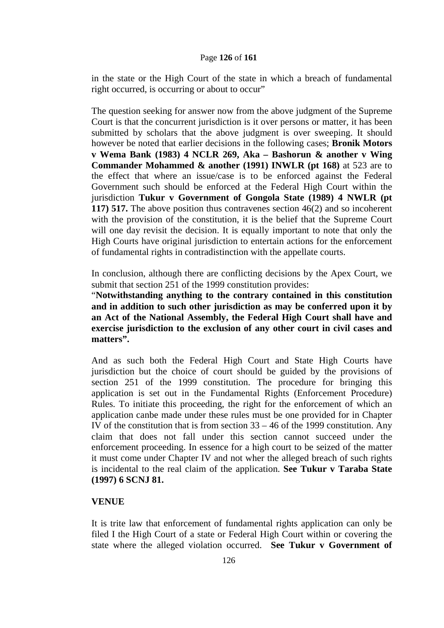#### Page **126** of **161**

in the state or the High Court of the state in which a breach of fundamental right occurred, is occurring or about to occur"

The question seeking for answer now from the above judgment of the Supreme Court is that the concurrent jurisdiction is it over persons or matter, it has been submitted by scholars that the above judgment is over sweeping. It should however be noted that earlier decisions in the following cases; **Bronik Motors v Wema Bank (1983) 4 NCLR 269, Aka – Bashorun & another v Wing Commander Mohammed & another (1991) INWLR (pt 168)** at 523 are to the effect that where an issue/case is to be enforced against the Federal Government such should be enforced at the Federal High Court within the jurisdiction **Tukur v Government of Gongola State (1989) 4 NWLR (pt 117) 517.** The above position thus contravenes section 46(2) and so incoherent with the provision of the constitution, it is the belief that the Supreme Court will one day revisit the decision. It is equally important to note that only the High Courts have original jurisdiction to entertain actions for the enforcement of fundamental rights in contradistinction with the appellate courts.

In conclusion, although there are conflicting decisions by the Apex Court, we submit that section 251 of the 1999 constitution provides:

"**Notwithstanding anything to the contrary contained in this constitution and in addition to such other jurisdiction as may be conferred upon it by an Act of the National Assembly, the Federal High Court shall have and exercise jurisdiction to the exclusion of any other court in civil cases and matters".** 

And as such both the Federal High Court and State High Courts have jurisdiction but the choice of court should be guided by the provisions of section 251 of the 1999 constitution. The procedure for bringing this application is set out in the Fundamental Rights (Enforcement Procedure) Rules. To initiate this proceeding, the right for the enforcement of which an application canbe made under these rules must be one provided for in Chapter IV of the constitution that is from section 33 – 46 of the 1999 constitution. Any claim that does not fall under this section cannot succeed under the enforcement proceeding. In essence for a high court to be seized of the matter it must come under Chapter IV and not wher the alleged breach of such rights is incidental to the real claim of the application. **See Tukur v Taraba State (1997) 6 SCNJ 81.** 

### **VENUE**

It is trite law that enforcement of fundamental rights application can only be filed I the High Court of a state or Federal High Court within or covering the state where the alleged violation occurred. **See Tukur v Government of**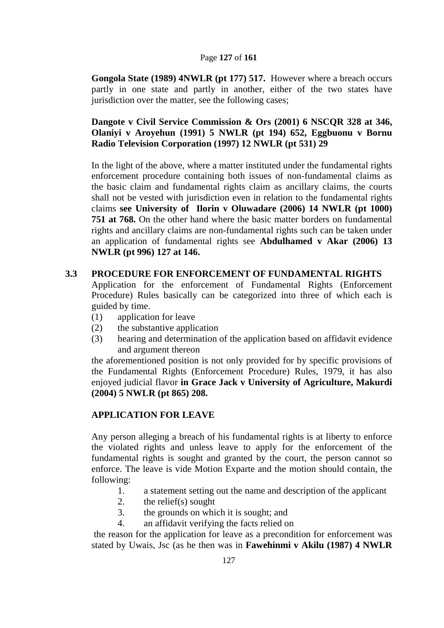### Page **127** of **161**

**Gongola State (1989) 4NWLR (pt 177) 517.** However where a breach occurs partly in one state and partly in another, either of the two states have jurisdiction over the matter, see the following cases;

# **Dangote v Civil Service Commission & Ors (2001) 6 NSCQR 328 at 346, Olaniyi v Aroyehun (1991) 5 NWLR (pt 194) 652, Eggbuonu v Bornu Radio Television Corporation (1997) 12 NWLR (pt 531) 29**

In the light of the above, where a matter instituted under the fundamental rights enforcement procedure containing both issues of non-fundamental claims as the basic claim and fundamental rights claim as ancillary claims, the courts shall not be vested with jurisdiction even in relation to the fundamental rights claims **see University of Ilorin v Oluwadare (2006) 14 NWLR (pt 1000) 751 at 768.** On the other hand where the basic matter borders on fundamental rights and ancillary claims are non-fundamental rights such can be taken under an application of fundamental rights see **Abdulhamed v Akar (2006) 13 NWLR (pt 996) 127 at 146.** 

### **3.3 PROCEDURE FOR ENFORCEMENT OF FUNDAMENTAL RIGHTS**

Application for the enforcement of Fundamental Rights (Enforcement Procedure) Rules basically can be categorized into three of which each is guided by time.

- (1) application for leave
- (2) the substantive application
- (3) hearing and determination of the application based on affidavit evidence and argument thereon

the aforementioned position is not only provided for by specific provisions of the Fundamental Rights (Enforcement Procedure) Rules, 1979, it has also enjoyed judicial flavor **in Grace Jack v University of Agriculture, Makurdi (2004) 5 NWLR (pt 865) 208.** 

# **APPLICATION FOR LEAVE**

Any person alleging a breach of his fundamental rights is at liberty to enforce the violated rights and unless leave to apply for the enforcement of the fundamental rights is sought and granted by the court, the person cannot so enforce. The leave is vide Motion Exparte and the motion should contain, the following:

- 1. a statement setting out the name and description of the applicant
- 2. the relief(s) sought
- 3. the grounds on which it is sought; and
- 4. an affidavit verifying the facts relied on

 the reason for the application for leave as a precondition for enforcement was stated by Uwais, Jsc (as he then was in **Fawehinmi v Akilu (1987) 4 NWLR**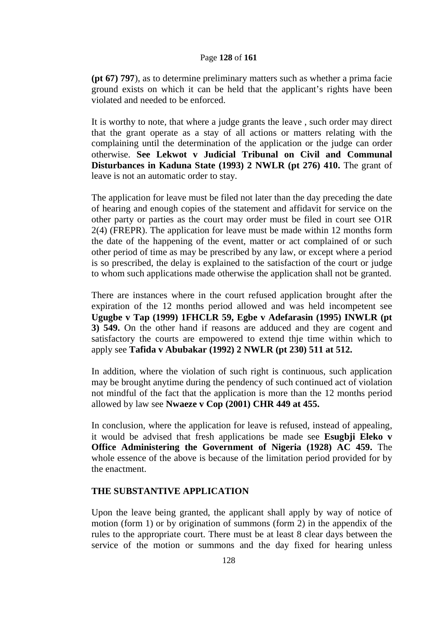#### Page **128** of **161**

**(pt 67) 797**), as to determine preliminary matters such as whether a prima facie ground exists on which it can be held that the applicant's rights have been violated and needed to be enforced.

It is worthy to note, that where a judge grants the leave , such order may direct that the grant operate as a stay of all actions or matters relating with the complaining until the determination of the application or the judge can order otherwise. **See Lekwot v Judicial Tribunal on Civil and Communal Disturbances in Kaduna State (1993) 2 NWLR (pt 276) 410.** The grant of leave is not an automatic order to stay.

The application for leave must be filed not later than the day preceding the date of hearing and enough copies of the statement and affidavit for service on the other party or parties as the court may order must be filed in court see O1R 2(4) (FREPR). The application for leave must be made within 12 months form the date of the happening of the event, matter or act complained of or such other period of time as may be prescribed by any law, or except where a period is so prescribed, the delay is explained to the satisfaction of the court or judge to whom such applications made otherwise the application shall not be granted.

There are instances where in the court refused application brought after the expiration of the 12 months period allowed and was held incompetent see **Ugugbe v Tap (1999) 1FHCLR 59, Egbe v Adefarasin (1995) INWLR (pt 3) 549.** On the other hand if reasons are adduced and they are cogent and satisfactory the courts are empowered to extend thie time within which to apply see **Tafida v Abubakar (1992) 2 NWLR (pt 230) 511 at 512.** 

In addition, where the violation of such right is continuous, such application may be brought anytime during the pendency of such continued act of violation not mindful of the fact that the application is more than the 12 months period allowed by law see **Nwaeze v Cop (2001) CHR 449 at 455.** 

In conclusion, where the application for leave is refused, instead of appealing, it would be advised that fresh applications be made see **Esugbji Eleko v Office Administering the Government of Nigeria (1928) AC 459.** The whole essence of the above is because of the limitation period provided for by the enactment.

### **THE SUBSTANTIVE APPLICATION**

Upon the leave being granted, the applicant shall apply by way of notice of motion (form 1) or by origination of summons (form 2) in the appendix of the rules to the appropriate court. There must be at least 8 clear days between the service of the motion or summons and the day fixed for hearing unless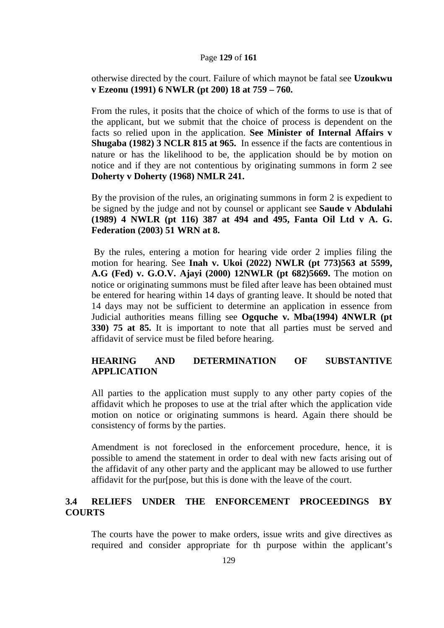#### Page **129** of **161**

otherwise directed by the court. Failure of which maynot be fatal see **Uzoukwu v Ezeonu (1991) 6 NWLR (pt 200) 18 at 759 – 760.** 

From the rules, it posits that the choice of which of the forms to use is that of the applicant, but we submit that the choice of process is dependent on the facts so relied upon in the application. **See Minister of Internal Affairs v Shugaba (1982) 3 NCLR 815 at 965.** In essence if the facts are contentious in nature or has the likelihood to be, the application should be by motion on notice and if they are not contentious by originating summons in form 2 see **Doherty v Doherty (1968) NMLR 241.** 

By the provision of the rules, an originating summons in form 2 is expedient to be signed by the judge and not by counsel or applicant see **Saude v Abdulahi (1989) 4 NWLR (pt 116) 387 at 494 and 495, Fanta Oil Ltd v A. G. Federation (2003) 51 WRN at 8.** 

 By the rules, entering a motion for hearing vide order 2 implies filing the motion for hearing. See **Inah v. Ukoi (2022) NWLR (pt 773)563 at 5599, A.G (Fed) v. G.O.V. Ajayi (2000) 12NWLR (pt 682)5669.** The motion on notice or originating summons must be filed after leave has been obtained must be entered for hearing within 14 days of granting leave. It should be noted that 14 days may not be sufficient to determine an application in essence from Judicial authorities means filling see **Ogquche v. Mba(1994) 4NWLR (pt 330) 75 at 85.** It is important to note that all parties must be served and affidavit of service must be filed before hearing.

### **HEARING AND DETERMINATION OF SUBSTANTIVE APPLICATION**

All parties to the application must supply to any other party copies of the affidavit which he proposes to use at the trial after which the application vide motion on notice or originating summons is heard. Again there should be consistency of forms by the parties.

Amendment is not foreclosed in the enforcement procedure, hence, it is possible to amend the statement in order to deal with new facts arising out of the affidavit of any other party and the applicant may be allowed to use further affidavit for the pur[pose, but this is done with the leave of the court.

# **3.4 RELIEFS UNDER THE ENFORCEMENT PROCEEDINGS BY COURTS**

The courts have the power to make orders, issue writs and give directives as required and consider appropriate for th purpose within the applicant's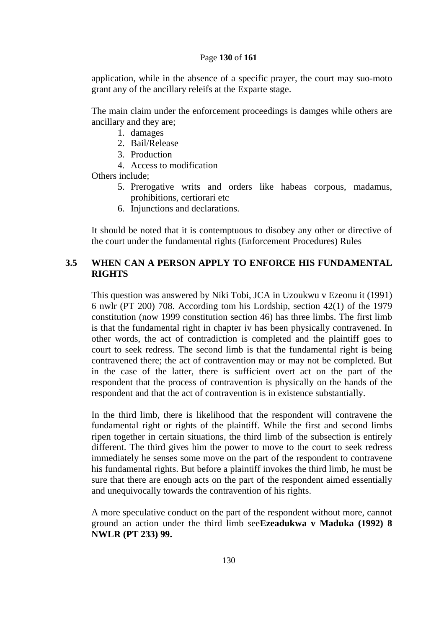#### Page **130** of **161**

application, while in the absence of a specific prayer, the court may suo-moto grant any of the ancillary releifs at the Exparte stage.

The main claim under the enforcement proceedings is damges while others are ancillary and they are;

- 1. damages
- 2. Bail/Release
- 3. Production
	- 4. Access to modification

Others include;

- 5. Prerogative writs and orders like habeas corpous, madamus, prohibitions, certiorari etc
- 6. Injunctions and declarations.

It should be noted that it is contemptuous to disobey any other or directive of the court under the fundamental rights (Enforcement Procedures) Rules

# **3.5 WHEN CAN A PERSON APPLY TO ENFORCE HIS FUNDAMENTAL RIGHTS**

This question was answered by Niki Tobi, JCA in Uzoukwu v Ezeonu it (1991) 6 nwlr (PT 200) 708. According tom his Lordship, section 42(1) of the 1979 constitution (now 1999 constitution section 46) has three limbs. The first limb is that the fundamental right in chapter iv has been physically contravened. In other words, the act of contradiction is completed and the plaintiff goes to court to seek redress. The second limb is that the fundamental right is being contravened there; the act of contravention may or may not be completed. But in the case of the latter, there is sufficient overt act on the part of the respondent that the process of contravention is physically on the hands of the respondent and that the act of contravention is in existence substantially.

In the third limb, there is likelihood that the respondent will contravene the fundamental right or rights of the plaintiff. While the first and second limbs ripen together in certain situations, the third limb of the subsection is entirely different. The third gives him the power to move to the court to seek redress immediately he senses some move on the part of the respondent to contravene his fundamental rights. But before a plaintiff invokes the third limb, he must be sure that there are enough acts on the part of the respondent aimed essentially and unequivocally towards the contravention of his rights.

A more speculative conduct on the part of the respondent without more, cannot ground an action under the third limb see**Ezeadukwa v Maduka (1992) 8 NWLR (PT 233) 99.**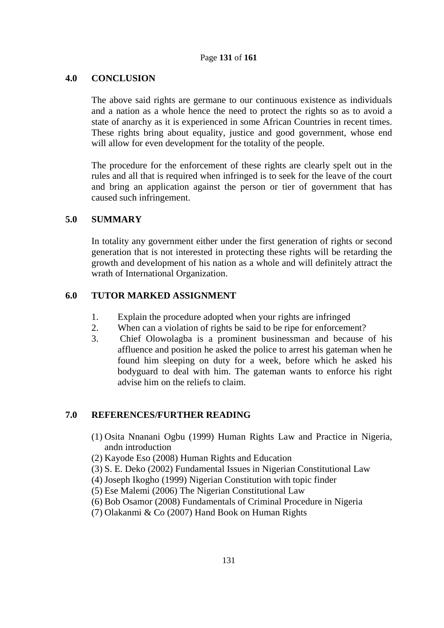# **4.0 CONCLUSION**

The above said rights are germane to our continuous existence as individuals and a nation as a whole hence the need to protect the rights so as to avoid a state of anarchy as it is experienced in some African Countries in recent times. These rights bring about equality, justice and good government, whose end will allow for even development for the totality of the people.

The procedure for the enforcement of these rights are clearly spelt out in the rules and all that is required when infringed is to seek for the leave of the court and bring an application against the person or tier of government that has caused such infringement.

### **5.0 SUMMARY**

In totality any government either under the first generation of rights or second generation that is not interested in protecting these rights will be retarding the growth and development of his nation as a whole and will definitely attract the wrath of International Organization.

### **6.0 TUTOR MARKED ASSIGNMENT**

- 1. Explain the procedure adopted when your rights are infringed
- 2. When can a violation of rights be said to be ripe for enforcement?
- 3. Chief Olowolagba is a prominent businessman and because of his affluence and position he asked the police to arrest his gateman when he found him sleeping on duty for a week, before which he asked his bodyguard to deal with him. The gateman wants to enforce his right advise him on the reliefs to claim.

### **7.0 REFERENCES/FURTHER READING**

- (1) Osita Nnanani Ogbu (1999) Human Rights Law and Practice in Nigeria, andn introduction
- (2) Kayode Eso (2008) Human Rights and Education
- (3) S. E. Deko (2002) Fundamental Issues in Nigerian Constitutional Law
- (4) Joseph Ikogho (1999) Nigerian Constitution with topic finder
- (5) Ese Malemi (2006) The Nigerian Constitutional Law
- (6) Bob Osamor (2008) Fundamentals of Criminal Procedure in Nigeria
- (7) Olakanmi & Co (2007) Hand Book on Human Rights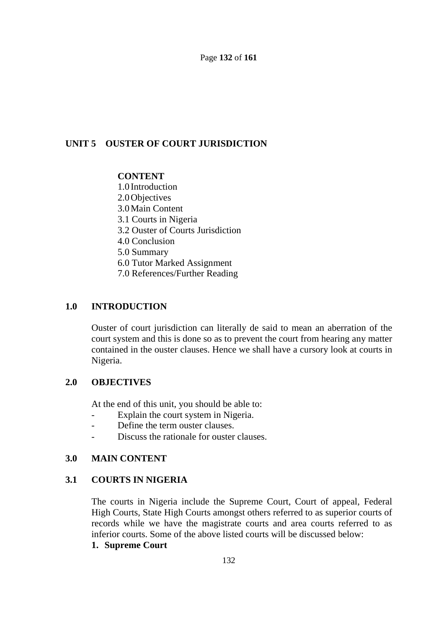# **UNIT 5 OUSTER OF COURT JURISDICTION**

# **CONTENT**

- 1.0 Introduction
- 2.0Objectives
- 3.0Main Content
- 3.1 Courts in Nigeria
- 3.2 Ouster of Courts Jurisdiction
- 4.0 Conclusion
- 5.0 Summary
- 6.0 Tutor Marked Assignment
- 7.0 References/Further Reading

# **1.0 INTRODUCTION**

Ouster of court jurisdiction can literally de said to mean an aberration of the court system and this is done so as to prevent the court from hearing any matter contained in the ouster clauses. Hence we shall have a cursory look at courts in Nigeria.

### **2.0 OBJECTIVES**

At the end of this unit, you should be able to:

- Explain the court system in Nigeria.
- Define the term ouster clauses.
- Discuss the rationale for ouster clauses.

### **3.0 MAIN CONTENT**

# **3.1 COURTS IN NIGERIA**

The courts in Nigeria include the Supreme Court, Court of appeal, Federal High Courts, State High Courts amongst others referred to as superior courts of records while we have the magistrate courts and area courts referred to as inferior courts. Some of the above listed courts will be discussed below:

### **1. Supreme Court**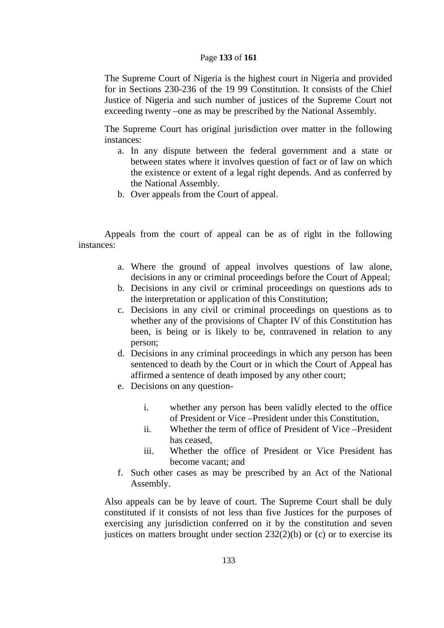#### Page **133** of **161**

The Supreme Court of Nigeria is the highest court in Nigeria and provided for in Sections 230-236 of the 19 99 Constitution. It consists of the Chief Justice of Nigeria and such number of justices of the Supreme Court not exceeding twenty –one as may be prescribed by the National Assembly.

The Supreme Court has original jurisdiction over matter in the following instances:

- a. In any dispute between the federal government and a state or between states where it involves question of fact or of law on which the existence or extent of a legal right depends. And as conferred by the National Assembly.
- b. Over appeals from the Court of appeal.

Appeals from the court of appeal can be as of right in the following instances:

- a. Where the ground of appeal involves questions of law alone, decisions in any or criminal proceedings before the Court of Appeal;
- b. Decisions in any civil or criminal proceedings on questions ads to the interpretation or application of this Constitution;
- c. Decisions in any civil or criminal proceedings on questions as to whether any of the provisions of Chapter IV of this Constitution has been, is being or is likely to be, contravened in relation to any person;
- d. Decisions in any criminal proceedings in which any person has been sentenced to death by the Court or in which the Court of Appeal has affirmed a sentence of death imposed by any other court;
- e. Decisions on any question
	- i. whether any person has been validly elected to the office of President or Vice –President under this Constitution,
	- ii. Whether the term of office of President of Vice –President has ceased,
	- iii. Whether the office of President or Vice President has become vacant; and
- f. Such other cases as may be prescribed by an Act of the National Assembly.

Also appeals can be by leave of court. The Supreme Court shall be duly constituted if it consists of not less than five Justices for the purposes of exercising any jurisdiction conferred on it by the constitution and seven justices on matters brought under section  $232(2)(b)$  or (c) or to exercise its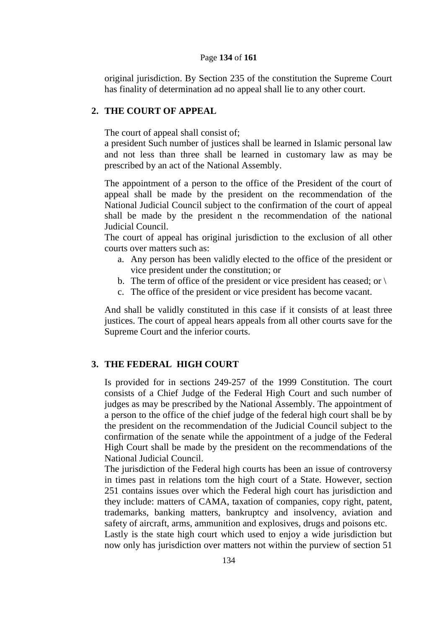#### Page **134** of **161**

original jurisdiction. By Section 235 of the constitution the Supreme Court has finality of determination ad no appeal shall lie to any other court.

### **2. THE COURT OF APPEAL**

The court of appeal shall consist of;

a president Such number of justices shall be learned in Islamic personal law and not less than three shall be learned in customary law as may be prescribed by an act of the National Assembly.

The appointment of a person to the office of the President of the court of appeal shall be made by the president on the recommendation of the National Judicial Council subject to the confirmation of the court of appeal shall be made by the president n the recommendation of the national Judicial Council.

The court of appeal has original jurisdiction to the exclusion of all other courts over matters such as:

- a. Any person has been validly elected to the office of the president or vice president under the constitution; or
- b. The term of office of the president or vice president has ceased; or  $\setminus$
- c. The office of the president or vice president has become vacant.

And shall be validly constituted in this case if it consists of at least three justices. The court of appeal hears appeals from all other courts save for the Supreme Court and the inferior courts.

### **3. THE FEDERAL HIGH COURT**

Is provided for in sections 249-257 of the 1999 Constitution. The court consists of a Chief Judge of the Federal High Court and such number of judges as may be prescribed by the National Assembly. The appointment of a person to the office of the chief judge of the federal high court shall be by the president on the recommendation of the Judicial Council subject to the confirmation of the senate while the appointment of a judge of the Federal High Court shall be made by the president on the recommendations of the National Judicial Council.

The jurisdiction of the Federal high courts has been an issue of controversy in times past in relations tom the high court of a State. However, section 251 contains issues over which the Federal high court has jurisdiction and they include: matters of CAMA, taxation of companies, copy right, patent, trademarks, banking matters, bankruptcy and insolvency, aviation and safety of aircraft, arms, ammunition and explosives, drugs and poisons etc.

Lastly is the state high court which used to enjoy a wide jurisdiction but now only has jurisdiction over matters not within the purview of section 51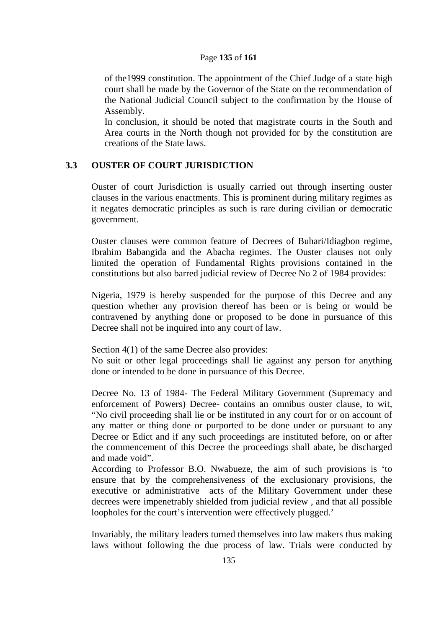### Page **135** of **161**

of the1999 constitution. The appointment of the Chief Judge of a state high court shall be made by the Governor of the State on the recommendation of the National Judicial Council subject to the confirmation by the House of Assembly.

In conclusion, it should be noted that magistrate courts in the South and Area courts in the North though not provided for by the constitution are creations of the State laws.

### **3.3 OUSTER OF COURT JURISDICTION**

Ouster of court Jurisdiction is usually carried out through inserting ouster clauses in the various enactments. This is prominent during military regimes as it negates democratic principles as such is rare during civilian or democratic government.

Ouster clauses were common feature of Decrees of Buhari/Idiagbon regime, Ibrahim Babangida and the Abacha regimes. The Ouster clauses not only limited the operation of Fundamental Rights provisions contained in the constitutions but also barred judicial review of Decree No 2 of 1984 provides:

Nigeria, 1979 is hereby suspended for the purpose of this Decree and any question whether any provision thereof has been or is being or would be contravened by anything done or proposed to be done in pursuance of this Decree shall not be inquired into any court of law.

Section 4(1) of the same Decree also provides:

No suit or other legal proceedings shall lie against any person for anything done or intended to be done in pursuance of this Decree.

Decree No. 13 of 1984- The Federal Military Government (Supremacy and enforcement of Powers) Decree- contains an omnibus ouster clause, to wit, "No civil proceeding shall lie or be instituted in any court for or on account of any matter or thing done or purported to be done under or pursuant to any Decree or Edict and if any such proceedings are instituted before, on or after the commencement of this Decree the proceedings shall abate, be discharged and made void".

According to Professor B.O. Nwabueze, the aim of such provisions is 'to ensure that by the comprehensiveness of the exclusionary provisions, the executive or administrative acts of the Military Government under these decrees were impenetrably shielded from judicial review , and that all possible loopholes for the court's intervention were effectively plugged.'

Invariably, the military leaders turned themselves into law makers thus making laws without following the due process of law. Trials were conducted by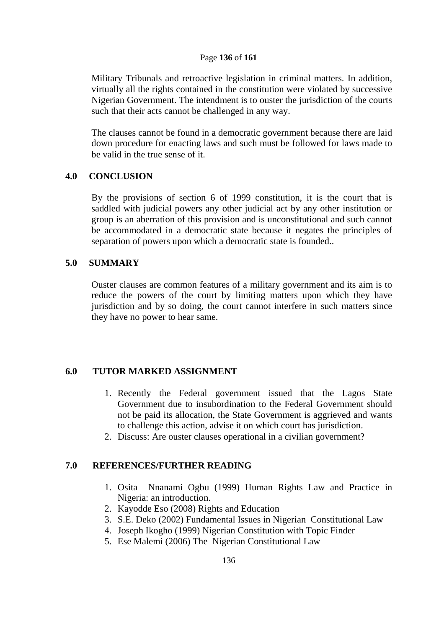#### Page **136** of **161**

Military Tribunals and retroactive legislation in criminal matters. In addition, virtually all the rights contained in the constitution were violated by successive Nigerian Government. The intendment is to ouster the jurisdiction of the courts such that their acts cannot be challenged in any way.

The clauses cannot be found in a democratic government because there are laid down procedure for enacting laws and such must be followed for laws made to be valid in the true sense of it.

### **4.0 CONCLUSION**

By the provisions of section 6 of 1999 constitution, it is the court that is saddled with judicial powers any other judicial act by any other institution or group is an aberration of this provision and is unconstitutional and such cannot be accommodated in a democratic state because it negates the principles of separation of powers upon which a democratic state is founded..

### **5.0 SUMMARY**

Ouster clauses are common features of a military government and its aim is to reduce the powers of the court by limiting matters upon which they have jurisdiction and by so doing, the court cannot interfere in such matters since they have no power to hear same.

### **6.0 TUTOR MARKED ASSIGNMENT**

- 1. Recently the Federal government issued that the Lagos State Government due to insubordination to the Federal Government should not be paid its allocation, the State Government is aggrieved and wants to challenge this action, advise it on which court has jurisdiction.
- 2. Discuss: Are ouster clauses operational in a civilian government?

### **7.0 REFERENCES/FURTHER READING**

- 1. Osita Nnanami Ogbu (1999) Human Rights Law and Practice in Nigeria: an introduction.
- 2. Kayodde Eso (2008) Rights and Education
- 3. S.E. Deko (2002) Fundamental Issues in Nigerian Constitutional Law
- 4. Joseph Ikogho (1999) Nigerian Constitution with Topic Finder
- 5. Ese Malemi (2006) The Nigerian Constitutional Law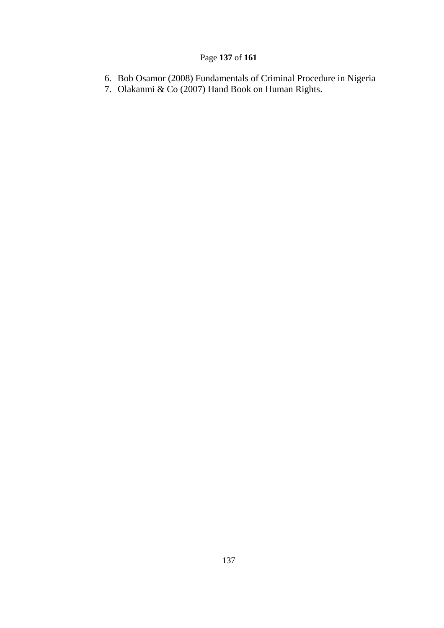# Page **137** of **161**

- 6. Bob Osamor (2008) Fundamentals of Criminal Procedure in Nigeria
- 7. Olakanmi & Co (2007) Hand Book on Human Rights.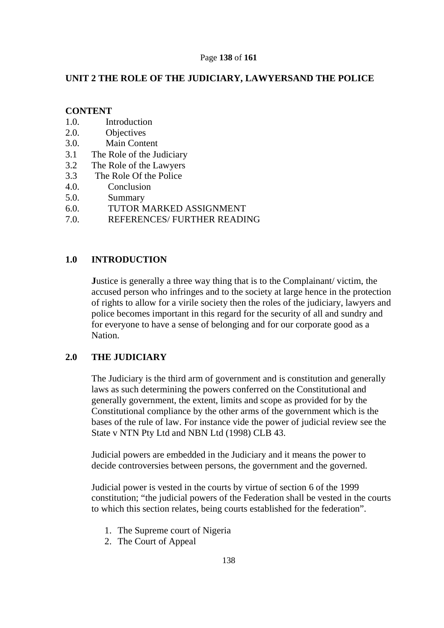#### Page **138** of **161**

### **UNIT 2 THE ROLE OF THE JUDICIARY, LAWYERSAND THE POLICE**

### **CONTENT**

- 1.0. Introduction
- 2.0. Objectives
- 3.0. Main Content
- 3.1 The Role of the Judiciary
- 3.2 The Role of the Lawyers
- 3.3 The Role Of the Police
- 4.0. Conclusion
- 5.0. Summary
- 6.0. TUTOR MARKED ASSIGNMENT
- 7.0. REFERENCES/ FURTHER READING

# **1.0 INTRODUCTION**

**Justice** is generally a three way thing that is to the Complainant/ victim, the accused person who infringes and to the society at large hence in the protection of rights to allow for a virile society then the roles of the judiciary, lawyers and police becomes important in this regard for the security of all and sundry and for everyone to have a sense of belonging and for our corporate good as a Nation.

# **2.0 THE JUDICIARY**

The Judiciary is the third arm of government and is constitution and generally laws as such determining the powers conferred on the Constitutional and generally government, the extent, limits and scope as provided for by the Constitutional compliance by the other arms of the government which is the bases of the rule of law. For instance vide the power of judicial review see the State v NTN Pty Ltd and NBN Ltd (1998) CLB 43.

Judicial powers are embedded in the Judiciary and it means the power to decide controversies between persons, the government and the governed.

Judicial power is vested in the courts by virtue of section 6 of the 1999 constitution; "the judicial powers of the Federation shall be vested in the courts to which this section relates, being courts established for the federation".

- 1. The Supreme court of Nigeria
- 2. The Court of Appeal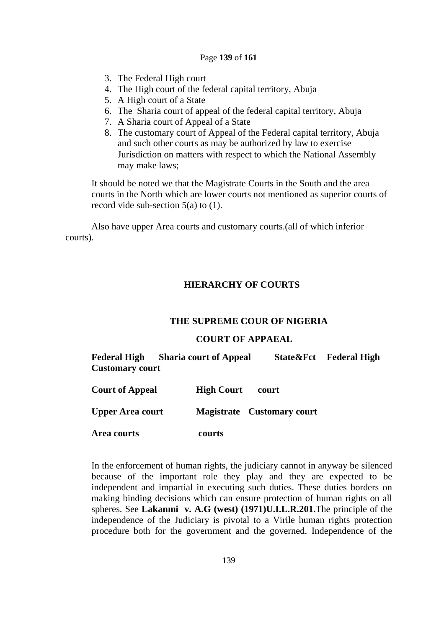#### Page **139** of **161**

- 3. The Federal High court
- 4. The High court of the federal capital territory, Abuja
- 5. A High court of a State
- 6. The Sharia court of appeal of the federal capital territory, Abuja
- 7. A Sharia court of Appeal of a State
- 8. The customary court of Appeal of the Federal capital territory, Abuja and such other courts as may be authorized by law to exercise Jurisdiction on matters with respect to which the National Assembly may make laws;

It should be noted we that the Magistrate Courts in the South and the area courts in the North which are lower courts not mentioned as superior courts of record vide sub-section 5(a) to (1).

Also have upper Area courts and customary courts.(all of which inferior courts).

### **HIERARCHY OF COURTS**

### **THE SUPREME COUR OF NIGERIA**

#### **COURT OF APPAEAL**

**Federal High Sharia court of Appeal State&Fct Federal High Customary court** 

| <b>High Court</b> |       |
|-------------------|-------|
|                   | court |

**Upper Area court Magistrate Customary court** 

 **Area courts courts** 

In the enforcement of human rights, the judiciary cannot in anyway be silenced because of the important role they play and they are expected to be independent and impartial in executing such duties. These duties borders on making binding decisions which can ensure protection of human rights on all spheres. See **Lakanmi v. A.G (west) (1971)U.I.L.R.201.**The principle of the independence of the Judiciary is pivotal to a Virile human rights protection procedure both for the government and the governed. Independence of the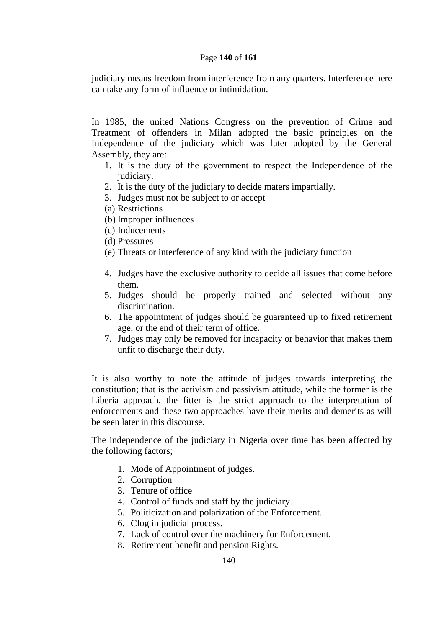### Page **140** of **161**

judiciary means freedom from interference from any quarters. Interference here can take any form of influence or intimidation.

In 1985, the united Nations Congress on the prevention of Crime and Treatment of offenders in Milan adopted the basic principles on the Independence of the judiciary which was later adopted by the General Assembly, they are:

- 1. It is the duty of the government to respect the Independence of the judiciary.
- 2. It is the duty of the judiciary to decide maters impartially.
- 3. Judges must not be subject to or accept
- (a) Restrictions
- (b) Improper influences
- (c) Inducements
- (d) Pressures
- (e) Threats or interference of any kind with the judiciary function
- 4. Judges have the exclusive authority to decide all issues that come before them.
- 5. Judges should be properly trained and selected without any discrimination.
- 6. The appointment of judges should be guaranteed up to fixed retirement age, or the end of their term of office.
- 7. Judges may only be removed for incapacity or behavior that makes them unfit to discharge their duty.

It is also worthy to note the attitude of judges towards interpreting the constitution; that is the activism and passivism attitude, while the former is the Liberia approach, the fitter is the strict approach to the interpretation of enforcements and these two approaches have their merits and demerits as will be seen later in this discourse.

The independence of the judiciary in Nigeria over time has been affected by the following factors;

- 1. Mode of Appointment of judges.
- 2. Corruption
- 3. Tenure of office
- 4. Control of funds and staff by the judiciary.
- 5. Politicization and polarization of the Enforcement.
- 6. Clog in judicial process.
- 7. Lack of control over the machinery for Enforcement.
- 8. Retirement benefit and pension Rights.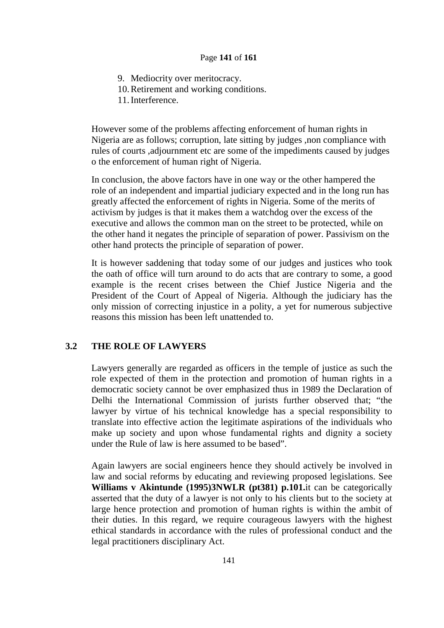#### Page **141** of **161**

- 9. Mediocrity over meritocracy.
- 10.Retirement and working conditions.
- 11.Interference.

However some of the problems affecting enforcement of human rights in Nigeria are as follows; corruption, late sitting by judges ,non compliance with rules of courts ,adjournment etc are some of the impediments caused by judges o the enforcement of human right of Nigeria.

In conclusion, the above factors have in one way or the other hampered the role of an independent and impartial judiciary expected and in the long run has greatly affected the enforcement of rights in Nigeria. Some of the merits of activism by judges is that it makes them a watchdog over the excess of the executive and allows the common man on the street to be protected, while on the other hand it negates the principle of separation of power. Passivism on the other hand protects the principle of separation of power.

It is however saddening that today some of our judges and justices who took the oath of office will turn around to do acts that are contrary to some, a good example is the recent crises between the Chief Justice Nigeria and the President of the Court of Appeal of Nigeria. Although the judiciary has the only mission of correcting injustice in a polity, a yet for numerous subjective reasons this mission has been left unattended to.

### **3.2 THE ROLE OF LAWYERS**

Lawyers generally are regarded as officers in the temple of justice as such the role expected of them in the protection and promotion of human rights in a democratic society cannot be over emphasized thus in 1989 the Declaration of Delhi the International Commission of jurists further observed that; "the lawyer by virtue of his technical knowledge has a special responsibility to translate into effective action the legitimate aspirations of the individuals who make up society and upon whose fundamental rights and dignity a society under the Rule of law is here assumed to be based".

Again lawyers are social engineers hence they should actively be involved in law and social reforms by educating and reviewing proposed legislations. See **Williams v Akintunde (1995)3NWLR (pt381) p.101.**it can be categorically asserted that the duty of a lawyer is not only to his clients but to the society at large hence protection and promotion of human rights is within the ambit of their duties. In this regard, we require courageous lawyers with the highest ethical standards in accordance with the rules of professional conduct and the legal practitioners disciplinary Act.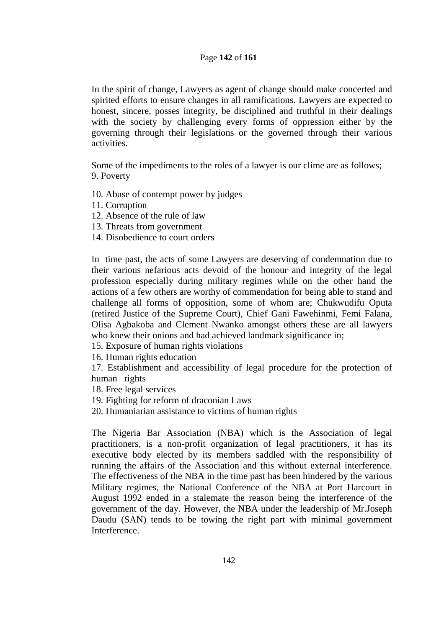In the spirit of change, Lawyers as agent of change should make concerted and spirited efforts to ensure changes in all ramifications. Lawyers are expected to honest, sincere, posses integrity, be disciplined and truthful in their dealings with the society by challenging every forms of oppression either by the governing through their legislations or the governed through their various activities.

Some of the impediments to the roles of a lawyer is our clime are as follows; 9. Poverty

- 10. Abuse of contempt power by judges
- 11. Corruption
- 12. Absence of the rule of law
- 13. Threats from government
- 14. Disobedience to court orders

In time past, the acts of some Lawyers are deserving of condemnation due to their various nefarious acts devoid of the honour and integrity of the legal profession especially during military regimes while on the other hand the actions of a few others are worthy of commendation for being able to stand and challenge all forms of opposition, some of whom are; Chukwudifu Oputa (retired Justice of the Supreme Court), Chief Gani Fawehinmi, Femi Falana, Olisa Agbakoba and Clement Nwanko amongst others these are all lawyers who knew their onions and had achieved landmark significance in;

15. Exposure of human rights violations

16. Human rights education

17. Establishment and accessibility of legal procedure for the protection of human rights

18. Free legal services

- 19. Fighting for reform of draconian Laws
- 20. Humaniarian assistance to victims of human rights

The Nigeria Bar Association (NBA) which is the Association of legal practitioners, is a non-profit organization of legal practitioners, it has its executive body elected by its members saddled with the responsibility of running the affairs of the Association and this without external interference. The effectiveness of the NBA in the time past has been hindered by the various Military regimes, the National Conference of the NBA at Port Harcourt in August 1992 ended in a stalemate the reason being the interference of the government of the day. However, the NBA under the leadership of Mr.Joseph Daudu (SAN) tends to be towing the right part with minimal government **Interference**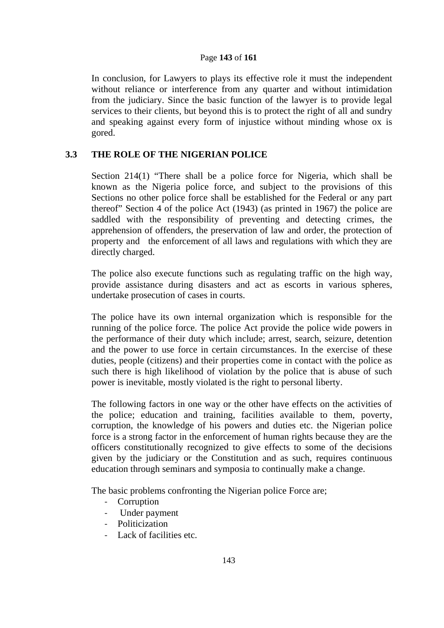### Page **143** of **161**

In conclusion, for Lawyers to plays its effective role it must the independent without reliance or interference from any quarter and without intimidation from the judiciary. Since the basic function of the lawyer is to provide legal services to their clients, but beyond this is to protect the right of all and sundry and speaking against every form of injustice without minding whose ox is gored.

# **3.3 THE ROLE OF THE NIGERIAN POLICE**

Section 214(1) "There shall be a police force for Nigeria, which shall be known as the Nigeria police force, and subject to the provisions of this Sections no other police force shall be established for the Federal or any part thereof" Section 4 of the police Act (1943) (as printed in 1967) the police are saddled with the responsibility of preventing and detecting crimes, the apprehension of offenders, the preservation of law and order, the protection of property and the enforcement of all laws and regulations with which they are directly charged.

The police also execute functions such as regulating traffic on the high way, provide assistance during disasters and act as escorts in various spheres, undertake prosecution of cases in courts.

The police have its own internal organization which is responsible for the running of the police force. The police Act provide the police wide powers in the performance of their duty which include; arrest, search, seizure, detention and the power to use force in certain circumstances. In the exercise of these duties, people (citizens) and their properties come in contact with the police as such there is high likelihood of violation by the police that is abuse of such power is inevitable, mostly violated is the right to personal liberty.

The following factors in one way or the other have effects on the activities of the police; education and training, facilities available to them, poverty, corruption, the knowledge of his powers and duties etc. the Nigerian police force is a strong factor in the enforcement of human rights because they are the officers constitutionally recognized to give effects to some of the decisions given by the judiciary or the Constitution and as such, requires continuous education through seminars and symposia to continually make a change.

The basic problems confronting the Nigerian police Force are;

- Corruption
- Under payment
- Politicization
- Lack of facilities etc.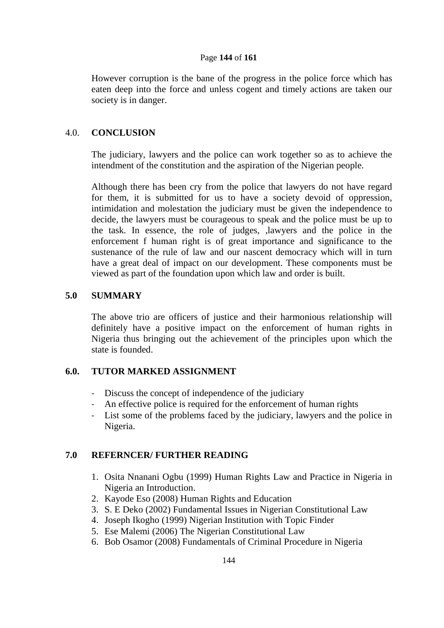### Page **144** of **161**

However corruption is the bane of the progress in the police force which has eaten deep into the force and unless cogent and timely actions are taken our society is in danger.

# 4.0. **CONCLUSION**

The judiciary, lawyers and the police can work together so as to achieve the intendment of the constitution and the aspiration of the Nigerian people.

Although there has been cry from the police that lawyers do not have regard for them, it is submitted for us to have a society devoid of oppression, intimidation and molestation the judiciary must be given the independence to decide, the lawyers must be courageous to speak and the police must be up to the task. In essence, the role of judges, ,lawyers and the police in the enforcement f human right is of great importance and significance to the sustenance of the rule of law and our nascent democracy which will in turn have a great deal of impact on our development. These components must be viewed as part of the foundation upon which law and order is built.

# **5.0 SUMMARY**

The above trio are officers of justice and their harmonious relationship will definitely have a positive impact on the enforcement of human rights in Nigeria thus bringing out the achievement of the principles upon which the state is founded.

# **6.0. TUTOR MARKED ASSIGNMENT**

- Discuss the concept of independence of the judiciary
- An effective police is required for the enforcement of human rights
- List some of the problems faced by the judiciary, lawyers and the police in Nigeria.

# **7.0 REFERNCER/ FURTHER READING**

- 1. Osita Nnanani Ogbu (1999) Human Rights Law and Practice in Nigeria in Nigeria an Introduction.
- 2. Kayode Eso (2008) Human Rights and Education
- 3. S. E Deko (2002) Fundamental Issues in Nigerian Constitutional Law
- 4. Joseph Ikogho (1999) Nigerian Institution with Topic Finder
- 5. Ese Malemi (2006) The Nigerian Constitutional Law
- 6. Bob Osamor (2008) Fundamentals of Criminal Procedure in Nigeria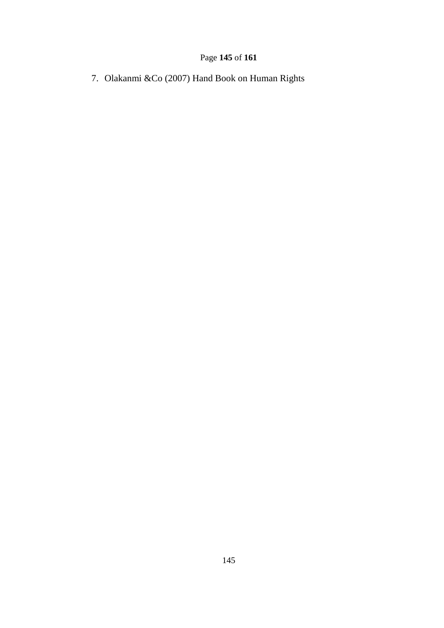# Page **145** of **161**

7. Olakanmi &Co (2007) Hand Book on Human Rights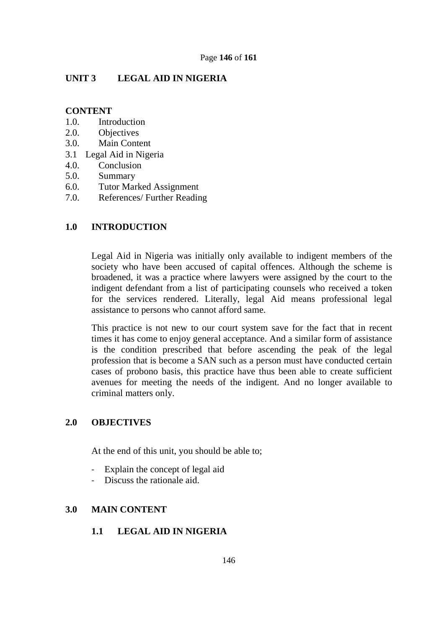# **UNIT 3 LEGAL AID IN NIGERIA**

#### **CONTENT**

- 1.0. Introduction
- 2.0. Objectives
- 3.0. Main Content
- 3.1 Legal Aid in Nigeria
- 4.0. Conclusion
- 5.0. Summary
- 6.0. Tutor Marked Assignment
- 7.0. References/ Further Reading

## **1.0 INTRODUCTION**

Legal Aid in Nigeria was initially only available to indigent members of the society who have been accused of capital offences. Although the scheme is broadened, it was a practice where lawyers were assigned by the court to the indigent defendant from a list of participating counsels who received a token for the services rendered. Literally, legal Aid means professional legal assistance to persons who cannot afford same.

This practice is not new to our court system save for the fact that in recent times it has come to enjoy general acceptance. And a similar form of assistance is the condition prescribed that before ascending the peak of the legal profession that is become a SAN such as a person must have conducted certain cases of probono basis, this practice have thus been able to create sufficient avenues for meeting the needs of the indigent. And no longer available to criminal matters only.

# **2.0 OBJECTIVES**

At the end of this unit, you should be able to;

- Explain the concept of legal aid
- Discuss the rationale aid.

## **3.0 MAIN CONTENT**

## **1.1 LEGAL AID IN NIGERIA**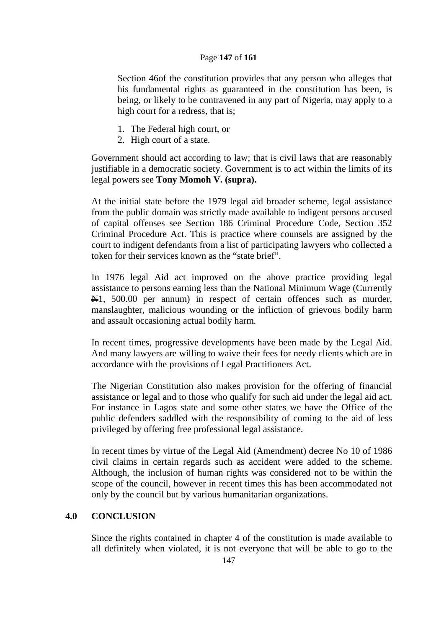#### Page **147** of **161**

Section 46of the constitution provides that any person who alleges that his fundamental rights as guaranteed in the constitution has been, is being, or likely to be contravened in any part of Nigeria, may apply to a high court for a redress, that is;

- 1. The Federal high court, or
- 2. High court of a state.

Government should act according to law; that is civil laws that are reasonably justifiable in a democratic society. Government is to act within the limits of its legal powers see **Tony Momoh V. (supra).** 

At the initial state before the 1979 legal aid broader scheme, legal assistance from the public domain was strictly made available to indigent persons accused of capital offenses see Section 186 Criminal Procedure Code, Section 352 Criminal Procedure Act. This is practice where counsels are assigned by the court to indigent defendants from a list of participating lawyers who collected a token for their services known as the "state brief".

In 1976 legal Aid act improved on the above practice providing legal assistance to persons earning less than the National Minimum Wage (Currently N1, 500.00 per annum) in respect of certain offences such as murder, manslaughter, malicious wounding or the infliction of grievous bodily harm and assault occasioning actual bodily harm.

In recent times, progressive developments have been made by the Legal Aid. And many lawyers are willing to waive their fees for needy clients which are in accordance with the provisions of Legal Practitioners Act.

The Nigerian Constitution also makes provision for the offering of financial assistance or legal and to those who qualify for such aid under the legal aid act. For instance in Lagos state and some other states we have the Office of the public defenders saddled with the responsibility of coming to the aid of less privileged by offering free professional legal assistance.

In recent times by virtue of the Legal Aid (Amendment) decree No 10 of 1986 civil claims in certain regards such as accident were added to the scheme. Although, the inclusion of human rights was considered not to be within the scope of the council, however in recent times this has been accommodated not only by the council but by various humanitarian organizations.

#### **4.0 CONCLUSION**

Since the rights contained in chapter 4 of the constitution is made available to all definitely when violated, it is not everyone that will be able to go to the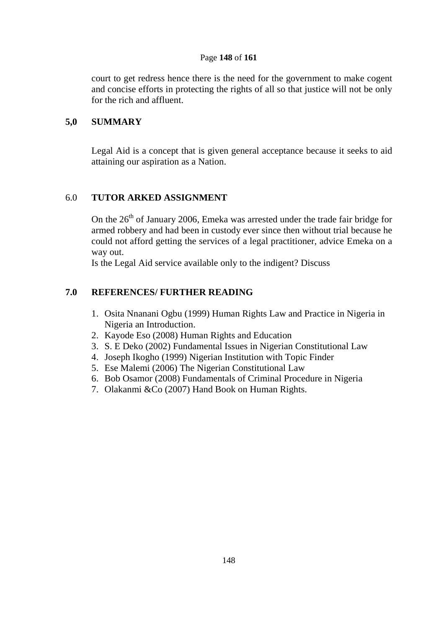#### Page **148** of **161**

court to get redress hence there is the need for the government to make cogent and concise efforts in protecting the rights of all so that justice will not be only for the rich and affluent.

# **5,0 SUMMARY**

Legal Aid is a concept that is given general acceptance because it seeks to aid attaining our aspiration as a Nation.

# 6.0 **TUTOR ARKED ASSIGNMENT**

On the  $26<sup>th</sup>$  of January 2006, Emeka was arrested under the trade fair bridge for armed robbery and had been in custody ever since then without trial because he could not afford getting the services of a legal practitioner, advice Emeka on a way out.

Is the Legal Aid service available only to the indigent? Discuss

# **7.0 REFERENCES/ FURTHER READING**

- 1. Osita Nnanani Ogbu (1999) Human Rights Law and Practice in Nigeria in Nigeria an Introduction.
- 2. Kayode Eso (2008) Human Rights and Education
- 3. S. E Deko (2002) Fundamental Issues in Nigerian Constitutional Law
- 4. Joseph Ikogho (1999) Nigerian Institution with Topic Finder
- 5. Ese Malemi (2006) The Nigerian Constitutional Law
- 6. Bob Osamor (2008) Fundamentals of Criminal Procedure in Nigeria
- 7. Olakanmi &Co (2007) Hand Book on Human Rights.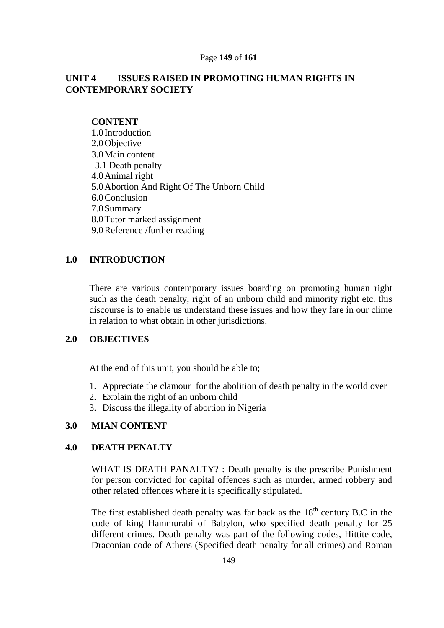#### Page **149** of **161**

# **UNIT 4 ISSUES RAISED IN PROMOTING HUMAN RIGHTS IN CONTEMPORARY SOCIETY**

#### **CONTENT**

1.0 Introduction 2.0Objective 3.0Main content 3.1 Death penalty 4.0Animal right 5.0Abortion And Right Of The Unborn Child 6.0Conclusion 7.0Summary 8.0Tutor marked assignment 9.0Reference /further reading

# **1.0 INTRODUCTION**

There are various contemporary issues boarding on promoting human right such as the death penalty, right of an unborn child and minority right etc. this discourse is to enable us understand these issues and how they fare in our clime in relation to what obtain in other jurisdictions.

# **2.0 OBJECTIVES**

At the end of this unit, you should be able to;

- 1. Appreciate the clamour for the abolition of death penalty in the world over
- 2. Explain the right of an unborn child
- 3. Discuss the illegality of abortion in Nigeria

## **3.0 MIAN CONTENT**

## **4.0 DEATH PENALTY**

WHAT IS DEATH PANALTY? : Death penalty is the prescribe Punishment for person convicted for capital offences such as murder, armed robbery and other related offences where it is specifically stipulated.

The first established death penalty was far back as the  $18<sup>th</sup>$  century B.C in the code of king Hammurabi of Babylon, who specified death penalty for 25 different crimes. Death penalty was part of the following codes, Hittite code, Draconian code of Athens (Specified death penalty for all crimes) and Roman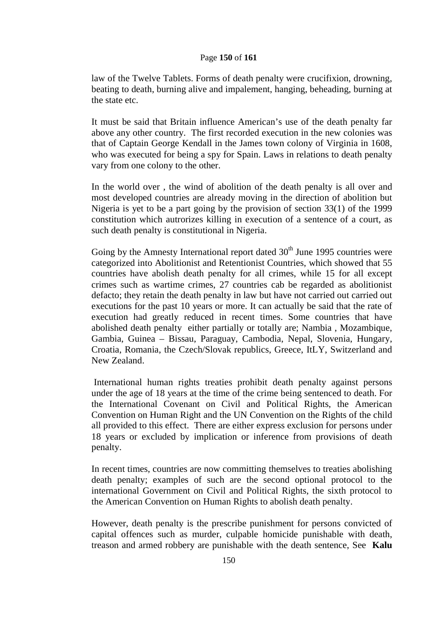#### Page **150** of **161**

law of the Twelve Tablets. Forms of death penalty were crucifixion, drowning, beating to death, burning alive and impalement, hanging, beheading, burning at the state etc.

It must be said that Britain influence American's use of the death penalty far above any other country. The first recorded execution in the new colonies was that of Captain George Kendall in the James town colony of Virginia in 1608, who was executed for being a spy for Spain. Laws in relations to death penalty vary from one colony to the other.

In the world over , the wind of abolition of the death penalty is all over and most developed countries are already moving in the direction of abolition but Nigeria is yet to be a part going by the provision of section 33(1) of the 1999 constitution which autrorizes killing in execution of a sentence of a court, as such death penalty is constitutional in Nigeria.

Going by the Amnesty International report dated  $30<sup>th</sup>$  June 1995 countries were categorized into Abolitionist and Retentionist Countries, which showed that 55 countries have abolish death penalty for all crimes, while 15 for all except crimes such as wartime crimes, 27 countries cab be regarded as abolitionist defacto; they retain the death penalty in law but have not carried out carried out executions for the past 10 years or more. It can actually be said that the rate of execution had greatly reduced in recent times. Some countries that have abolished death penalty either partially or totally are; Nambia , Mozambique, Gambia, Guinea – Bissau, Paraguay, Cambodia, Nepal, Slovenia, Hungary, Croatia, Romania, the Czech/Slovak republics, Greece, ItLY, Switzerland and New Zealand.

 International human rights treaties prohibit death penalty against persons under the age of 18 years at the time of the crime being sentenced to death. For the International Covenant on Civil and Political Rights, the American Convention on Human Right and the UN Convention on the Rights of the child all provided to this effect. There are either express exclusion for persons under 18 years or excluded by implication or inference from provisions of death penalty.

In recent times, countries are now committing themselves to treaties abolishing death penalty; examples of such are the second optional protocol to the international Government on Civil and Political Rights, the sixth protocol to the American Convention on Human Rights to abolish death penalty.

However, death penalty is the prescribe punishment for persons convicted of capital offences such as murder, culpable homicide punishable with death, treason and armed robbery are punishable with the death sentence, See **Kalu**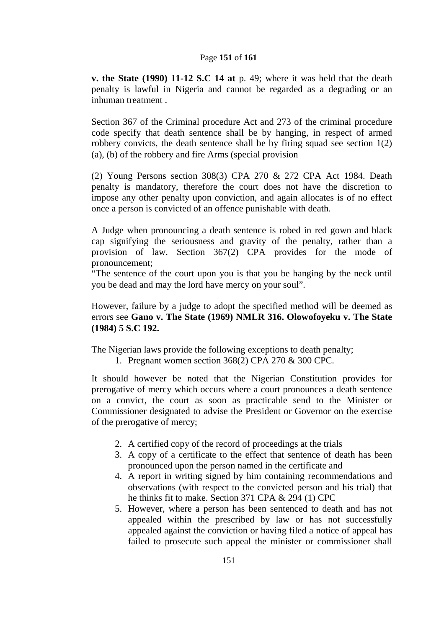#### Page **151** of **161**

**v. the State (1990) 11-12 S.C 14 at** p. 49; where it was held that the death penalty is lawful in Nigeria and cannot be regarded as a degrading or an inhuman treatment .

Section 367 of the Criminal procedure Act and 273 of the criminal procedure code specify that death sentence shall be by hanging, in respect of armed robbery convicts, the death sentence shall be by firing squad see section 1(2) (a), (b) of the robbery and fire Arms (special provision

(2) Young Persons section 308(3) CPA 270 & 272 CPA Act 1984. Death penalty is mandatory, therefore the court does not have the discretion to impose any other penalty upon conviction, and again allocates is of no effect once a person is convicted of an offence punishable with death.

A Judge when pronouncing a death sentence is robed in red gown and black cap signifying the seriousness and gravity of the penalty, rather than a provision of law. Section 367(2) CPA provides for the mode of pronouncement;

"The sentence of the court upon you is that you be hanging by the neck until you be dead and may the lord have mercy on your soul".

However, failure by a judge to adopt the specified method will be deemed as errors see **Gano v. The State (1969) NMLR 316. Olowofoyeku v. The State (1984) 5 S.C 192.** 

The Nigerian laws provide the following exceptions to death penalty;

1. Pregnant women section 368(2) CPA 270 & 300 CPC.

It should however be noted that the Nigerian Constitution provides for prerogative of mercy which occurs where a court pronounces a death sentence on a convict, the court as soon as practicable send to the Minister or Commissioner designated to advise the President or Governor on the exercise of the prerogative of mercy;

- 2. A certified copy of the record of proceedings at the trials
- 3. A copy of a certificate to the effect that sentence of death has been pronounced upon the person named in the certificate and
- 4. A report in writing signed by him containing recommendations and observations (with respect to the convicted person and his trial) that he thinks fit to make. Section 371 CPA & 294 (1) CPC
- 5. However, where a person has been sentenced to death and has not appealed within the prescribed by law or has not successfully appealed against the conviction or having filed a notice of appeal has failed to prosecute such appeal the minister or commissioner shall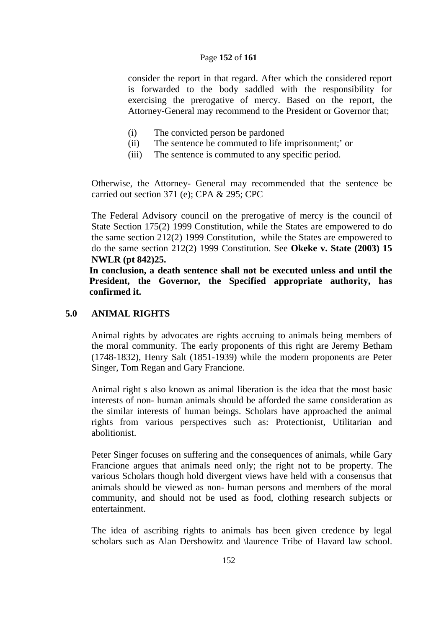#### Page **152** of **161**

consider the report in that regard. After which the considered report is forwarded to the body saddled with the responsibility for exercising the prerogative of mercy. Based on the report, the Attorney-General may recommend to the President or Governor that;

- (i) The convicted person be pardoned
- (ii) The sentence be commuted to life imprisonment;' or
- (iii) The sentence is commuted to any specific period.

Otherwise, the Attorney- General may recommended that the sentence be carried out section 371 (e); CPA & 295; CPC

The Federal Advisory council on the prerogative of mercy is the council of State Section 175(2) 1999 Constitution, while the States are empowered to do the same section 212(2) 1999 Constitution, while the States are empowered to do the same section 212(2) 1999 Constitution. See **Okeke v. State (2003) 15 NWLR (pt 842)25.** 

**In conclusion, a death sentence shall not be executed unless and until the President, the Governor, the Specified appropriate authority, has confirmed it.** 

## **5.0 ANIMAL RIGHTS**

Animal rights by advocates are rights accruing to animals being members of the moral community. The early proponents of this right are Jeremy Betham (1748-1832), Henry Salt (1851-1939) while the modern proponents are Peter Singer, Tom Regan and Gary Francione.

Animal right s also known as animal liberation is the idea that the most basic interests of non- human animals should be afforded the same consideration as the similar interests of human beings. Scholars have approached the animal rights from various perspectives such as: Protectionist, Utilitarian and abolitionist.

Peter Singer focuses on suffering and the consequences of animals, while Gary Francione argues that animals need only; the right not to be property. The various Scholars though hold divergent views have held with a consensus that animals should be viewed as non- human persons and members of the moral community, and should not be used as food, clothing research subjects or entertainment.

The idea of ascribing rights to animals has been given credence by legal scholars such as Alan Dershowitz and \laurence Tribe of Havard law school.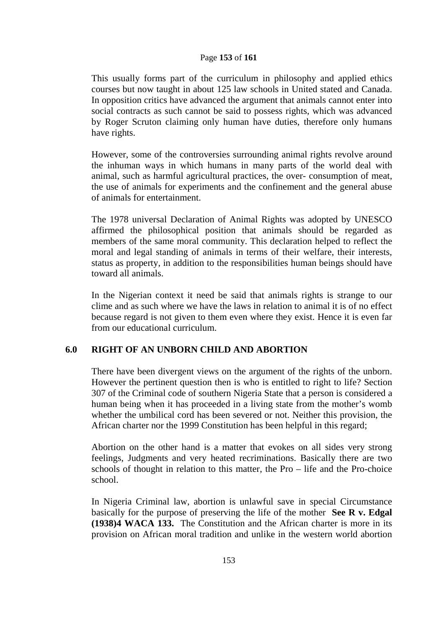#### Page **153** of **161**

This usually forms part of the curriculum in philosophy and applied ethics courses but now taught in about 125 law schools in United stated and Canada. In opposition critics have advanced the argument that animals cannot enter into social contracts as such cannot be said to possess rights, which was advanced by Roger Scruton claiming only human have duties, therefore only humans have rights.

However, some of the controversies surrounding animal rights revolve around the inhuman ways in which humans in many parts of the world deal with animal, such as harmful agricultural practices, the over- consumption of meat, the use of animals for experiments and the confinement and the general abuse of animals for entertainment.

The 1978 universal Declaration of Animal Rights was adopted by UNESCO affirmed the philosophical position that animals should be regarded as members of the same moral community. This declaration helped to reflect the moral and legal standing of animals in terms of their welfare, their interests, status as property, in addition to the responsibilities human beings should have toward all animals.

In the Nigerian context it need be said that animals rights is strange to our clime and as such where we have the laws in relation to animal it is of no effect because regard is not given to them even where they exist. Hence it is even far from our educational curriculum.

# **6.0 RIGHT OF AN UNBORN CHILD AND ABORTION**

There have been divergent views on the argument of the rights of the unborn. However the pertinent question then is who is entitled to right to life? Section 307 of the Criminal code of southern Nigeria State that a person is considered a human being when it has proceeded in a living state from the mother's womb whether the umbilical cord has been severed or not. Neither this provision, the African charter nor the 1999 Constitution has been helpful in this regard;

Abortion on the other hand is a matter that evokes on all sides very strong feelings, Judgments and very heated recriminations. Basically there are two schools of thought in relation to this matter, the Pro – life and the Pro-choice school.

In Nigeria Criminal law, abortion is unlawful save in special Circumstance basically for the purpose of preserving the life of the mother **See R v. Edgal (1938)4 WACA 133.** The Constitution and the African charter is more in its provision on African moral tradition and unlike in the western world abortion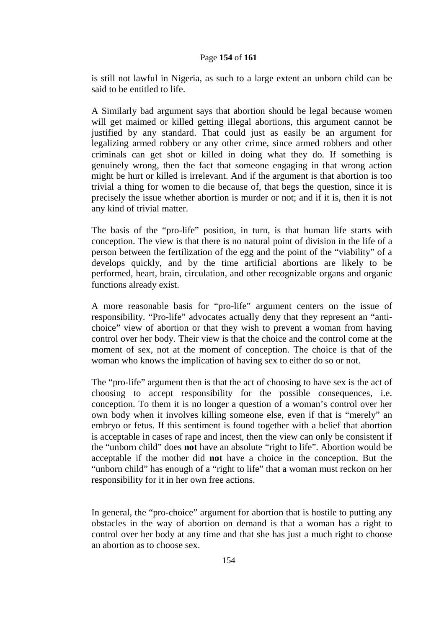#### Page **154** of **161**

is still not lawful in Nigeria, as such to a large extent an unborn child can be said to be entitled to life.

A Similarly bad argument says that abortion should be legal because women will get maimed or killed getting illegal abortions, this argument cannot be justified by any standard. That could just as easily be an argument for legalizing armed robbery or any other crime, since armed robbers and other criminals can get shot or killed in doing what they do. If something is genuinely wrong, then the fact that someone engaging in that wrong action might be hurt or killed is irrelevant. And if the argument is that abortion is too trivial a thing for women to die because of, that begs the question, since it is precisely the issue whether abortion is murder or not; and if it is, then it is not any kind of trivial matter.

The basis of the "pro-life" position, in turn, is that human life starts with conception. The view is that there is no natural point of division in the life of a person between the fertilization of the egg and the point of the "viability" of a develops quickly, and by the time artificial abortions are likely to be performed, heart, brain, circulation, and other recognizable organs and organic functions already exist.

A more reasonable basis for "pro-life" argument centers on the issue of responsibility. "Pro-life" advocates actually deny that they represent an "antichoice" view of abortion or that they wish to prevent a woman from having control over her body. Their view is that the choice and the control come at the moment of sex, not at the moment of conception. The choice is that of the woman who knows the implication of having sex to either do so or not.

The "pro-life" argument then is that the act of choosing to have sex is the act of choosing to accept responsibility for the possible consequences, i.e. conception. To them it is no longer a question of a woman's control over her own body when it involves killing someone else, even if that is "merely" an embryo or fetus. If this sentiment is found together with a belief that abortion is acceptable in cases of rape and incest, then the view can only be consistent if the "unborn child" does **not** have an absolute "right to life". Abortion would be acceptable if the mother did **not** have a choice in the conception. But the "unborn child" has enough of a "right to life" that a woman must reckon on her responsibility for it in her own free actions.

In general, the "pro-choice" argument for abortion that is hostile to putting any obstacles in the way of abortion on demand is that a woman has a right to control over her body at any time and that she has just a much right to choose an abortion as to choose sex.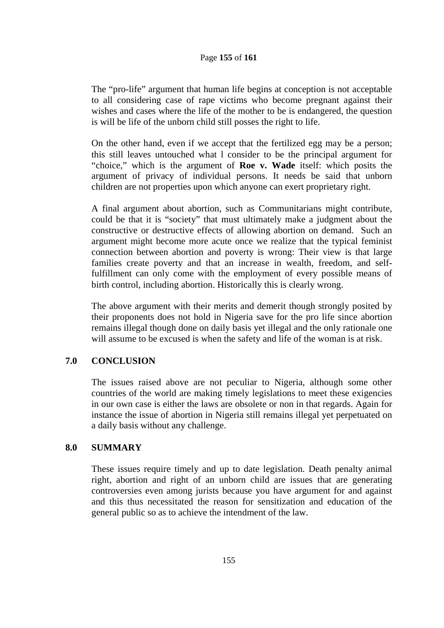#### Page **155** of **161**

The "pro-life" argument that human life begins at conception is not acceptable to all considering case of rape victims who become pregnant against their wishes and cases where the life of the mother to be is endangered, the question is will be life of the unborn child still posses the right to life.

On the other hand, even if we accept that the fertilized egg may be a person; this still leaves untouched what l consider to be the principal argument for "choice," which is the argument of **Roe v. Wade** itself: which posits the argument of privacy of individual persons. It needs be said that unborn children are not properties upon which anyone can exert proprietary right.

A final argument about abortion, such as Communitarians might contribute, could be that it is "society" that must ultimately make a judgment about the constructive or destructive effects of allowing abortion on demand. Such an argument might become more acute once we realize that the typical feminist connection between abortion and poverty is wrong: Their view is that large families create poverty and that an increase in wealth, freedom, and selffulfillment can only come with the employment of every possible means of birth control, including abortion. Historically this is clearly wrong.

The above argument with their merits and demerit though strongly posited by their proponents does not hold in Nigeria save for the pro life since abortion remains illegal though done on daily basis yet illegal and the only rationale one will assume to be excused is when the safety and life of the woman is at risk.

## **7.0 CONCLUSION**

The issues raised above are not peculiar to Nigeria, although some other countries of the world are making timely legislations to meet these exigencies in our own case is either the laws are obsolete or non in that regards. Again for instance the issue of abortion in Nigeria still remains illegal yet perpetuated on a daily basis without any challenge.

## **8.0 SUMMARY**

These issues require timely and up to date legislation. Death penalty animal right, abortion and right of an unborn child are issues that are generating controversies even among jurists because you have argument for and against and this thus necessitated the reason for sensitization and education of the general public so as to achieve the intendment of the law.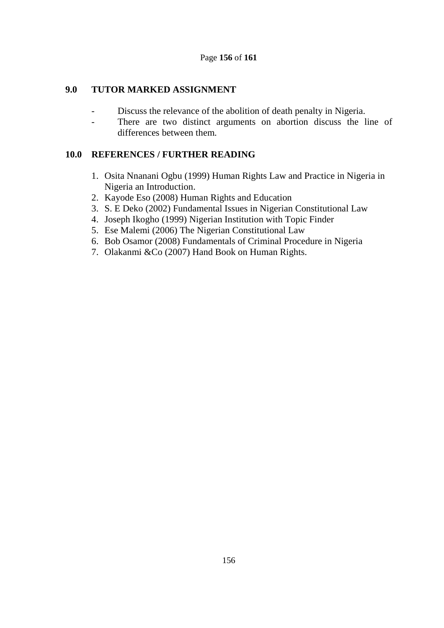# **9.0 TUTOR MARKED ASSIGNMENT**

- Discuss the relevance of the abolition of death penalty in Nigeria.
- There are two distinct arguments on abortion discuss the line of differences between them.

# **10.0 REFERENCES / FURTHER READING**

- 1. Osita Nnanani Ogbu (1999) Human Rights Law and Practice in Nigeria in Nigeria an Introduction.
- 2. Kayode Eso (2008) Human Rights and Education
- 3. S. E Deko (2002) Fundamental Issues in Nigerian Constitutional Law
- 4. Joseph Ikogho (1999) Nigerian Institution with Topic Finder
- 5. Ese Malemi (2006) The Nigerian Constitutional Law
- 6. Bob Osamor (2008) Fundamentals of Criminal Procedure in Nigeria
- 7. Olakanmi &Co (2007) Hand Book on Human Rights.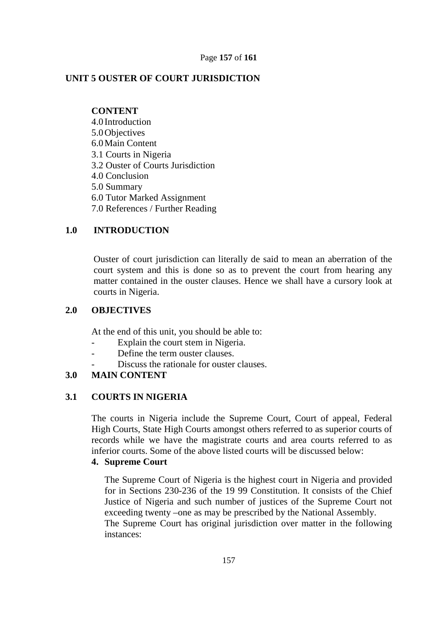# **UNIT 5 OUSTER OF COURT JURISDICTION**

#### **CONTENT**

4.0 Introduction 5.0Objectives 6.0Main Content 3.1 Courts in Nigeria 3.2 Ouster of Courts Jurisdiction 4.0 Conclusion 5.0 Summary 6.0 Tutor Marked Assignment 7.0 References / Further Reading

# **1.0 INTRODUCTION**

Ouster of court jurisdiction can literally de said to mean an aberration of the court system and this is done so as to prevent the court from hearing any matter contained in the ouster clauses. Hence we shall have a cursory look at courts in Nigeria.

## **2.0 OBJECTIVES**

At the end of this unit, you should be able to:

- Explain the court stem in Nigeria.
- Define the term ouster clauses.
- Discuss the rationale for ouster clauses.

## **3.0 MAIN CONTENT**

## **3.1 COURTS IN NIGERIA**

The courts in Nigeria include the Supreme Court, Court of appeal, Federal High Courts, State High Courts amongst others referred to as superior courts of records while we have the magistrate courts and area courts referred to as inferior courts. Some of the above listed courts will be discussed below:

#### **4. Supreme Court**

The Supreme Court of Nigeria is the highest court in Nigeria and provided for in Sections 230-236 of the 19 99 Constitution. It consists of the Chief Justice of Nigeria and such number of justices of the Supreme Court not exceeding twenty –one as may be prescribed by the National Assembly. The Supreme Court has original jurisdiction over matter in the following instances: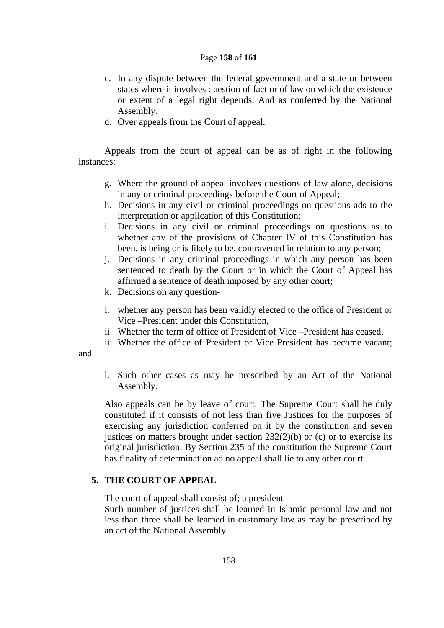#### Page **158** of **161**

- c. In any dispute between the federal government and a state or between states where it involves question of fact or of law on which the existence or extent of a legal right depends. And as conferred by the National Assembly.
- d. Over appeals from the Court of appeal.

Appeals from the court of appeal can be as of right in the following instances:

- g. Where the ground of appeal involves questions of law alone, decisions in any or criminal proceedings before the Court of Appeal;
- h. Decisions in any civil or criminal proceedings on questions ads to the interpretation or application of this Constitution;
- i. Decisions in any civil or criminal proceedings on questions as to whether any of the provisions of Chapter IV of this Constitution has been, is being or is likely to be, contravened in relation to any person;
- j. Decisions in any criminal proceedings in which any person has been sentenced to death by the Court or in which the Court of Appeal has affirmed a sentence of death imposed by any other court;
- k. Decisions on any question-
- i. whether any person has been validly elected to the office of President or Vice –President under this Constitution,
- ii Whether the term of office of President of Vice –President has ceased,
- iii Whether the office of President or Vice President has become vacant;

and

l. Such other cases as may be prescribed by an Act of the National Assembly.

Also appeals can be by leave of court. The Supreme Court shall be duly constituted if it consists of not less than five Justices for the purposes of exercising any jurisdiction conferred on it by the constitution and seven justices on matters brought under section  $232(2)(b)$  or (c) or to exercise its original jurisdiction. By Section 235 of the constitution the Supreme Court has finality of determination ad no appeal shall lie to any other court.

## **5. THE COURT OF APPEAL**

The court of appeal shall consist of; a president

Such number of justices shall be learned in Islamic personal law and not less than three shall be learned in customary law as may be prescribed by an act of the National Assembly.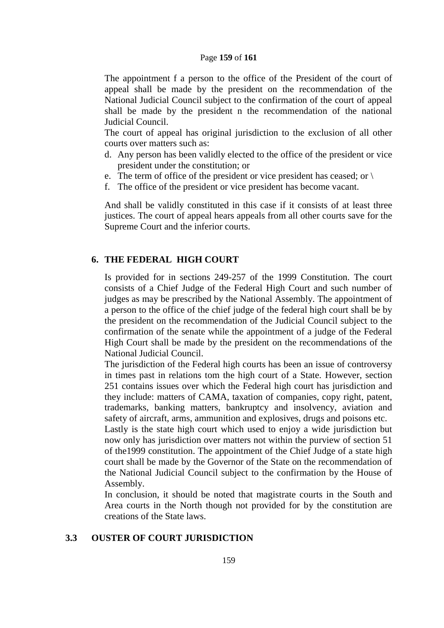#### Page **159** of **161**

The appointment f a person to the office of the President of the court of appeal shall be made by the president on the recommendation of the National Judicial Council subject to the confirmation of the court of appeal shall be made by the president n the recommendation of the national Judicial Council.

The court of appeal has original jurisdiction to the exclusion of all other courts over matters such as:

- d. Any person has been validly elected to the office of the president or vice president under the constitution; or
- e. The term of office of the president or vice president has ceased; or \
- f. The office of the president or vice president has become vacant.

And shall be validly constituted in this case if it consists of at least three justices. The court of appeal hears appeals from all other courts save for the Supreme Court and the inferior courts.

## **6. THE FEDERAL HIGH COURT**

Is provided for in sections 249-257 of the 1999 Constitution. The court consists of a Chief Judge of the Federal High Court and such number of judges as may be prescribed by the National Assembly. The appointment of a person to the office of the chief judge of the federal high court shall be by the president on the recommendation of the Judicial Council subject to the confirmation of the senate while the appointment of a judge of the Federal High Court shall be made by the president on the recommendations of the National Judicial Council.

The jurisdiction of the Federal high courts has been an issue of controversy in times past in relations tom the high court of a State. However, section 251 contains issues over which the Federal high court has jurisdiction and they include: matters of CAMA, taxation of companies, copy right, patent, trademarks, banking matters, bankruptcy and insolvency, aviation and safety of aircraft, arms, ammunition and explosives, drugs and poisons etc.

Lastly is the state high court which used to enjoy a wide jurisdiction but now only has jurisdiction over matters not within the purview of section 51 of the1999 constitution. The appointment of the Chief Judge of a state high court shall be made by the Governor of the State on the recommendation of the National Judicial Council subject to the confirmation by the House of Assembly.

In conclusion, it should be noted that magistrate courts in the South and Area courts in the North though not provided for by the constitution are creations of the State laws.

#### **3.3 OUSTER OF COURT JURISDICTION**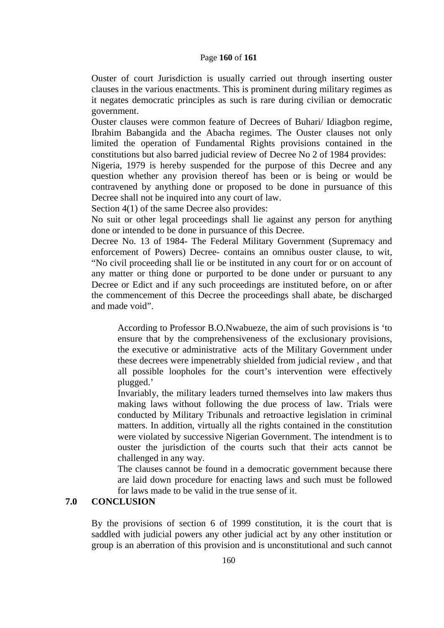#### Page **160** of **161**

Ouster of court Jurisdiction is usually carried out through inserting ouster clauses in the various enactments. This is prominent during military regimes as it negates democratic principles as such is rare during civilian or democratic government.

Ouster clauses were common feature of Decrees of Buhari/ Idiagbon regime, Ibrahim Babangida and the Abacha regimes. The Ouster clauses not only limited the operation of Fundamental Rights provisions contained in the constitutions but also barred judicial review of Decree No 2 of 1984 provides:

Nigeria, 1979 is hereby suspended for the purpose of this Decree and any question whether any provision thereof has been or is being or would be contravened by anything done or proposed to be done in pursuance of this Decree shall not be inquired into any court of law.

Section 4(1) of the same Decree also provides:

No suit or other legal proceedings shall lie against any person for anything done or intended to be done in pursuance of this Decree.

Decree No. 13 of 1984- The Federal Military Government (Supremacy and enforcement of Powers) Decree- contains an omnibus ouster clause, to wit, "No civil proceeding shall lie or be instituted in any court for or on account of any matter or thing done or purported to be done under or pursuant to any Decree or Edict and if any such proceedings are instituted before, on or after the commencement of this Decree the proceedings shall abate, be discharged and made void".

According to Professor B.O.Nwabueze, the aim of such provisions is 'to ensure that by the comprehensiveness of the exclusionary provisions, the executive or administrative acts of the Military Government under these decrees were impenetrably shielded from judicial review , and that all possible loopholes for the court's intervention were effectively plugged.'

Invariably, the military leaders turned themselves into law makers thus making laws without following the due process of law. Trials were conducted by Military Tribunals and retroactive legislation in criminal matters. In addition, virtually all the rights contained in the constitution were violated by successive Nigerian Government. The intendment is to ouster the jurisdiction of the courts such that their acts cannot be challenged in any way.

The clauses cannot be found in a democratic government because there are laid down procedure for enacting laws and such must be followed for laws made to be valid in the true sense of it.

# **7.0 CONCLUSION**

By the provisions of section 6 of 1999 constitution, it is the court that is saddled with judicial powers any other judicial act by any other institution or group is an aberration of this provision and is unconstitutional and such cannot